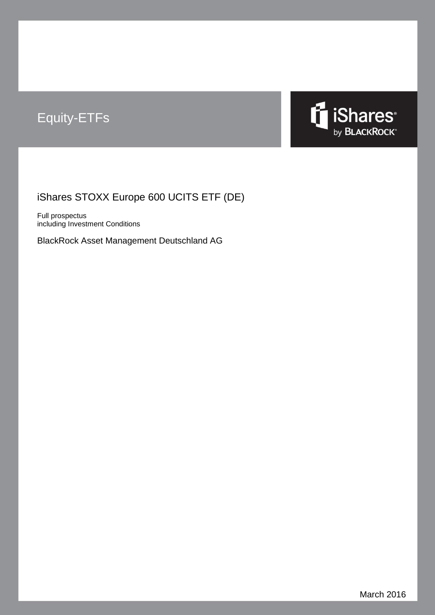# Equity-ETFs



# iShares STOXX Europe 600 UCITS ETF (DE)

Full prospectus including Investment Conditions

BlackRock Asset Management Deutschland AG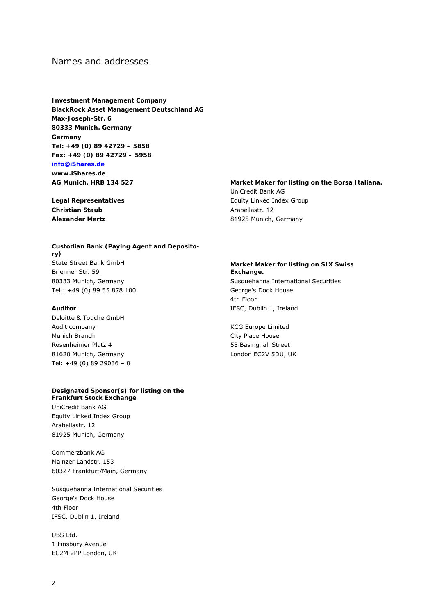# Names and addresses

**Investment Management Company BlackRock Asset Management Deutschland AG Max-Joseph-Str. 6 80333 Munich, Germany Germany Tel: +49 (0) 89 42729 – 5858 Fax: +49 (0) 89 42729 – 5958 info@iShares.de www.iShares.de AG Munich, HRB 134 527** 

**Legal Representatives Christian Staub Alexander Mertz** 

### **Custodian Bank (Paying Agent and Depository)**  State Street Bank GmbH Brienner Str. 59 80333 Munich, Germany Tel.: +49 (0) 89 55 878 100

### **Auditor**

Deloitte & Touche GmbH Audit company Munich Branch Rosenheimer Platz 4 81620 Munich, Germany Tel: +49 (0) 89 29036 – 0

#### **Designated Sponsor(s) for listing on the**

**Frankfurt Stock Exchange**  UniCredit Bank AG Equity Linked Index Group Arabellastr. 12 81925 Munich, Germany

Commerzbank AG Mainzer Landstr. 153 60327 Frankfurt/Main, Germany

Susquehanna International Securities George's Dock House 4th Floor IFSC, Dublin 1, Ireland

UBS Ltd. 1 Finsbury Avenue EC2M 2PP London, UK

#### **Market Maker for listing on the Borsa Italiana.**

UniCredit Bank AG Equity Linked Index Group Arabellastr. 12 81925 Munich, Germany

#### **Market Maker for listing on SIX Swiss Exchange.**

Susquehanna International Securities George's Dock House 4th Floor IFSC, Dublin 1, Ireland

KCG Europe Limited City Place House 55 Basinghall Street London EC2V 5DU, UK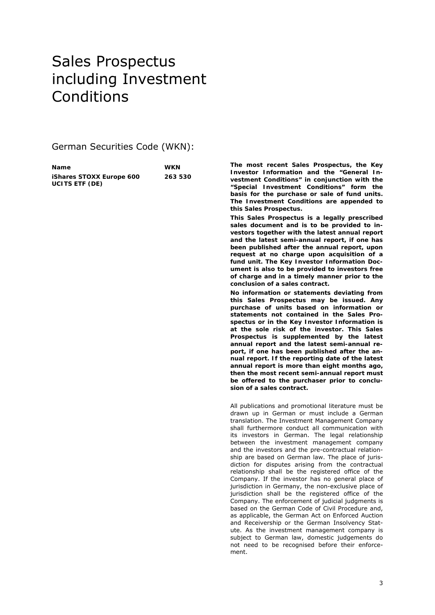# Sales Prospectus including Investment Conditions

German Securities Code (WKN):

| <b>Name</b>              | <b>WKN</b> |
|--------------------------|------------|
| iShares STOXX Europe 600 | 263 530    |
| <b>UCITS ETF (DE)</b>    |            |

**The most recent Sales Prospectus, the Key Investor Information and the "General Investment Conditions" in conjunction with the "Special Investment Conditions" form the basis for the purchase or sale of fund units. The Investment Conditions are appended to this Sales Prospectus.** 

**This Sales Prospectus is a legally prescribed sales document and is to be provided to investors together with the latest annual report and the latest semi-annual report, if one has been published after the annual report, upon request at no charge upon acquisition of a fund unit. The Key Investor Information Document is also to be provided to investors free of charge and in a timely manner prior to the conclusion of a sales contract.** 

**No information or statements deviating from this Sales Prospectus may be issued. Any purchase of units based on information or statements not contained in the Sales Prospectus or in the Key Investor Information is at the sole risk of the investor. This Sales Prospectus is supplemented by the latest annual report and the latest semi-annual report, if one has been published after the annual report. If the reporting date of the latest annual report is more than eight months ago, then the most recent semi-annual report must be offered to the purchaser prior to conclusion of a sales contract.** 

All publications and promotional literature must be drawn up in German or must include a German translation. The Investment Management Company shall furthermore conduct all communication with its investors in German. The legal relationship between the investment management company and the investors and the pre-contractual relationship are based on German law. The place of jurisdiction for disputes arising from the contractual relationship shall be the registered office of the Company. If the investor has no general place of jurisdiction in Germany, the non-exclusive place of jurisdiction shall be the registered office of the Company. The enforcement of judicial judgments is based on the German Code of Civil Procedure and, as applicable, the German Act on Enforced Auction and Receivership or the German Insolvency Statute. As the investment management company is subject to German law, domestic judgements do not need to be recognised before their enforcement.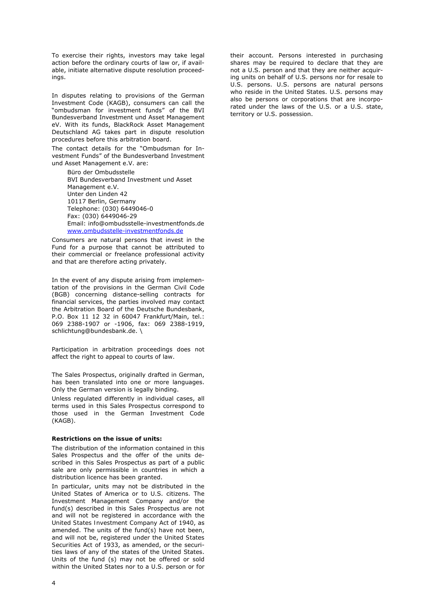To exercise their rights, investors may take legal action before the ordinary courts of law or, if available, initiate alternative dispute resolution proceedings.

In disputes relating to provisions of the German Investment Code (KAGB), consumers can call the "ombudsman for investment funds" of the BVI Bundesverband Investment und Asset Management eV. With its funds, BlackRock Asset Management Deutschland AG takes part in dispute resolution procedures before this arbitration board.

The contact details for the "Ombudsman for Investment Funds" of the Bundesverband Investment und Asset Management e.V. are:

> Büro der Ombudsstelle BVI Bundesverband Investment und Asset Management e.V. Unter den Linden 42 10117 Berlin, Germany Telephone: (030) 6449046-0 Fax: (030) 6449046-29 Email: info@ombudsstelle-investmentfonds.de www.ombudsstelle-investmentfonds.de

Consumers are natural persons that invest in the Fund for a purpose that cannot be attributed to their commercial or freelance professional activity and that are therefore acting privately.

In the event of any dispute arising from implementation of the provisions in the German Civil Code (BGB) concerning distance-selling contracts for financial services, the parties involved may contact the Arbitration Board of the Deutsche Bundesbank, P.O. Box 11 12 32 in 60047 Frankfurt/Main, tel.: 069 2388-1907 or -1906, fax: 069 2388-1919, schlichtung@bundesbank.de. \

Participation in arbitration proceedings does not affect the right to appeal to courts of law.

The Sales Prospectus, originally drafted in German, has been translated into one or more languages. Only the German version is legally binding.

Unless regulated differently in individual cases, all terms used in this Sales Prospectus correspond to those used in the German Investment Code (KAGB).

#### **Restrictions on the issue of units:**

The distribution of the information contained in this Sales Prospectus and the offer of the units described in this Sales Prospectus as part of a public sale are only permissible in countries in which a distribution licence has been granted.

In particular, units may not be distributed in the United States of America or to U.S. citizens. The Investment Management Company and/or the fund(s) described in this Sales Prospectus are not and will not be registered in accordance with the *United States Investment Company Act* of 1940, as amended. The units of the fund(s) have not been, and will not be, registered under the *United States Securities Act* of 1933, as amended, or the securities laws of any of the states of the United States. Units of the fund (s) may not be offered or sold within the United States nor to a U.S. person or for

their account. Persons interested in purchasing shares may be required to declare that they are not a U.S. person and that they are neither acquiring units on behalf of U.S. persons nor for resale to U.S. persons. U.S. persons are natural persons who reside in the United States. U.S. persons may also be persons or corporations that are incorporated under the laws of the U.S. or a U.S. state, territory or U.S. possession.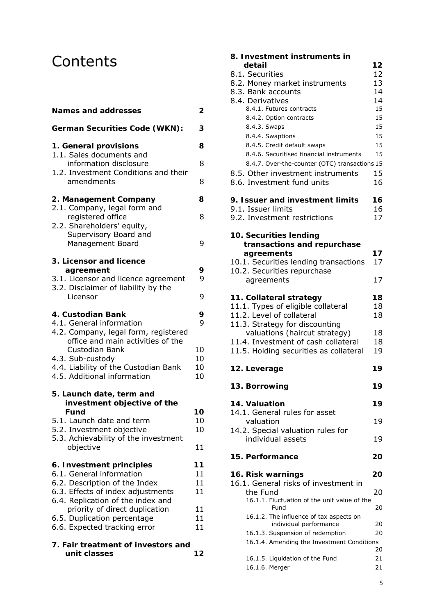# **Contents**

| <b>Names and addresses</b>                                                                                                                                                             | 2                    |
|----------------------------------------------------------------------------------------------------------------------------------------------------------------------------------------|----------------------|
| <b>German Securities Code (WKN):</b>                                                                                                                                                   | З                    |
| 1. General provisions<br>1.1. Sales documents and                                                                                                                                      | 8                    |
| information disclosure<br>1.2. Investment Conditions and their                                                                                                                         | 8                    |
| amendments                                                                                                                                                                             | 8                    |
| 2. Management Company<br>2.1. Company, legal form and                                                                                                                                  | 8                    |
| registered office<br>2.2. Shareholders' equity,                                                                                                                                        | 8                    |
| Supervisory Board and<br>Management Board                                                                                                                                              | 9                    |
| 3. Licensor and licence<br>agreement                                                                                                                                                   | 9                    |
| 3.1. Licensor and licence agreement<br>3.2. Disclaimer of liability by the                                                                                                             | 9                    |
| Licensor                                                                                                                                                                               | 9                    |
| 4. Custodian Bank<br>4.1. General information                                                                                                                                          | 9<br>9               |
| 4.2. Company, legal form, registered<br>office and main activities of the<br>Custodian Bank<br>4.3. Sub-custody<br>4.4. Liability of the Custodian Bank<br>4.5. Additional information | 10<br>10<br>10<br>10 |
| 5. Launch date, term and<br>investment objective of the                                                                                                                                |                      |
| <b>Fund</b><br>5.1. Launch date and term                                                                                                                                               | 10<br>10             |
| 5.2. Investment objective<br>5.3. Achievability of the investment                                                                                                                      | 10                   |
| objective                                                                                                                                                                              | 11                   |
| 6. Investment principles<br>6.1. General information                                                                                                                                   | 11<br>11             |
| 6.2. Description of the Index<br>6.3. Effects of index adjustments                                                                                                                     | 11<br>11             |
| 6.4. Replication of the index and<br>priority of direct duplication                                                                                                                    | 11                   |
| 6.5. Duplication percentage<br>6.6. Expected tracking error                                                                                                                            | 11<br>11             |
| 7. Fair treatment of investors and<br>unit classes                                                                                                                                     | 12                   |

| 8. Investment instruments in                  |    |
|-----------------------------------------------|----|
| detail                                        | 12 |
| 8.1. Securities                               | 12 |
| 8.2. Money market instruments                 | 13 |
| 8.3. Bank accounts                            | 14 |
| 8.4. Derivatives                              | 14 |
| 8.4.1. Futures contracts                      | 15 |
| 8.4.2. Option contracts                       | 15 |
| 8.4.3. Swaps                                  | 15 |
| 8.4.4. Swaptions                              | 15 |
|                                               | 15 |
| 8.4.5. Credit default swaps                   |    |
| 8.4.6. Securitised financial instruments      | 15 |
| 8.4.7. Over-the-counter (OTC) transactions 15 |    |
| 8.5. Other investment instruments             | 15 |
| 8.6. Investment fund units                    | 16 |
| 9. Issuer and investment limits               | 16 |
| 9.1. Issuer limits                            | 16 |
| 9.2. Investment restrictions                  | 17 |
| 10. Securities lending                        |    |
| transactions and repurchase                   |    |
| agreements                                    | 17 |
| 10.1. Securities lending transactions         | 17 |
| 10.2. Securities repurchase                   |    |
| agreements                                    | 17 |
|                                               |    |
| 11. Collateral strategy                       | 18 |
| 11.1. Types of eligible collateral            | 18 |
| 11.2. Level of collateral                     | 18 |
| 11.3. Strategy for discounting                |    |
| valuations (haircut strategy)                 | 18 |
| 11.4. Investment of cash collateral           |    |
|                                               | 18 |
| 11.5. Holding securities as collateral        | 19 |
| 12. Leverage                                  | 19 |
| 13. Borrowing                                 | 19 |
|                                               |    |
| 14. Valuation                                 | 19 |
| 14.1. General rules for asset                 |    |
| valuation                                     | 19 |
| 14.2. Special valuation rules for             |    |
| individual assets                             | 19 |
|                                               |    |
| 15. Performance                               | 20 |
| 16. Risk warnings                             | 20 |
| 16.1. General risks of investment in          |    |
| the Fund                                      | 20 |
| 16.1.1. Fluctuation of the unit value of the  |    |
| Fund                                          | 20 |
| 16.1.2. The influence of tax aspects on       |    |
| individual performance                        | 20 |
| 16.1.3. Suspension of redemption              | 20 |
| 16.1.4. Amending the Investment Conditions    |    |
|                                               | 20 |
| 16.1.5. Liquidation of the Fund               | 21 |

16.1.6. Merger 21

5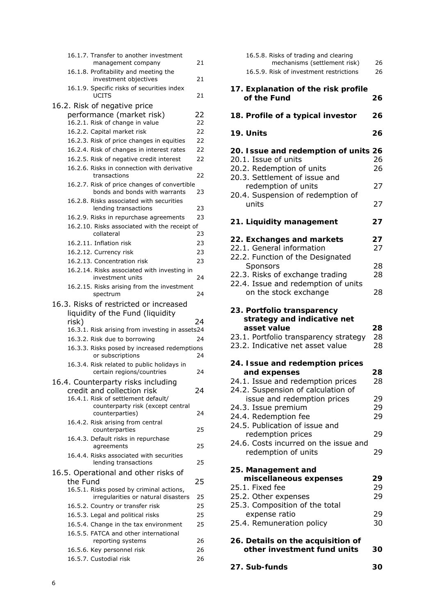| 16.1.7. Transfer to another investment                                                                  |    |
|---------------------------------------------------------------------------------------------------------|----|
| management company                                                                                      | 21 |
| 16.1.8. Profitability and meeting the<br>investment objectives                                          | 21 |
| 16.1.9. Specific risks of securities index<br><b>UCITS</b>                                              | 21 |
| 16.2. Risk of negative price                                                                            |    |
| performance (market risk)                                                                               | 22 |
| 16.2.1. Risk of change in value                                                                         | 22 |
| 16.2.2. Capital market risk                                                                             | 22 |
| 16.2.3. Risk of price changes in equities                                                               | 22 |
| 16.2.4. Risk of changes in interest rates                                                               | 22 |
| 16.2.5. Risk of negative credit interest                                                                | 22 |
| 16.2.6. Risks in connection with derivative<br>transactions                                             | 22 |
| 16.2.7. Risk of price changes of convertible<br>bonds and bonds with warrants                           | 23 |
| 16.2.8. Risks associated with securities<br>lending transactions                                        | 23 |
| 16.2.9. Risks in repurchase agreements                                                                  | 23 |
| 16.2.10. Risks associated with the receipt of<br>collateral                                             | 23 |
| 16.2.11. Inflation risk                                                                                 | 23 |
| 16.2.12. Currency risk                                                                                  | 23 |
| 16.2.13. Concentration risk                                                                             | 23 |
| 16.2.14. Risks associated with investing in<br>investment units                                         | 24 |
| 16.2.15. Risks arising from the investment<br>spectrum                                                  | 24 |
| 16.3. Risks of restricted or increased<br>liquidity of the Fund (liquidity                              |    |
| risk)                                                                                                   | 24 |
| 16.3.1. Risk arising from investing in assets24                                                         |    |
| 16.3.2. Risk due to borrowing                                                                           | 24 |
| 16.3.3. Risks posed by increased redemptions<br>or subscriptions                                        | 24 |
| 16.3.4. Risk related to public holidays in<br>certain regions/countries                                 | 24 |
| 16.4. Counterparty risks including<br>credit and collection risk<br>16.4.1. Risk of settlement default/ | 24 |
| counterparty risk (except central<br>counterparties)                                                    | 24 |
| 16.4.2. Risk arising from central<br>counterparties                                                     | 25 |
| 16.4.3. Default risks in repurchase<br>agreements                                                       | 25 |
| 16.4.4. Risks associated with securities<br>lending transactions                                        | 25 |
| 16.5. Operational and other risks of                                                                    |    |
| the Fund                                                                                                | 25 |
| 16.5.1. Risks posed by criminal actions,<br>irregularities or natural disasters                         | 25 |
|                                                                                                         | 25 |
| 16.5.2. Country or transfer risk<br>16.5.3. Legal and political risks                                   | 25 |
| 16.5.4. Change in the tax environment                                                                   | 25 |
| 16.5.5. FATCA and other international                                                                   |    |
| reporting systems                                                                                       | 26 |
| 16.5.6. Key personnel risk                                                                              | 26 |
| 16.5.7. Custodial risk                                                                                  | 26 |
|                                                                                                         |    |

| 16.5.8. Risks of trading and clearing<br>mechanisms (settlement risk)<br>16.5.9. Risk of investment restrictions                                                                                          | 26<br>26                   |
|-----------------------------------------------------------------------------------------------------------------------------------------------------------------------------------------------------------|----------------------------|
| 17. Explanation of the risk profile<br>of the Fund                                                                                                                                                        | 26                         |
| 18. Profile of a typical investor                                                                                                                                                                         | 26                         |
| 19. Units                                                                                                                                                                                                 | 26                         |
| 20. Issue and redemption of units 26<br>20.1. Issue of units<br>20.2. Redemption of units<br>20.3. Settlement of issue and<br>redemption of units<br>20.4. Suspension of redemption of<br>units           | 26<br>26<br>27<br>27       |
| 21. Liquidity management                                                                                                                                                                                  | 27                         |
| 22. Exchanges and markets<br>22.1. General information<br>22.2. Function of the Designated<br>Sponsors<br>22.3. Risks of exchange trading<br>22.4. Issue and redemption of units<br>on the stock exchange | 27<br>27<br>28<br>28<br>28 |
| 23. Portfolio transparency<br>strategy and indicative net<br>asset value<br>23.1. Portfolio transparency strategy<br>23.2. Indicative net asset value                                                     | 28<br>28<br>28             |
| 24. Issue and redemption prices<br>and expenses<br>24.1. Issue and redemption prices<br>24.2. Suspension of calculation of<br>issue and redemption prices                                                 | 28<br>28<br>29             |
| 24.3. Issue premium                                                                                                                                                                                       | 29                         |
| 24.4. Redemption fee<br>24.5. Publication of issue and<br>redemption prices<br>24.6. Costs incurred on the issue and                                                                                      | 29<br>29                   |
| redemption of units                                                                                                                                                                                       | 29                         |
| 25. Management and<br>miscellaneous expenses<br>25.1. Fixed fee<br>25.2. Other expenses<br>25.3. Composition of the total<br>expense ratio<br>25.4. Remuneration policy                                   | 29<br>29<br>29<br>29<br>30 |
| 26. Details on the acquisition of<br>other investment fund units                                                                                                                                          | 30                         |

**27. Sub-funds 30**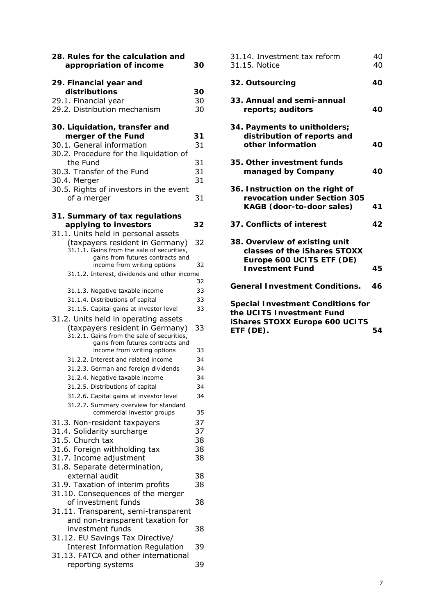| 28. Rules for the calculation and<br>appropriation of income                                                          | 30       |
|-----------------------------------------------------------------------------------------------------------------------|----------|
| 29. Financial year and                                                                                                |          |
| distributions                                                                                                         | 30       |
| 29.1. Financial year                                                                                                  | 30       |
| 29.2. Distribution mechanism                                                                                          | 30       |
| 30. Liquidation, transfer and                                                                                         |          |
| merger of the Fund                                                                                                    | 31       |
| 30.1. General information                                                                                             | 31       |
| 30.2. Procedure for the liquidation of                                                                                |          |
| the Fund                                                                                                              | 31<br>31 |
| 30.3. Transfer of the Fund<br>30.4. Merger                                                                            | 31       |
| 30.5. Rights of investors in the event                                                                                |          |
| of a merger                                                                                                           | 31       |
| 31. Summary of tax regulations                                                                                        |          |
| applying to investors                                                                                                 | 32       |
| 31.1. Units held in personal assets                                                                                   |          |
| (taxpayers resident in Germany)                                                                                       | 32       |
| 31.1.1. Gains from the sale of securities,<br>gains from futures contracts and                                        |          |
| income from writing options                                                                                           | 32       |
| 31.1.2. Interest, dividends and other income                                                                          |          |
|                                                                                                                       | 32       |
| 31.1.3. Negative taxable income                                                                                       | 33       |
| 31.1.4. Distributions of capital                                                                                      | 33       |
| 31.1.5. Capital gains at investor level                                                                               | 33       |
| 31.2. Units held in operating assets<br>(taxpayers resident in Germany)<br>31.2.1. Gains from the sale of securities, | 33       |
| gains from futures contracts and<br>income from writing options                                                       | 33       |
| 31.2.2. Interest and related income                                                                                   | 34       |
| 31.2.3. German and foreign dividends                                                                                  | 34       |
| 31.2.4. Negative taxable income                                                                                       | 34       |
| 31.2.5. Distributions of capital                                                                                      | 34       |
| 31.2.6. Capital gains at investor level                                                                               | 34       |
| 31.2.7. Summary overview for standard                                                                                 |          |
| commercial investor groups                                                                                            | 35       |
| 31.3. Non-resident taxpayers                                                                                          | 37       |
| 31.4. Solidarity surcharge                                                                                            | 37       |
| 31.5. Church tax<br>31.6. Foreign withholding tax                                                                     | 38<br>38 |
| 31.7. Income adjustment                                                                                               | 38       |
| 31.8. Separate determination,                                                                                         |          |
| external audit                                                                                                        | 38       |
| 31.9. Taxation of interim profits                                                                                     | 38       |
| 31.10. Consequences of the merger                                                                                     |          |
| of investment funds                                                                                                   | 38       |
| 31.11. Transparent, semi-transparent<br>and non-transparent taxation for                                              |          |
| investment funds                                                                                                      | 38       |
| 31.12. EU Savings Tax Directive/                                                                                      |          |
| <b>Interest Information Regulation</b>                                                                                | 39       |
| 31.13. FATCA and other international                                                                                  |          |
| reporting systems                                                                                                     | 39       |

| 40<br>40 |
|----------|
| 40       |
| 40       |
| 40       |
| 40       |
| 41       |
| 42       |
| 45       |
| 46       |
| 54       |
|          |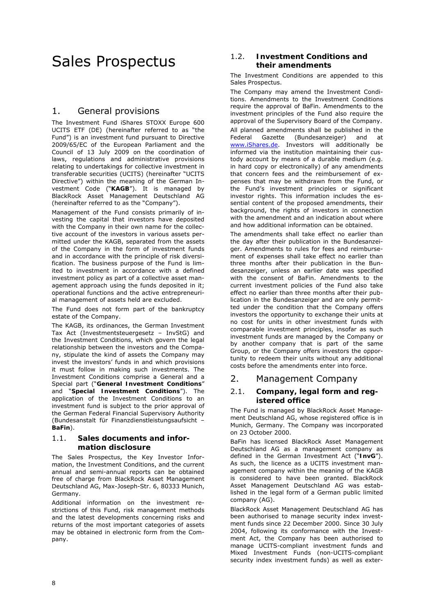# Sales Prospectus

# 1. General provisions

The Investment Fund iShares STOXX Europe 600 UCITS ETF (DE) (hereinafter referred to as "the Fund") is an investment fund pursuant to Directive 2009/65/EC of the European Parliament and the Council of 13 July 2009 on the coordination of laws, regulations and administrative provisions relating to undertakings for collective investment in transferable securities (UCITS) (hereinafter "UCITS Directive") within the meaning of the German Investment Code ("**KAGB**"). It is managed by BlackRock Asset Management Deutschland AG (hereinafter referred to as the "Company").

Management of the Fund consists primarily of investing the capital that investors have deposited with the Company in their own name for the collective account of the investors in various assets permitted under the KAGB, separated from the assets of the Company in the form of investment funds and in accordance with the principle of risk diversification. The business purpose of the Fund is limited to investment in accordance with a defined investment policy as part of a collective asset management approach using the funds deposited in it; operational functions and the active entrepreneurial management of assets held are excluded.

The Fund does not form part of the bankruptcy estate of the Company.

The KAGB, its ordinances, the German Investment Tax Act (Investmentsteuergesetz – InvStG) and the Investment Conditions, which govern the legal relationship between the investors and the Company, stipulate the kind of assets the Company may invest the investors' funds in and which provisions it must follow in making such investments. The Investment Conditions comprise a General and a Special part ("**General Investment Conditions**" and "**Special Investment Conditions**"). The application of the Investment Conditions to an investment fund is subject to the prior approval of the German Federal Financial Supervisory Authority (Bundesanstalt für Finanzdienstleistungsaufsicht – **BaFin**).

### 1.1. **Sales documents and information disclosure**

The Sales Prospectus, the Key Investor Information, the Investment Conditions, and the current annual and semi-annual reports can be obtained free of charge from BlackRock Asset Management Deutschland AG, Max-Joseph-Str. 6, 80333 Munich, Germany.

Additional information on the investment restrictions of this Fund, risk management methods and the latest developments concerning risks and returns of the most important categories of assets may be obtained in electronic form from the Company.

### 1.2. **Investment Conditions and their amendments**

The Investment Conditions are appended to this Sales Prospectus.

The Company may amend the Investment Conditions. Amendments to the Investment Conditions require the approval of BaFin. Amendments to the investment principles of the Fund also require the approval of the Supervisory Board of the Company. All planned amendments shall be published in the Federal Gazette (Bundesanzeiger) and at www.iShares.de. Investors will additionally be informed via the institution maintaining their custody account by means of a durable medium (e.g. in hard copy or electronically) of any amendments that concern fees and the reimbursement of expenses that may be withdrawn from the Fund, or the Fund's investment principles or significant investor rights. This information includes the essential content of the proposed amendments, their background, the rights of investors in connection with the amendment and an indication about where and how additional information can be obtained.

The amendments shall take effect no earlier than the day after their publication in the Bundesanzeiger. Amendments to rules for fees and reimbursement of expenses shall take effect no earlier than three months after their publication in the Bundesanzeiger, unless an earlier date was specified with the consent of BaFin. Amendments to the current investment policies of the Fund also take effect no earlier than three months after their publication in the Bundesanzeiger and are only permitted under the condition that the Company offers investors the opportunity to exchange their units at no cost for units in other investment funds with comparable investment principles, insofar as such investment funds are managed by the Company or by another company that is part of the same Group, or the Company offers investors the opportunity to redeem their units without any additional costs before the amendments enter into force.

# 2. Management Company

### 2.1. **Company, legal form and registered office**

The Fund is managed by BlackRock Asset Management Deutschland AG, whose registered office is in Munich, Germany. The Company was incorporated on 23 October 2000.

BaFin has licensed BlackRock Asset Management Deutschland AG as a management company as defined in the German Investment Act ("**InvG**"). As such, the licence as a UCITS investment management company within the meaning of the KAGB is considered to have been granted. BlackRock Asset Management Deutschland AG was established in the legal form of a German public limited company (AG).

BlackRock Asset Management Deutschland AG has been authorised to manage security index investment funds since 22 December 2000. Since 30 July 2004, following its conformance with the Investment Act, the Company has been authorised to manage UCITS-compliant investment funds and Mixed Investment Funds (non-UCITS-compliant security index investment funds) as well as exter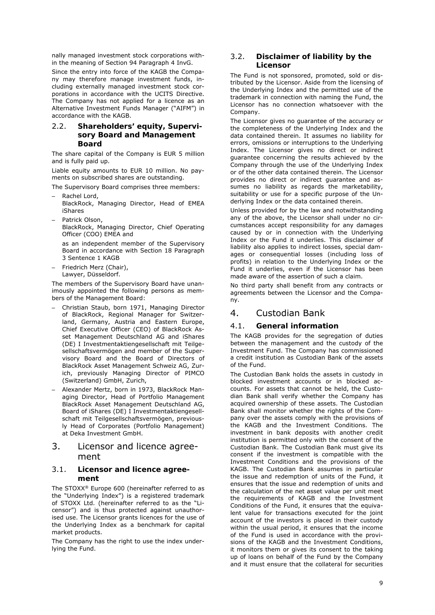nally managed investment stock corporations within the meaning of Section 94 Paragraph 4 InvG.

Since the entry into force of the KAGB the Company may therefore manage investment funds, including externally managed investment stock corporations in accordance with the UCITS Directive. The Company has not applied for a licence as an Alternative Investment Funds Manager ("AIFM") in accordance with the KAGB.

### 2.2. **Shareholders' equity, Supervisory Board and Management Board**

The share capital of the Company is EUR 5 million and is fully paid up.

Liable equity amounts to EUR 10 million. No payments on subscribed shares are outstanding.

The Supervisory Board comprises three members:

- Rachel Lord,
- BlackRock, Managing Director, Head of EMEA iShares
- Patrick Olson BlackRock, Managing Director, Chief Operating Officer (COO) EMEA and

as an independent member of the Supervisory Board in accordance with Section 18 Paragraph 3 Sentence 1 KAGB

– Friedrich Merz (Chair), Lawyer, Düsseldorf.

The members of the Supervisory Board have unanimously appointed the following persons as members of the Management Board:

- Christian Staub, born 1971, Managing Director of BlackRock, Regional Manager for Switzerland, Germany, Austria and Eastern Europe, Chief Executive Officer (CEO) of BlackRock Asset Management Deutschland AG and iShares (DE) I Investmentaktiengesellschaft mit Teilgesellschaftsvermögen and member of the Supervisory Board and the Board of Directors of BlackRock Asset Management Schweiz AG, Zurich, previously Managing Director of PIMCO (Switzerland) GmbH, Zurich,
- Alexander Mertz, born in 1973, BlackRock Managing Director, Head of Portfolio Management BlackRock Asset Management Deutschland AG, Board of iShares (DE) I Investmentaktiengesellschaft mit Teilgesellschaftsvermögen, previously Head of Corporates (Portfolio Management) at Deka Investment GmbH.

# 3. Licensor and licence agreement

### 3.1. **Licensor and licence agreement**

The STOXX® Europe 600 (hereinafter referred to as the "Underlying Index") is a registered trademark of STOXX Ltd. (hereinafter referred to as the "Licensor") and is thus protected against unauthorised use. The Licensor grants licences for the use of the Underlying Index as a benchmark for capital market products.

The Company has the right to use the index underlying the Fund.

### 3.2. **Disclaimer of liability by the Licensor**

The Fund is not sponsored, promoted, sold or distributed by the Licensor. Aside from the licensing of the Underlying Index and the permitted use of the trademark in connection with naming the Fund, the Licensor has no connection whatsoever with the Company.

The Licensor gives no guarantee of the accuracy or the completeness of the Underlying Index and the data contained therein. It assumes no liability for errors, omissions or interruptions to the Underlying Index. The Licensor gives no direct or indirect guarantee concerning the results achieved by the Company through the use of the Underlying Index or of the other data contained therein. The Licensor provides no direct or indirect guarantee and assumes no liability as regards the marketability, suitability or use for a specific purpose of the Underlying Index or the data contained therein.

Unless provided for by the law and notwithstanding any of the above, the Licensor shall under no circumstances accept responsibility for any damages caused by or in connection with the Underlying Index or the Fund it underlies. This disclaimer of liability also applies to indirect losses, special damages or consequential losses (including loss of profits) in relation to the Underlying Index or the Fund it underlies, even if the Licensor has been made aware of the assertion of such a claim.

No third party shall benefit from any contracts or agreements between the Licensor and the Company.

# 4. Custodian Bank

### 4.1. **General information**

The KAGB provides for the segregation of duties between the management and the custody of the Investment Fund. The Company has commissioned a credit institution as Custodian Bank of the assets of the Fund.

The Custodian Bank holds the assets in custody in blocked investment accounts or in blocked accounts. For assets that cannot be held, the Custodian Bank shall verify whether the Company has acquired ownership of these assets. The Custodian Bank shall monitor whether the rights of the Company over the assets comply with the provisions of the KAGB and the Investment Conditions. The investment in bank deposits with another credit institution is permitted only with the consent of the Custodian Bank. The Custodian Bank must give its consent if the investment is compatible with the Investment Conditions and the provisions of the KAGB. The Custodian Bank assumes in particular the issue and redemption of units of the Fund, it ensures that the issue and redemption of units and the calculation of the net asset value per unit meet the requirements of KAGB and the Investment Conditions of the Fund, it ensures that the equivalent value for transactions executed for the joint account of the investors is placed in their custody within the usual period, it ensures that the income of the Fund is used in accordance with the provisions of the KAGB and the Investment Conditions, it monitors them or gives its consent to the taking up of loans on behalf of the Fund by the Company and it must ensure that the collateral for securities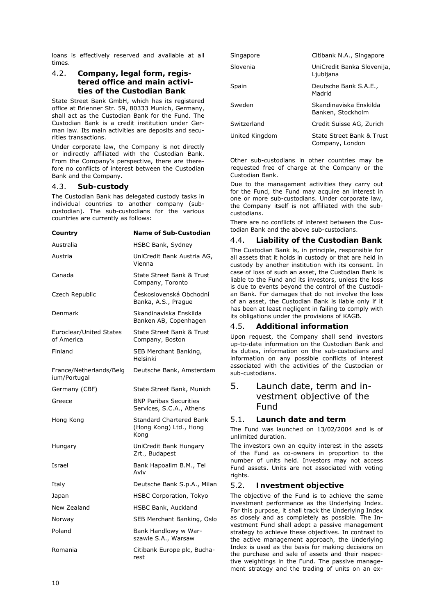loans is effectively reserved and available at all times.

### 4.2. **Company, legal form, registered office and main activities of the Custodian Bank**

State Street Bank GmbH, which has its registered office at Brienner Str. 59, 80333 Munich, Germany, shall act as the Custodian Bank for the Fund. The Custodian Bank is a credit institution under German law. Its main activities are deposits and securities transactions.

Under corporate law, the Company is not directly or indirectly affiliated with the Custodian Bank. From the Company's perspective, there are therefore no conflicts of interest between the Custodian Bank and the Company.

#### 4.3. **Sub-custody**

The Custodian Bank has delegated custody tasks in individual countries to another company (subcustodian). The sub-custodians for the various countries are currently as follows:

| Country                                 | Name of Sub-Custodian                                            |
|-----------------------------------------|------------------------------------------------------------------|
| Australia                               | HSBC Bank, Sydney                                                |
| Austria                                 | UniCredit Bank Austria AG,<br>Vienna                             |
| Canada                                  | <b>State Street Bank &amp; Trust</b><br>Company, Toronto         |
| Czech Republic                          | Československá Obchodní<br>Banka, A.S., Prague                   |
| Denmark                                 | Skandinaviska Enskilda<br>Banken AB, Copenhagen                  |
| Euroclear/United States<br>of America   | State Street Bank & Trust<br>Company, Boston                     |
| Finland                                 | SEB Merchant Banking,<br>Helsinki                                |
| France/Netherlands/Belg<br>ium/Portugal | Deutsche Bank, Amsterdam                                         |
| Germany (CBF)                           | State Street Bank, Munich                                        |
| Greece                                  | <b>BNP Paribas Securities</b><br>Services, S.C.A., Athens        |
| Hong Kong                               | <b>Standard Chartered Bank</b><br>(Hong Kong) Ltd., Hong<br>Kong |
| Hungary                                 | UniCredit Bank Hungary<br>Zrt., Budapest                         |
| Israel                                  | Bank Hapoalim B.M., Tel<br>Aviv                                  |
| Italy                                   | Deutsche Bank S.p.A., Milan                                      |
| Japan                                   | <b>HSBC Corporation, Tokyo</b>                                   |
| New Zealand                             | HSBC Bank, Auckland                                              |
| Norway                                  | SEB Merchant Banking, Oslo                                       |
| Poland                                  | Bank Handlowy w War-<br>szawie S.A., Warsaw                      |
| Romania                                 | Citibank Europe plc, Bucha-<br>rest                              |

| Singapore      | Citibank N.A., Singapore                     |
|----------------|----------------------------------------------|
| Slovenia       | UniCredit Banka Slovenija,<br>Ljubljana      |
| Spain          | Deutsche Bank S.A.E.,<br>Madrid              |
| Sweden         | Skandinaviska Enskilda<br>Banken, Stockholm  |
| Switzerland    | Credit Suisse AG, Zurich                     |
| United Kingdom | State Street Bank & Trust<br>Company, London |

Other sub-custodians in other countries may be requested free of charge at the Company or the Custodian Bank.

Due to the management activities they carry out for the Fund, the Fund may acquire an interest in one or more sub-custodians. Under corporate law, the Company itself is not affiliated with the subcustodians.

There are no conflicts of interest between the Custodian Bank and the above sub-custodians.

#### 4.4. **Liability of the Custodian Bank**

The Custodian Bank is, in principle, responsible for all assets that it holds in custody or that are held in custody by another institution with its consent. In case of loss of such an asset, the Custodian Bank is liable to the Fund and its investors, unless the loss is due to events beyond the control of the Custodian Bank. For damages that do not involve the loss of an asset, the Custodian Bank is liable only if it has been at least negligent in failing to comply with its obligations under the provisions of KAGB.

### 4.5. **Additional information**

Upon request, the Company shall send investors up-to-date information on the Custodian Bank and its duties, information on the sub-custodians and information on any possible conflicts of interest associated with the activities of the Custodian or sub-custodians.

# 5. Launch date, term and investment objective of the Fund

### 5.1. **Launch date and term**

The Fund was launched on 13/02/2004 and is of unlimited duration.

The investors own an equity interest in the assets of the Fund as co-owners in proportion to the number of units held. Investors may not access Fund assets. Units are not associated with voting rights.

### 5.2. **Investment objective**

The objective of the Fund is to achieve the same investment performance as the Underlying Index. For this purpose, it shall track the Underlying Index as closely and as completely as possible. The Investment Fund shall adopt a passive management strategy to achieve these objectives. In contrast to the active management approach, the Underlying Index is used as the basis for making decisions on the purchase and sale of assets and their respective weightings in the Fund. The passive management strategy and the trading of units on an ex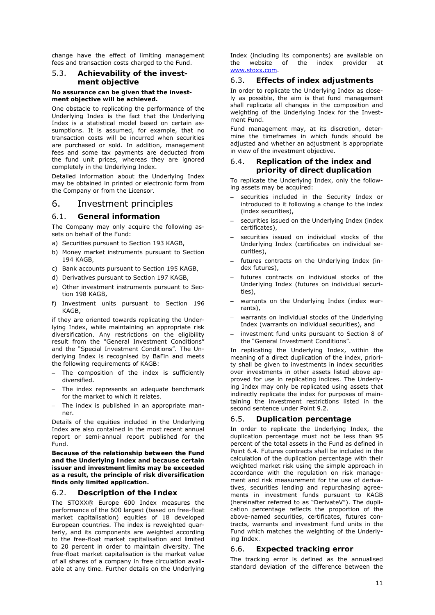change have the effect of limiting management fees and transaction costs charged to the Fund.

#### 5.3. **Achievability of the investment objective**

#### **No assurance can be given that the investment objective will be achieved.**

One obstacle to replicating the performance of the Underlying Index is the fact that the Underlying Index is a statistical model based on certain assumptions. It is assumed, for example, that no transaction costs will be incurred when securities are purchased or sold. In addition, management fees and some tax payments are deducted from the fund unit prices, whereas they are ignored completely in the Underlying Index.

Detailed information about the Underlying Index may be obtained in printed or electronic form from the Company or from the Licensor.

### 6. Investment principles

### 6.1. **General information**

The Company may only acquire the following assets on behalf of the Fund:

- a) Securities pursuant to Section 193 KAGB,
- b) Money market instruments pursuant to Section 194 KAGB,
- c) Bank accounts pursuant to Section 195 KAGB,
- d) Derivatives pursuant to Section 197 KAGB,
- e) Other investment instruments pursuant to Section 198 KAGB,
- f) Investment units pursuant to Section 196 KAGB,

if they are oriented towards replicating the Underlying Index, while maintaining an appropriate risk diversification. Any restrictions on the eligibility result from the "General Investment Conditions" and the "Special Investment Conditions". The Underlying Index is recognised by BaFin and meets the following requirements of KAGB:

- The composition of the index is sufficiently diversified.
- The index represents an adequate benchmark for the market to which it relates.
- The index is published in an appropriate manner.

Details of the equities included in the Underlying Index are also contained in the most recent annual report or semi-annual report published for the Fund.

**Because of the relationship between the Fund and the Underlying Index and because certain issuer and investment limits may be exceeded as a result, the principle of risk diversification finds only limited application.** 

### 6.2. **Description of the Index**

The STOXX® Europe 600 Index measures the performance of the 600 largest (based on free-float market capitalisation) equities of 18 developed European countries. The index is reweighted quarterly, and its components are weighted according to the free-float market capitalisation and limited to 20 percent in order to maintain diversity. The free-float market capitalisation is the market value of all shares of a company in free circulation available at any time. Further details on the Underlying

Index (including its components) are available on the website of the index provider at www.stoxx.com.

### 6.3. **Effects of index adjustments**

In order to replicate the Underlying Index as closely as possible, the aim is that fund management shall replicate all changes in the composition and weighting of the Underlying Index for the Investment Fund.

Fund management may, at its discretion, determine the timeframes in which funds should be adjusted and whether an adjustment is appropriate in view of the investment objective.

### 6.4. **Replication of the index and priority of direct duplication**

To replicate the Underlying Index, only the following assets may be acquired:

- securities included in the Security Index or introduced to it following a change to the index (index securities),
- securities issued on the Underlying Index (index certificates),
- securities issued on individual stocks of the Underlying Index (certificates on individual securities),
- futures contracts on the Underlying Index (index futures),
- futures contracts on individual stocks of the Underlying Index (futures on individual securities),
- warrants on the Underlying Index (index warrants),
- warrants on individual stocks of the Underlying Index (warrants on individual securities), and
- investment fund units pursuant to Section 8 of the "General Investment Conditions".

In replicating the Underlying Index, within the meaning of a direct duplication of the index, priority shall be given to investments in index securities over investments in other assets listed above approved for use in replicating indices. The Underlying Index may only be replicated using assets that indirectly replicate the index for purposes of maintaining the investment restrictions listed in the second sentence under Point 9.2.

### 6.5. **Duplication percentage**

In order to replicate the Underlying Index, the duplication percentage must not be less than 95 percent of the total assets in the Fund as defined in Point 6.4. Futures contracts shall be included in the calculation of the duplication percentage with their weighted market risk using the simple approach in accordance with the regulation on risk management and risk measurement for the use of derivatives, securities lending and repurchasing agreements in investment funds pursuant to KAGB (hereinafter referred to as "DerivateV"). The duplication percentage reflects the proportion of the above-named securities, certificates, futures contracts, warrants and investment fund units in the Fund which matches the weighting of the Underlying Index.

### 6.6. **Expected tracking error**

The tracking error is defined as the annualised standard deviation of the difference between the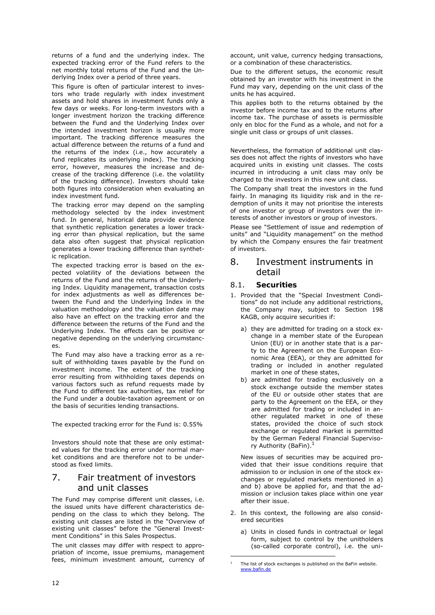returns of a fund and the underlying index. The expected tracking error of the Fund refers to the net monthly total returns of the Fund and the Underlying Index over a period of three years.

This figure is often of particular interest to investors who trade regularly with index investment assets and hold shares in investment funds only a few days or weeks. For long-term investors with a longer investment horizon the tracking difference between the Fund and the Underlying Index over the intended investment horizon is usually more important. The tracking difference measures the actual difference between the returns of a fund and the returns of the index (i.e., how accurately a fund replicates its underlying index). The tracking error, however, measures the increase and decrease of the tracking difference (i.e. the volatility of the tracking difference). Investors should take both figures into consideration when evaluating an index investment fund.

The tracking error may depend on the sampling methodology selected by the index investment fund. In general, historical data provide evidence that synthetic replication generates a lower tracking error than physical replication, but the same data also often suggest that physical replication generates a lower tracking difference than synthetic replication.

The expected tracking error is based on the expected volatility of the deviations between the returns of the Fund and the returns of the Underlying Index. Liquidity management, transaction costs for index adjustments as well as differences between the Fund and the Underlying Index in the valuation methodology and the valuation date may also have an effect on the tracking error and the difference between the returns of the Fund and the Underlying Index. The effects can be positive or negative depending on the underlying circumstances.

The Fund may also have a tracking error as a result of withholding taxes payable by the Fund on investment income. The extent of the tracking error resulting from withholding taxes depends on various factors such as refund requests made by the Fund to different tax authorities, tax relief for the Fund under a double-taxation agreement or on the basis of securities lending transactions.

The expected tracking error for the Fund is: 0.55%

Investors should note that these are only estimated values for the tracking error under normal market conditions and are therefore not to be understood as fixed limits.

# 7. Fair treatment of investors and unit classes

The Fund may comprise different unit classes, i.e. the issued units have different characteristics depending on the class to which they belong. The existing unit classes are listed in the "Overview of existing unit classes" before the "General Investment Conditions" in this Sales Prospectus.

The unit classes may differ with respect to appropriation of income, issue premiums, management fees, minimum investment amount, currency of account, unit value, currency hedging transactions, or a combination of these characteristics.

Due to the different setups, the economic result obtained by an investor with his investment in the Fund may vary, depending on the unit class of the units he has acquired.

This applies both to the returns obtained by the investor before income tax and to the returns after income tax. The purchase of assets is permissible only en bloc for the Fund as a whole, and not for a single unit class or groups of unit classes.

Nevertheless, the formation of additional unit classes does not affect the rights of investors who have acquired units in existing unit classes. The costs incurred in introducing a unit class may only be charged to the investors in this new unit class.

The Company shall treat the investors in the fund fairly. In managing its liquidity risk and in the redemption of units it may not prioritise the interests of one investor or group of investors over the interests of another investors or group of investors.

Please see "Settlement of issue and redemption of units" and "Liquidity management" on the method by which the Company ensures the fair treatment of investors.

# 8. Investment instruments in detail

### 8.1. **Securities**

- 1. Provided that the "Special Investment Conditions" do not include any additional restrictions, the Company may, subject to Section 198 KAGB, only acquire securities if:
	- a) they are admitted for trading on a stock exchange in a member state of the European Union (EU) or in another state that is a party to the Agreement on the European Economic Area (EEA), or they are admitted for trading or included in another regulated market in one of these states,
	- b) are admitted for trading exclusively on a stock exchange outside the member states of the EU or outside other states that are party to the Agreement on the EEA, or they are admitted for trading or included in another regulated market in one of these states, provided the choice of such stock exchange or regulated market is permitted by the German Federal Financial Supervisory Authority (BaFin).<sup>1</sup>

New issues of securities may be acquired provided that their issue conditions require that admission to or inclusion in one of the stock exchanges or regulated markets mentioned in a) and b) above be applied for, and that the admission or inclusion takes place within one year after their issue.

- 2. In this context, the following are also considered securities
	- a) Units in closed funds in contractual or legal form, subject to control by the unitholders (so-called corporate control), i.e. the uni-

-

<sup>&</sup>lt;sup>1</sup> The list of stock exchanges is published on the BaFin website. www.bafin.de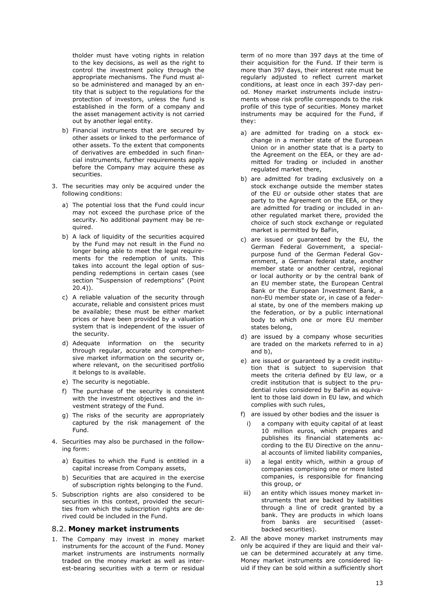tholder must have voting rights in relation to the key decisions, as well as the right to control the investment policy through the appropriate mechanisms. The Fund must also be administered and managed by an entity that is subject to the regulations for the protection of investors, unless the fund is established in the form of a company and the asset management activity is not carried out by another legal entity.

- b) Financial instruments that are secured by other assets or linked to the performance of other assets. To the extent that components of derivatives are embedded in such financial instruments, further requirements apply before the Company may acquire these as securities.
- 3. The securities may only be acquired under the following conditions:
	- a) The potential loss that the Fund could incur may not exceed the purchase price of the security. No additional payment may be required.
	- b) A lack of liquidity of the securities acquired by the Fund may not result in the Fund no longer being able to meet the legal requirements for the redemption of units. This takes into account the legal option of suspending redemptions in certain cases (see section "Suspension of redemptions" (Point 20.4)).
	- c) A reliable valuation of the security through accurate, reliable and consistent prices must be available; these must be either market prices or have been provided by a valuation system that is independent of the issuer of the security.
	- d) Adequate information on the security through regular, accurate and comprehensive market information on the security or, where relevant, on the securitised portfolio it belongs to is available.
	- e) The security is negotiable.
	- f) The purchase of the security is consistent with the investment objectives and the investment strategy of the Fund.
	- g) The risks of the security are appropriately captured by the risk management of the Fund.
- 4. Securities may also be purchased in the following form:
	- a) Equities to which the Fund is entitled in a capital increase from Company assets,
	- b) Securities that are acquired in the exercise of subscription rights belonging to the Fund.
- 5. Subscription rights are also considered to be securities in this context, provided the securities from which the subscription rights are derived could be included in the Fund.

#### 8.2. **Money market instruments**

1. The Company may invest in money market instruments for the account of the Fund. Money market instruments are instruments normally traded on the money market as well as interest-bearing securities with a term or residual term of no more than 397 days at the time of their acquisition for the Fund. If their term is more than 397 days, their interest rate must be regularly adjusted to reflect current market conditions, at least once in each 397-day period. Money market instruments include instruments whose risk profile corresponds to the risk profile of this type of securities. Money market instruments may be acquired for the Fund, if they:

- a) are admitted for trading on a stock exchange in a member state of the European Union or in another state that is a party to the Agreement on the EEA, or they are admitted for trading or included in another regulated market there,
- b) are admitted for trading exclusively on a stock exchange outside the member states of the EU or outside other states that are party to the Agreement on the EEA, or they are admitted for trading or included in another regulated market there, provided the choice of such stock exchange or regulated market is permitted by BaFin,
- c) are issued or guaranteed by the EU, the German Federal Government, a specialpurpose fund of the German Federal Government, a German federal state, another member state or another central, regional or local authority or by the central bank of an EU member state, the European Central Bank or the European Investment Bank, a non-EU member state or, in case of a federal state, by one of the members making up the federation, or by a public international body to which one or more EU member states belong,
- d) are issued by a company whose securities are traded on the markets referred to in a) and b),
- e) are issued or guaranteed by a credit institution that is subject to supervision that meets the criteria defined by EU law, or a credit institution that is subject to the prudential rules considered by BaFin as equivalent to those laid down in EU law, and which complies with such rules,
- f) are issued by other bodies and the issuer is
	- i) a company with equity capital of at least 10 million euros, which prepares and publishes its financial statements according to the EU Directive on the annual accounts of limited liability companies,
- ii) a legal entity which, within a group of companies comprising one or more listed companies, is responsible for financing this group, or
- iii) an entity which issues money market instruments that are backed by liabilities through a line of credit granted by a bank. They are products in which loans from banks are securitised (assetbacked securities).
- 2. All the above money market instruments may only be acquired if they are liquid and their value can be determined accurately at any time. Money market instruments are considered liquid if they can be sold within a sufficiently short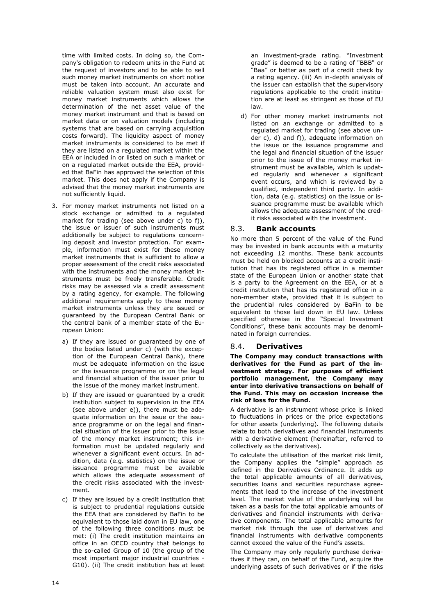time with limited costs. In doing so, the Company's obligation to redeem units in the Fund at the request of investors and to be able to sell such money market instruments on short notice must be taken into account. An accurate and reliable valuation system must also exist for money market instruments which allows the determination of the net asset value of the money market instrument and that is based on market data or on valuation models (including systems that are based on carrying acquisition costs forward). The liquidity aspect of money market instruments is considered to be met if they are listed on a regulated market within the EEA or included in or listed on such a market or on a regulated market outside the EEA, provided that BaFin has approved the selection of this market. This does not apply if the Company is advised that the money market instruments are not sufficiently liquid.

- 3. For money market instruments not listed on a stock exchange or admitted to a regulated market for trading (see above under c) to f)), the issue or issuer of such instruments must additionally be subject to regulations concerning deposit and investor protection. For example, information must exist for these money market instruments that is sufficient to allow a proper assessment of the credit risks associated with the instruments and the money market instruments must be freely transferable. Credit risks may be assessed via a credit assessment by a rating agency, for example. The following additional requirements apply to these money market instruments unless they are issued or guaranteed by the European Central Bank or the central bank of a member state of the European Union:
	- a) If they are issued or guaranteed by one of the bodies listed under c) (with the exception of the European Central Bank), there must be adequate information on the issue or the issuance programme or on the legal and financial situation of the issuer prior to the issue of the money market instrument.
	- b) If they are issued or guaranteed by a credit institution subject to supervision in the EEA (see above under e)), there must be adequate information on the issue or the issuance programme or on the legal and financial situation of the issuer prior to the issue of the money market instrument; this information must be updated regularly and whenever a significant event occurs. In addition, data (e.g. statistics) on the issue or issuance programme must be available which allows the adequate assessment of the credit risks associated with the investment.
	- c) If they are issued by a credit institution that is subject to prudential regulations outside the EEA that are considered by BaFin to be equivalent to those laid down in EU law, one of the following three conditions must be met: (i) The credit institution maintains an office in an OECD country that belongs to the so-called Group of 10 (the group of the most important major industrial countries - G10). (ii) The credit institution has at least

an investment-grade rating. "Investment grade" is deemed to be a rating of "BBB" or "Baa" or better as part of a credit check by a rating agency. (iii) An in-depth analysis of the issuer can establish that the supervisory regulations applicable to the credit institution are at least as stringent as those of EU law.

d) For other money market instruments not listed on an exchange or admitted to a regulated market for trading (see above under c), d) and f)), adequate information on the issue or the issuance programme and the legal and financial situation of the issuer prior to the issue of the money market instrument must be available, which is updated regularly and whenever a significant event occurs, and which is reviewed by a qualified, independent third party. In addition, data (e.g. statistics) on the issue or issuance programme must be available which allows the adequate assessment of the credit risks associated with the investment.

### 8.3. **Bank accounts**

No more than 5 percent of the value of the Fund may be invested in bank accounts with a maturity not exceeding 12 months. These bank accounts must be held on blocked accounts at a credit institution that has its registered office in a member state of the European Union or another state that is a party to the Agreement on the EEA, or at a credit institution that has its registered office in a non-member state, provided that it is subject to the prudential rules considered by BaFin to be equivalent to those laid down in EU law. Unless specified otherwise in the "Special Investment Conditions", these bank accounts may be denominated in foreign currencies.

### 8.4. **Derivatives**

**The Company may conduct transactions with derivatives for the Fund as part of the investment strategy. For purposes of efficient portfolio management, the Company may enter into derivative transactions on behalf of the Fund. This may on occasion increase the risk of loss for the Fund.** 

A derivative is an instrument whose price is linked to fluctuations in prices or the price expectations for other assets (underlying). The following details relate to both derivatives and financial instruments with a derivative element (hereinafter, referred to collectively as the derivatives).

To calculate the utilisation of the market risk limit, the Company applies the "simple" approach as defined in the Derivatives Ordinance. It adds up the total applicable amounts of all derivatives, securities loans and securities repurchase agreements that lead to the increase of the investment level. The market value of the underlying will be taken as a basis for the total applicable amounts of derivatives and financial instruments with derivative components. The total applicable amounts for market risk through the use of derivatives and financial instruments with derivative components cannot exceed the value of the Fund's assets.

The Company may only regularly purchase derivatives if they can, on behalf of the Fund, acquire the underlying assets of such derivatives or if the risks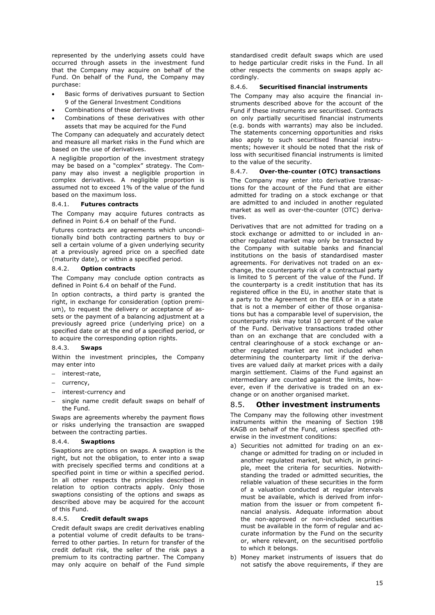represented by the underlying assets could have occurred through assets in the investment fund that the Company may acquire on behalf of the Fund. On behalf of the Fund, the Company may purchase:

- Basic forms of derivatives pursuant to Section 9 of the General Investment Conditions
- Combinations of these derivatives
- Combinations of these derivatives with other assets that may be acquired for the Fund

The Company can adequately and accurately detect and measure all market risks in the Fund which are based on the use of derivatives.

A negligible proportion of the investment strategy may be based on a "complex" strategy. The Company may also invest a negligible proportion in complex derivatives. A negligible proportion is assumed not to exceed 1% of the value of the fund based on the maximum loss.

#### 8.4.1. **Futures contracts**

The Company may acquire futures contracts as defined in Point 6.4 on behalf of the Fund.

Futures contracts are agreements which unconditionally bind both contracting partners to buy or sell a certain volume of a given underlying security at a previously agreed price on a specified date (maturity date), or within a specified period.

### 8.4.2. **Option contracts**

The Company may conclude option contracts as defined in Point 6.4 on behalf of the Fund.

In option contracts, a third party is granted the right, in exchange for consideration (option premium), to request the delivery or acceptance of assets or the payment of a balancing adjustment at a previously agreed price (underlying price) on a specified date or at the end of a specified period, or to acquire the corresponding option rights.

### 8.4.3. **Swaps**

Within the investment principles, the Company may enter into

- interest-rate,
- currency,
- interest-currency and
- single name credit default swaps on behalf of the Fund.

Swaps are agreements whereby the payment flows or risks underlying the transaction are swapped between the contracting parties.

#### 8.4.4. **Swaptions**

Swaptions are options on swaps. A swaption is the right, but not the obligation, to enter into a swap with precisely specified terms and conditions at a specified point in time or within a specified period. In all other respects the principles described in relation to option contracts apply. Only those swaptions consisting of the options and swaps as described above may be acquired for the account of this Fund.

### 8.4.5. **Credit default swaps**

Credit default swaps are credit derivatives enabling a potential volume of credit defaults to be transferred to other parties. In return for transfer of the credit default risk, the seller of the risk pays a premium to its contracting partner. The Company may only acquire on behalf of the Fund simple standardised credit default swaps which are used to hedge particular credit risks in the Fund. In all other respects the comments on swaps apply accordingly.

#### 8.4.6. **Securitised financial instruments**

The Company may also acquire the financial instruments described above for the account of the Fund if these instruments are securitised. Contracts on only partially securitised financial instruments (e.g. bonds with warrants) may also be included. The statements concerning opportunities and risks also apply to such securitised financial instruments; however it should be noted that the risk of loss with securitised financial instruments is limited to the value of the security.

### 8.4.7. **Over-the-counter (OTC) transactions**

The Company may enter into derivative transactions for the account of the Fund that are either admitted for trading on a stock exchange or that are admitted to and included in another regulated market as well as over-the-counter (OTC) derivatives.

Derivatives that are not admitted for trading on a stock exchange or admitted to or included in another regulated market may only be transacted by the Company with suitable banks and financial institutions on the basis of standardised master agreements. For derivatives not traded on an exchange, the counterparty risk of a contractual party is limited to 5 percent of the value of the Fund. If the counterparty is a credit institution that has its registered office in the EU, in another state that is a party to the Agreement on the EEA or in a state that is not a member of either of those organisations but has a comparable level of supervision, the counterparty risk may total 10 percent of the value of the Fund. Derivative transactions traded other than on an exchange that are concluded with a central clearinghouse of a stock exchange or another regulated market are not included when determining the counterparty limit if the derivatives are valued daily at market prices with a daily margin settlement. Claims of the Fund against an intermediary are counted against the limits, however, even if the derivative is traded on an exchange or on another organised market.

### 8.5. **Other investment instruments**

The Company may the following other investment instruments within the meaning of Section 198 KAGB on behalf of the Fund, unless specified otherwise in the investment conditions:

- a) Securities not admitted for trading on an exchange or admitted for trading on or included in another regulated market, but which, in principle, meet the criteria for securities. Notwithstanding the traded or admitted securities, the reliable valuation of these securities in the form of a valuation conducted at regular intervals must be available, which is derived from information from the issuer or from competent financial analysis. Adequate information about the non-approved or non-included securities must be available in the form of regular and accurate information by the Fund on the security or, where relevant, on the securitised portfolio to which it belongs.
- b) Money market instruments of issuers that do not satisfy the above requirements, if they are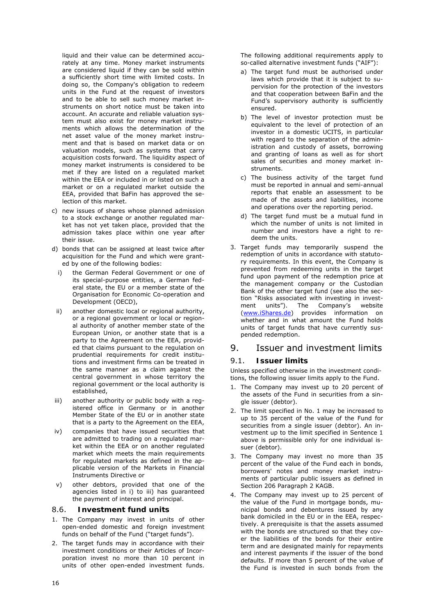liquid and their value can be determined accurately at any time. Money market instruments are considered liquid if they can be sold within a sufficiently short time with limited costs. In doing so, the Company's obligation to redeem units in the Fund at the request of investors and to be able to sell such money market instruments on short notice must be taken into account. An accurate and reliable valuation system must also exist for money market instruments which allows the determination of the net asset value of the money market instrument and that is based on market data or on valuation models, such as systems that carry acquisition costs forward. The liquidity aspect of money market instruments is considered to be met if they are listed on a regulated market within the EEA or included in or listed on such a market or on a regulated market outside the EEA, provided that BaFin has approved the selection of this market.

- c) new issues of shares whose planned admission to a stock exchange or another regulated market has not yet taken place, provided that the admission takes place within one year after their issue.
- d) bonds that can be assigned at least twice after acquisition for the Fund and which were granted by one of the following bodies:
	- i) the German Federal Government or one of its special-purpose entities, a German federal state, the EU or a member state of the Organisation for Economic Co-operation and Development (OECD),
- ii) another domestic local or regional authority, or a regional government or local or regional authority of another member state of the European Union, or another state that is a party to the Agreement on the EEA, provided that claims pursuant to the regulation on prudential requirements for credit institutions and investment firms can be treated in the same manner as a claim against the central government in whose territory the regional government or the local authority is established,
- iii) another authority or public body with a registered office in Germany or in another Member State of the EU or in another state that is a party to the Agreement on the EEA,
- iv) companies that have issued securities that are admitted to trading on a regulated market within the EEA or on another regulated market which meets the main requirements for regulated markets as defined in the applicable version of the Markets in Financial Instruments Directive or
- v) other debtors, provided that one of the agencies listed in i) to iii) has guaranteed the payment of interest and principal.

### 8.6. **Investment fund units**

- 1. The Company may invest in units of other open-ended domestic and foreign investment funds on behalf of the Fund ("target funds").
- 2. The target funds may in accordance with their investment conditions or their Articles of Incorporation invest no more than 10 percent in units of other open-ended investment funds.

The following additional requirements apply to so-called alternative investment funds ("AIF"):

- a) The target fund must be authorised under laws which provide that it is subject to supervision for the protection of the investors and that cooperation between BaFin and the Fund's supervisory authority is sufficiently ensured.
- b) The level of investor protection must be equivalent to the level of protection of an investor in a domestic UCITS, in particular with regard to the separation of the administration and custody of assets, borrowing and granting of loans as well as for short sales of securities and money market instruments.
- c) The business activity of the target fund must be reported in annual and semi-annual reports that enable an assessment to be made of the assets and liabilities, income and operations over the reporting period.
- d) The target fund must be a mutual fund in which the number of units is not limited in number and investors have a right to redeem the units.
- 3. Target funds may temporarily suspend the redemption of units in accordance with statutory requirements. In this event, the Company is prevented from redeeming units in the target fund upon payment of the redemption price at the management company or the Custodian Bank of the other target fund (see also the section "Risks associated with investing in investment units"). The Company's website (www.iShares.de) provides information on whether and in what amount the Fund holds units of target funds that have currently suspended redemption.

# 9. Issuer and investment limits

### 9.1. **Issuer limits**

Unless specified otherwise in the investment conditions, the following issuer limits apply to the Fund.

- 1. The Company may invest up to 20 percent of the assets of the Fund in securities from a single issuer (debtor).
- 2. The limit specified in No. 1 may be increased to up to 35 percent of the value of the Fund for securities from a single issuer (debtor). An investment up to the limit specified in Sentence 1 above is permissible only for one individual issuer (debtor).
- 3. The Company may invest no more than 35 percent of the value of the Fund each in bonds, borrowers' notes and money market instruments of particular public issuers as defined in Section 206 Paragraph 2 KAGB.
- 4. The Company may invest up to 25 percent of the value of the Fund in mortgage bonds, municipal bonds and debentures issued by any bank domiciled in the EU or in the EEA, respectively. A prerequisite is that the assets assumed with the bonds are structured so that they cover the liabilities of the bonds for their entire term and are designated mainly for repayments and interest payments if the issuer of the bond defaults. If more than 5 percent of the value of the Fund is invested in such bonds from the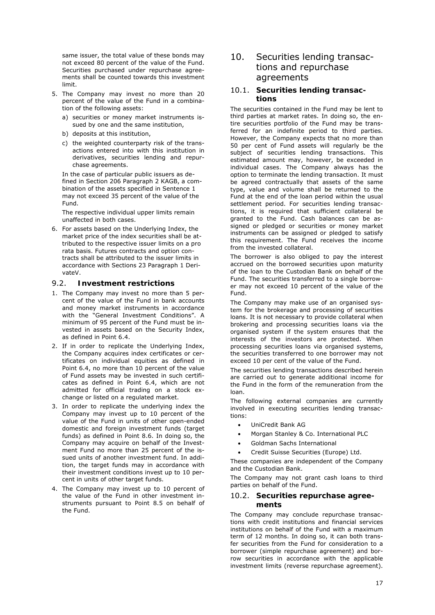same issuer, the total value of these bonds may not exceed 80 percent of the value of the Fund. Securities purchased under repurchase agreements shall be counted towards this investment limit.

- 5. The Company may invest no more than 20 percent of the value of the Fund in a combination of the following assets:
	- a) securities or money market instruments issued by one and the same institution,
	- b) deposits at this institution,
	- c) the weighted counterparty risk of the transactions entered into with this institution in derivatives, securities lending and repurchase agreements.

In the case of particular public issuers as defined in Section 206 Paragraph 2 KAGB, a combination of the assets specified in Sentence 1 may not exceed 35 percent of the value of the Fund.

The respective individual upper limits remain unaffected in both cases.

6. For assets based on the Underlying Index, the market price of the index securities shall be attributed to the respective issuer limits on a pro rata basis. Futures contracts and option contracts shall be attributed to the issuer limits in accordance with Sections 23 Paragraph 1 DerivateV.

### 9.2. **Investment restrictions**

- 1. The Company may invest no more than 5 percent of the value of the Fund in bank accounts and money market instruments in accordance with the "General Investment Conditions". A minimum of 95 percent of the Fund must be invested in assets based on the Security Index, as defined in Point 6.4.
- 2. If in order to replicate the Underlying Index, the Company acquires index certificates or certificates on individual equities as defined in Point 6.4, no more than 10 percent of the value of Fund assets may be invested in such certificates as defined in Point 6.4, which are not admitted for official trading on a stock exchange or listed on a regulated market.
- 3. In order to replicate the underlying index the Company may invest up to 10 percent of the value of the Fund in units of other open-ended domestic and foreign investment funds (target funds) as defined in Point 8.6. In doing so, the Company may acquire on behalf of the Investment Fund no more than 25 percent of the issued units of another investment fund. In addition, the target funds may in accordance with their investment conditions invest up to 10 percent in units of other target funds.
- 4. The Company may invest up to 10 percent of the value of the Fund in other investment instruments pursuant to Point 8.5 on behalf of the Fund.

# 10. Securities lending transactions and repurchase agreements

### 10.1. **Securities lending transactions**

The securities contained in the Fund may be lent to third parties at market rates. In doing so, the entire securities portfolio of the Fund may be transferred for an indefinite period to third parties. However, the Company expects that no more than 50 per cent of Fund assets will regularly be the subject of securities lending transactions. This estimated amount may, however, be exceeded in individual cases. The Company always has the option to terminate the lending transaction. It must be agreed contractually that assets of the same type, value and volume shall be returned to the Fund at the end of the loan period within the usual settlement period. For securities lending transactions, it is required that sufficient collateral be granted to the Fund. Cash balances can be assigned or pledged or securities or money market instruments can be assigned or pledged to satisfy this requirement. The Fund receives the income from the invested collateral.

The borrower is also obliged to pay the interest accrued on the borrowed securities upon maturity of the loan to the Custodian Bank on behalf of the Fund. The securities transferred to a single borrower may not exceed 10 percent of the value of the Fund.

The Company may make use of an organised system for the brokerage and processing of securities loans. It is not necessary to provide collateral when brokering and processing securities loans via the organised system if the system ensures that the interests of the investors are protected. When processing securities loans via organised systems, the securities transferred to one borrower may not exceed 10 per cent of the value of the Fund.

The securities lending transactions described herein are carried out to generate additional income for the Fund in the form of the remuneration from the loan.

The following external companies are currently involved in executing securities lending transactions:

- UniCredit Bank AG
- Morgan Stanley & Co. International PLC
- Goldman Sachs International
- Credit Suisse Securities (Europe) Ltd.

These companies are independent of the Company and the Custodian Bank.

The Company may not grant cash loans to third parties on behalf of the Fund.

#### 10.2. **Securities repurchase agreements**

The Company may conclude repurchase transactions with credit institutions and financial services institutions on behalf of the Fund with a maximum term of 12 months. In doing so, it can both transfer securities from the Fund for consideration to a borrower (simple repurchase agreement) and borrow securities in accordance with the applicable investment limits (reverse repurchase agreement).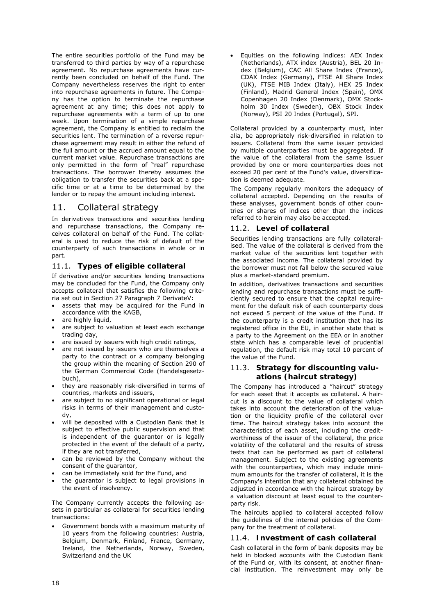The entire securities portfolio of the Fund may be transferred to third parties by way of a repurchase agreement. No repurchase agreements have currently been concluded on behalf of the Fund. The Company nevertheless reserves the right to enter into repurchase agreements in future. The Company has the option to terminate the repurchase agreement at any time; this does not apply to repurchase agreements with a term of up to one week. Upon termination of a simple repurchase agreement, the Company is entitled to reclaim the securities lent. The termination of a reverse repurchase agreement may result in either the refund of the full amount or the accrued amount equal to the current market value. Repurchase transactions are only permitted in the form of "real" repurchase transactions. The borrower thereby assumes the obligation to transfer the securities back at a specific time or at a time to be determined by the lender or to repay the amount including interest.

# 11. Collateral strategy

In derivatives transactions and securities lending and repurchase transactions, the Company receives collateral on behalf of the Fund. The collateral is used to reduce the risk of default of the counterparty of such transactions in whole or in part.

### 11.1. **Types of eligible collateral**

If derivative and/or securities lending transactions may be concluded for the Fund, the Company only accepts collateral that satisfies the following criteria set out in Section 27 Paragraph 7 DerivateV:

- assets that may be acquired for the Fund in accordance with the KAGB,
- are highly liquid,
- are subject to valuation at least each exchange trading day,
- are issued by issuers with high credit ratings,
- are not issued by issuers who are themselves a party to the contract or a company belonging the group within the meaning of Section 290 of the German Commercial Code (Handelsgesetzbuch),
- they are reasonably risk-diversified in terms of countries, markets and issuers,
- are subject to no significant operational or legal risks in terms of their management and custody,
- will be deposited with a Custodian Bank that is subject to effective public supervision and that is independent of the guarantor or is legally protected in the event of the default of a party, if they are not transferred,
- can be reviewed by the Company without the consent of the guarantor,
- can be immediately sold for the Fund, and
- the guarantor is subject to legal provisions in the event of insolvency.

The Company currently accepts the following assets in particular as collateral for securities lending transactions:

• Government bonds with a maximum maturity of 10 years from the following countries: Austria, Belgium, Denmark, Finland, France, Germany, Ireland, the Netherlands, Norway, Sweden, Switzerland and the UK

• Equities on the following indices: AEX Index (Netherlands), ATX index (Austria), BEL 20 Index (Belgium), CAC All Share Index (France), CDAX Index (Germany), FTSE All Share Index (UK), FTSE MIB Index (Italy), HEX 25 Index (Finland), Madrid General Index (Spain), OMX Copenhagen 20 Index (Denmark), OMX Stockholm 30 Index (Sweden), OBX Stock Index (Norway), PSI 20 Index (Portugal), SPI.

Collateral provided by a counterparty must, inter alia, be appropriately risk-diversified in relation to issuers. Collateral from the same issuer provided by multiple counterparties must be aggregated. If the value of the collateral from the same issuer provided by one or more counterparties does not exceed 20 per cent of the Fund's value, diversification is deemed adequate.

The Company regularly monitors the adequacy of collateral accepted. Depending on the results of these analyses, government bonds of other countries or shares of indices other than the indices referred to herein may also be accepted.

### 11.2. **Level of collateral**

Securities lending transactions are fully collateralised. The value of the collateral is derived from the market value of the securities lent together with the associated income. The collateral provided by the borrower must not fall below the secured value plus a market-standard premium.

In addition, derivatives transactions and securities lending and repurchase transactions must be sufficiently secured to ensure that the capital requirement for the default risk of each counterparty does not exceed 5 percent of the value of the Fund. If the counterparty is a credit institution that has its registered office in the EU, in another state that is a party to the Agreement on the EEA or in another state which has a comparable level of prudential regulation, the default risk may total 10 percent of the value of the Fund.

### 11.3. **Strategy for discounting valuations (haircut strategy)**

The Company has introduced a "haircut" strategy for each asset that it accepts as collateral. A haircut is a discount to the value of collateral which takes into account the deterioration of the valuation or the liquidity profile of the collateral over time. The haircut strategy takes into account the characteristics of each asset, including the creditworthiness of the issuer of the collateral, the price volatility of the collateral and the results of stress tests that can be performed as part of collateral management. Subject to the existing agreements with the counterparties, which may include minimum amounts for the transfer of collateral, it is the Company's intention that any collateral obtained be adjusted in accordance with the haircut strategy by a valuation discount at least equal to the counterparty risk.

The haircuts applied to collateral accepted follow the guidelines of the internal policies of the Company for the treatment of collateral.

### 11.4. **Investment of cash collateral**

Cash collateral in the form of bank deposits may be held in blocked accounts with the Custodian Bank of the Fund or, with its consent, at another financial institution. The reinvestment may only be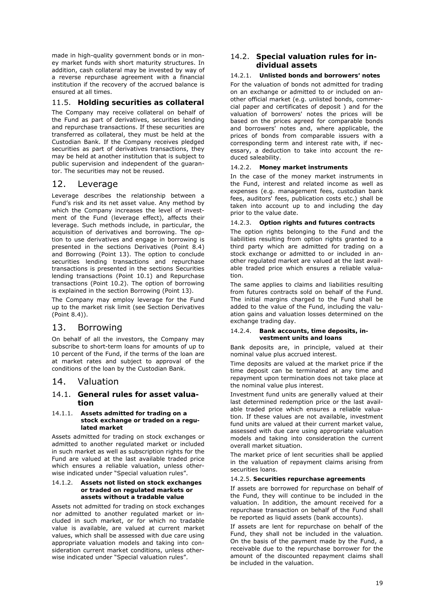made in high-quality government bonds or in money market funds with short maturity structures. In addition, cash collateral may be invested by way of a reverse repurchase agreement with a financial institution if the recovery of the accrued balance is ensured at all times.

### 11.5. **Holding securities as collateral**

The Company may receive collateral on behalf of the Fund as part of derivatives, securities lending and repurchase transactions. If these securities are transferred as collateral, they must be held at the Custodian Bank. If the Company receives pledged securities as part of derivatives transactions, they may be held at another institution that is subject to public supervision and independent of the guarantor. The securities may not be reused.

# 12. Leverage

Leverage describes the relationship between a Fund's risk and its net asset value. Any method by which the Company increases the level of investment of the Fund (leverage effect), affects their leverage. Such methods include, in particular, the acquisition of derivatives and borrowing. The option to use derivatives and engage in borrowing is presented in the sections Derivatives (Point 8.4) and Borrowing (Point 13). The option to conclude securities lending transactions and repurchase transactions is presented in the sections Securities lending transactions (Point 10.1) and Repurchase transactions (Point 10.2). The option of borrowing is explained in the section Borrowing (Point 13).

The Company may employ leverage for the Fund up to the market risk limit (see Section Derivatives (Point 8.4)).

# 13. Borrowing

On behalf of all the investors, the Company may subscribe to short-term loans for amounts of up to 10 percent of the Fund, if the terms of the loan are at market rates and subject to approval of the conditions of the loan by the Custodian Bank.

# 14. Valuation

### 14.1. **General rules for asset valuation**

#### 14.1.1. **Assets admitted for trading on a stock exchange or traded on a regulated market**

Assets admitted for trading on stock exchanges or admitted to another regulated market or included in such market as well as subscription rights for the Fund are valued at the last available traded price which ensures a reliable valuation, unless otherwise indicated under "Special valuation rules".

#### 14.1.2. **Assets not listed on stock exchanges or traded on regulated markets or assets without a tradable value**

Assets not admitted for trading on stock exchanges nor admitted to another regulated market or included in such market, or for which no tradable value is available, are valued at current market values, which shall be assessed with due care using appropriate valuation models and taking into consideration current market conditions, unless otherwise indicated under "Special valuation rules".

### 14.2. **Special valuation rules for individual assets**

#### 14.2.1. **Unlisted bonds and borrowers' notes**

For the valuation of bonds not admitted for trading on an exchange or admitted to or included on another official market (e.g. unlisted bonds, commercial paper and certificates of deposit ) and for the valuation of borrowers' notes the prices will be based on the prices agreed for comparable bonds and borrowers' notes and, where applicable, the prices of bonds from comparable issuers with a corresponding term and interest rate with, if necessary, a deduction to take into account the reduced saleability.

#### 14.2.2. **Money market instruments**

In the case of the money market instruments in the Fund, interest and related income as well as expenses (e.g. management fees, custodian bank fees, auditors' fees, publication costs etc.) shall be taken into account up to and including the day prior to the value date.

#### 14.2.3. **Option rights and futures contracts**

The option rights belonging to the Fund and the liabilities resulting from option rights granted to a third party which are admitted for trading on a stock exchange or admitted to or included in another regulated market are valued at the last available traded price which ensures a reliable valuation.

The same applies to claims and liabilities resulting from futures contracts sold on behalf of the Fund. The initial margins charged to the Fund shall be added to the value of the Fund, including the valuation gains and valuation losses determined on the exchange trading day.

#### 14.2.4. **Bank accounts, time deposits, investment units and loans**

Bank deposits are, in principle, valued at their nominal value plus accrued interest.

Time deposits are valued at the market price if the time deposit can be terminated at any time and repayment upon termination does not take place at the nominal value plus interest.

Investment fund units are generally valued at their last determined redemption price or the last available traded price which ensures a reliable valuation. If these values are not available, investment fund units are valued at their current market value, assessed with due care using appropriate valuation models and taking into consideration the current overall market situation.

The market price of lent securities shall be applied in the valuation of repayment claims arising from securities loans.

#### 14.2.5. **Securities repurchase agreements**

If assets are borrowed for repurchase on behalf of the Fund, they will continue to be included in the valuation. In addition, the amount received for a repurchase transaction on behalf of the Fund shall be reported as liquid assets (bank accounts).

If assets are lent for repurchase on behalf of the Fund, they shall not be included in the valuation. On the basis of the payment made by the Fund, a receivable due to the repurchase borrower for the amount of the discounted repayment claims shall be included in the valuation.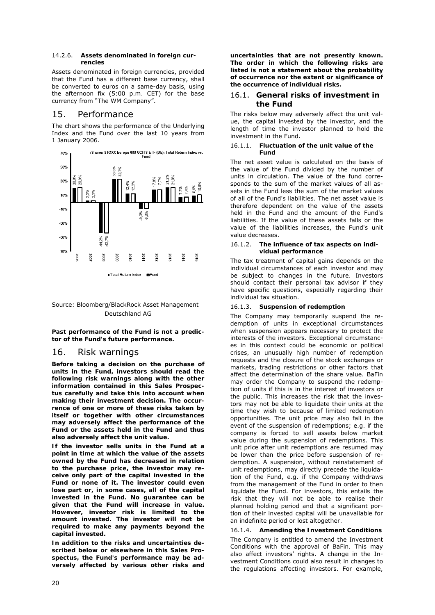#### 14.2.6. **Assets denominated in foreign currencies**

Assets denominated in foreign currencies, provided that the Fund has a different base currency, shall be converted to euros on a same-day basis, using the afternoon fix (5:00 p.m. CET) for the base currency from "The WM Company".

# 15. Performance

The chart shows the performance of the Underlying Index and the Fund over the last 10 years from 1 January 2006.





**Past performance of the Fund is not a predictor of the Fund's future performance.**

### 16. Risk warnings

*Before taking a decision on the purchase of units in the Fund, investors should read the following risk warnings along with the other information contained in this Sales Prospectus carefully and take this into account when making their investment decision. The occurrence of one or more of these risks taken by itself or together with other circumstances may adversely affect the performance of the Fund or the assets held in the Fund and thus also adversely affect the unit value.* 

*If the investor sells units in the Fund at a point in time at which the value of the assets owned by the Fund has decreased in relation to the purchase price, the investor may receive only part of the capital invested in the Fund or none of it. The investor could even lose part or, in some cases, all of the capital invested in the Fund. No guarantee can be given that the Fund will increase in value. However, investor risk is limited to the amount invested. The investor will not be required to make any payments beyond the capital invested.* 

*In addition to the risks and uncertainties described below or elsewhere in this Sales Prospectus, the Fund's performance may be adversely affected by various other risks and*  *uncertainties that are not presently known. The order in which the following risks are listed is not a statement about the probability of occurrence nor the extent or significance of the occurrence of individual risks.* 

### 16.1. **General risks of investment in the Fund**

The risks below may adversely affect the unit value, the capital invested by the investor, and the length of time the investor planned to hold the investment in the Fund.

#### 16.1.1. **Fluctuation of the unit value of the Fund**

The net asset value is calculated on the basis of the value of the Fund divided by the number of units in circulation. The value of the fund corresponds to the sum of the market values of all assets in the Fund less the sum of the market values of all of the Fund's liabilities. The net asset value is therefore dependent on the value of the assets held in the Fund and the amount of the Fund's liabilities. If the value of these assets falls or the value of the liabilities increases, the Fund's unit value decreases.

#### 16.1.2. **The influence of tax aspects on individual performance**

The tax treatment of capital gains depends on the individual circumstances of each investor and may be subject to changes in the future. Investors should contact their personal tax advisor if they have specific questions, especially regarding their individual tax situation.

#### 16.1.3. **Suspension of redemption**

The Company may temporarily suspend the redemption of units in exceptional circumstances when suspension appears necessary to protect the interests of the investors. Exceptional circumstances in this context could be economic or political crises, an unusually high number of redemption requests and the closure of the stock exchanges or markets, trading restrictions or other factors that affect the determination of the share value. BaFin may order the Company to suspend the redemption of units if this is in the interest of investors or the public. This increases the risk that the investors may not be able to liquidate their units at the time they wish to because of limited redemption opportunities. The unit price may also fall in the event of the suspension of redemptions; e.g. if the company is forced to sell assets below market value during the suspension of redemptions. This unit price after unit redemptions are resumed may be lower than the price before suspension of redemption. A suspension, without reinstatement of unit redemptions, may directly precede the liquidation of the Fund, e.g. if the Company withdraws from the management of the Fund in order to then liquidate the Fund. For investors, this entails the risk that they will not be able to realise their planned holding period and that a significant portion of their invested capital will be unavailable for an indefinite period or lost altogether.

### 16.1.4. **Amending the Investment Conditions**

The Company is entitled to amend the Investment Conditions with the approval of BaFin. This may also affect investors' rights. A change in the Investment Conditions could also result in changes to the regulations affecting investors. For example,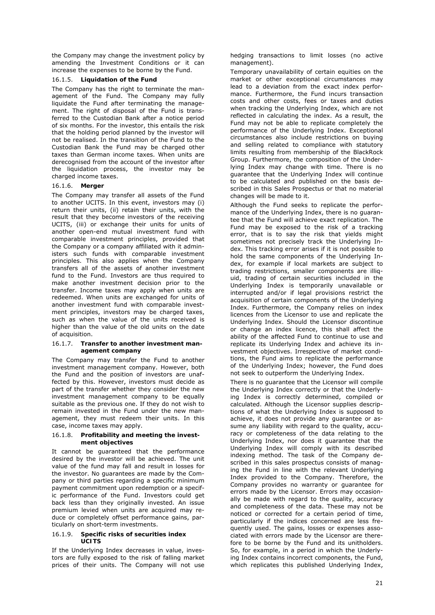the Company may change the investment policy by amending the Investment Conditions or it can increase the expenses to be borne by the Fund.

#### 16.1.5. **Liquidation of the Fund**

The Company has the right to terminate the management of the Fund. The Company may fully liquidate the Fund after terminating the management. The right of disposal of the Fund is transferred to the Custodian Bank after a notice period of six months. For the investor, this entails the risk that the holding period planned by the investor will not be realised. In the transition of the Fund to the Custodian Bank the Fund may be charged other taxes than German income taxes. When units are derecognised from the account of the investor after the liquidation process, the investor may be charged income taxes.

#### 16.1.6. **Merger**

The Company may transfer all assets of the Fund to another UCITS. In this event, investors may (i) return their units, (ii) retain their units, with the result that they become investors of the receiving UCITS, (iii) or exchange their units for units of another open-end mutual investment fund with comparable investment principles, provided that the Company or a company affiliated with it administers such funds with comparable investment principles. This also applies when the Company transfers all of the assets of another investment fund to the Fund. Investors are thus required to make another investment decision prior to the transfer. Income taxes may apply when units are redeemed. When units are exchanged for units of another investment fund with comparable investment principles, investors may be charged taxes, such as when the value of the units received is higher than the value of the old units on the date of acquisition.

#### 16.1.7. **Transfer to another investment management company**

The Company may transfer the Fund to another investment management company. However, both the Fund and the position of investors are unaffected by this. However, investors must decide as part of the transfer whether they consider the new investment management company to be equally suitable as the previous one. If they do not wish to remain invested in the Fund under the new management, they must redeem their units. In this case, income taxes may apply.

#### 16.1.8. **Profitability and meeting the investment objectives**

It cannot be guaranteed that the performance desired by the investor will be achieved. The unit value of the fund may fall and result in losses for the investor. No guarantees are made by the Company or third parties regarding a specific minimum payment commitment upon redemption or a specific performance of the Fund. Investors could get back less than they originally invested. An issue premium levied when units are acquired may reduce or completely offset performance gains, particularly on short-term investments.

#### 16.1.9. **Specific risks of securities index UCITS**

If the Underlying Index decreases in value, investors are fully exposed to the risk of falling market prices of their units. The Company will not use hedging transactions to limit losses (no active management).

Temporary unavailability of certain equities on the market or other exceptional circumstances may lead to a deviation from the exact index performance. Furthermore, the Fund incurs transaction costs and other costs, fees or taxes and duties when tracking the Underlying Index, which are not reflected in calculating the index. As a result, the Fund may not be able to replicate completely the performance of the Underlying Index. Exceptional circumstances also include restrictions on buying and selling related to compliance with statutory limits resulting from membership of the BlackRock Group. Furthermore, the composition of the Underlying Index may change with time. There is no guarantee that the Underlying Index will continue to be calculated and published on the basis described in this Sales Prospectus or that no material changes will be made to it.

Although the Fund seeks to replicate the performance of the Underlying Index, there is no guarantee that the Fund will achieve exact replication. The Fund may be exposed to the risk of a tracking error, that is to say the risk that yields might sometimes not precisely track the Underlying Index. This tracking error arises if it is not possible to hold the same components of the Underlying Index, for example if local markets are subject to trading restrictions, smaller components are illiquid, trading of certain securities included in the Underlying Index is temporarily unavailable or interrupted and/or if legal provisions restrict the acquisition of certain components of the Underlying Index. Furthermore, the Company relies on index licences from the Licensor to use and replicate the Underlying Index. Should the Licensor discontinue or change an index licence, this shall affect the ability of the affected Fund to continue to use and replicate its Underlying Index and achieve its investment objectives. Irrespective of market conditions, the Fund aims to replicate the performance of the Underlying Index; however, the Fund does not seek to outperform the Underlying Index.

There is no guarantee that the Licensor will compile the Underlying Index correctly or that the Underlying Index is correctly determined, compiled or calculated. Although the Licensor supplies descriptions of what the Underlying Index is supposed to achieve, it does not provide any guarantee or assume any liability with regard to the quality, accuracy or completeness of the data relating to the Underlying Index, nor does it guarantee that the Underlying Index will comply with its described indexing method. The task of the Company described in this sales prospectus consists of managing the Fund in line with the relevant Underlying Index provided to the Company. Therefore, the Company provides no warranty or guarantee for errors made by the Licensor. Errors may occasionally be made with regard to the quality, accuracy and completeness of the data. These may not be noticed or corrected for a certain period of time, particularly if the indices concerned are less frequently used. The gains, losses or expenses associated with errors made by the Licensor are therefore to be borne by the Fund and its unitholders. So, for example, in a period in which the Underlying Index contains incorrect components, the Fund, which replicates this published Underlying Index,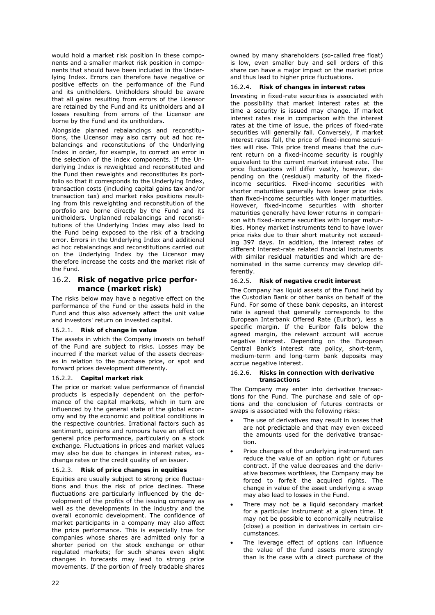would hold a market risk position in these components and a smaller market risk position in components that should have been included in the Underlying Index. Errors can therefore have negative or positive effects on the performance of the Fund and its unitholders. Unitholders should be aware that all gains resulting from errors of the Licensor are retained by the Fund and its unitholders and all losses resulting from errors of the Licensor are borne by the Fund and its unitholders.

Alongside planned rebalancings and reconstitutions, the Licensor may also carry out ad hoc rebalancings and reconstitutions of the Underlying Index in order, for example, to correct an error in the selection of the index components. If the Underlying Index is reweighted and reconstituted and the Fund then reweights and reconstitutes its portfolio so that it corresponds to the Underlying Index, transaction costs (including capital gains tax and/or transaction tax) and market risks positions resulting from this reweighting and reconstitution of the portfolio are borne directly by the Fund and its unitholders. Unplanned rebalancings and reconstitutions of the Underlying Index may also lead to the Fund being exposed to the risk of a tracking error. Errors in the Underlying Index and additional ad hoc rebalancings and reconstitutions carried out on the Underlying Index by the Licensor may therefore increase the costs and the market risk of the Fund.

### 16.2. **Risk of negative price performance (market risk)**

The risks below may have a negative effect on the performance of the Fund or the assets held in the Fund and thus also adversely affect the unit value and investors' return on invested capital.

#### 16.2.1. **Risk of change in value**

The assets in which the Company invests on behalf of the Fund are subject to risks. Losses may be incurred if the market value of the assets decreases in relation to the purchase price, or spot and forward prices development differently.

#### 16.2.2. **Capital market risk**

The price or market value performance of financial products is especially dependent on the performance of the capital markets, which in turn are influenced by the general state of the global economy and by the economic and political conditions in the respective countries. Irrational factors such as sentiment, opinions and rumours have an effect on general price performance, particularly on a stock exchange. Fluctuations in prices and market values may also be due to changes in interest rates, exchange rates or the credit quality of an issuer.

#### 16.2.3. **Risk of price changes in equities**

Equities are usually subject to strong price fluctuations and thus the risk of price declines. These fluctuations are particularly influenced by the development of the profits of the issuing company as well as the developments in the industry and the overall economic development. The confidence of market participants in a company may also affect the price performance. This is especially true for companies whose shares are admitted only for a shorter period on the stock exchange or other regulated markets; for such shares even slight changes in forecasts may lead to strong price movements. If the portion of freely tradable shares

owned by many shareholders (so-called free float) is low, even smaller buy and sell orders of this share can have a major impact on the market price and thus lead to higher price fluctuations.

#### 16.2.4. **Risk of changes in interest rates**

Investing in fixed-rate securities is associated with the possibility that market interest rates at the time a security is issued may change. If market interest rates rise in comparison with the interest rates at the time of issue, the prices of fixed-rate securities will generally fall. Conversely, if market interest rates fall, the price of fixed-income securities will rise. This price trend means that the current return on a fixed-income security is roughly equivalent to the current market interest rate. The price fluctuations will differ vastly, however, depending on the (residual) maturity of the fixedincome securities. Fixed-income securities with shorter maturities generally have lower price risks than fixed-income securities with longer maturities. However, fixed-income securities with shorter maturities generally have lower returns in comparison with fixed-income securities with longer maturities. Money market instruments tend to have lower price risks due to their short maturity not exceeding 397 days. In addition, the interest rates of different interest-rate related financial instruments with similar residual maturities and which are denominated in the same currency may develop differently.

#### 16.2.5. **Risk of negative credit interest**

The Company has liquid assets of the Fund held by the Custodian Bank or other banks on behalf of the Fund. For some of these bank deposits, an interest rate is agreed that generally corresponds to the European Interbank Offered Rate (Euribor), less a specific margin. If the Euribor falls below the agreed margin, the relevant account will accrue negative interest. Depending on the European Central Bank's interest rate policy, short-term, medium-term and long-term bank deposits may accrue negative interest.

#### 16.2.6. **Risks in connection with derivative transactions**

The Company may enter into derivative transactions for the Fund. The purchase and sale of options and the conclusion of futures contracts or swaps is associated with the following risks:

- The use of derivatives may result in losses that are not predictable and that may even exceed the amounts used for the derivative transaction.
- Price changes of the underlying instrument can reduce the value of an option right or futures contract. If the value decreases and the derivative becomes worthless, the Company may be forced to forfeit the acquired rights. The change in value of the asset underlying a swap may also lead to losses in the Fund.
- There may not be a liquid secondary market for a particular instrument at a given time. It may not be possible to economically neutralise (close) a position in derivatives in certain circumstances.
- The leverage effect of options can influence the value of the fund assets more strongly than is the case with a direct purchase of the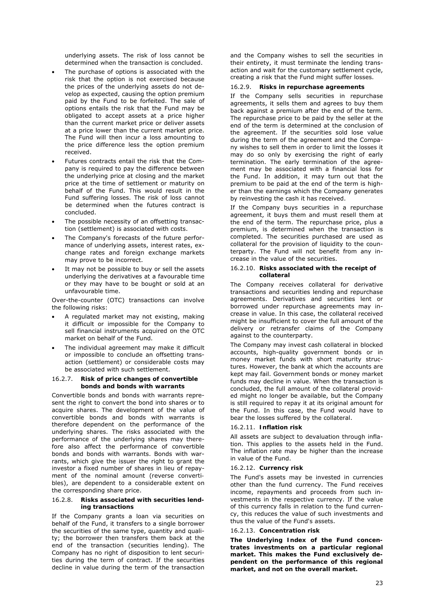underlying assets. The risk of loss cannot be determined when the transaction is concluded.

- The purchase of options is associated with the risk that the option is not exercised because the prices of the underlying assets do not develop as expected, causing the option premium paid by the Fund to be forfeited. The sale of options entails the risk that the Fund may be obligated to accept assets at a price higher than the current market price or deliver assets at a price lower than the current market price. The Fund will then incur a loss amounting to the price difference less the option premium received.
- Futures contracts entail the risk that the Company is required to pay the difference between the underlying price at closing and the market price at the time of settlement or maturity on behalf of the Fund. This would result in the Fund suffering losses. The risk of loss cannot be determined when the futures contract is concluded.
- The possible necessity of an offsetting transaction (settlement) is associated with costs.
- The Company's forecasts of the future performance of underlying assets, interest rates, exchange rates and foreign exchange markets may prove to be incorrect.
- It may not be possible to buy or sell the assets underlying the derivatives at a favourable time or they may have to be bought or sold at an unfavourable time.

Over-the-counter (OTC) transactions can involve the following risks:

- A regulated market may not existing, making it difficult or impossible for the Company to sell financial instruments acquired on the OTC market on behalf of the Fund.
- The individual agreement may make it difficult or impossible to conclude an offsetting transaction (settlement) or considerable costs may be associated with such settlement.

#### 16.2.7. **Risk of price changes of convertible bonds and bonds with warrants**

Convertible bonds and bonds with warrants represent the right to convert the bond into shares or to acquire shares. The development of the value of convertible bonds and bonds with warrants is therefore dependent on the performance of the underlying shares. The risks associated with the performance of the underlying shares may therefore also affect the performance of convertible bonds and bonds with warrants. Bonds with warrants, which give the issuer the right to grant the investor a fixed number of shares in lieu of repayment of the nominal amount (*reverse convertibles*), are dependent to a considerable extent on the corresponding share price.

#### 16.2.8. **Risks associated with securities lending transactions**

If the Company grants a loan via securities on behalf of the Fund, it transfers to a single borrower the securities of the same type, quantity and quality; the borrower then transfers them back at the end of the transaction (securities lending). The Company has no right of disposition to lent securities during the term of contract. If the securities decline in value during the term of the transaction

and the Company wishes to sell the securities in their entirety, it must terminate the lending transaction and wait for the customary settlement cycle, creating a risk that the Fund might suffer losses.

#### 16.2.9. **Risks in repurchase agreements**

If the Company sells securities in repurchase agreements, it sells them and agrees to buy them back against a premium after the end of the term. The repurchase price to be paid by the seller at the end of the term is determined at the conclusion of the agreement. If the securities sold lose value during the term of the agreement and the Company wishes to sell them in order to limit the losses it may do so only by exercising the right of early termination. The early termination of the agreement may be associated with a financial loss for the Fund. In addition, it may turn out that the premium to be paid at the end of the term is higher than the earnings which the Company generates by reinvesting the cash it has received.

If the Company buys securities in a repurchase agreement, it buys them and must resell them at the end of the term. The repurchase price, plus a premium, is determined when the transaction is completed. The securities purchased are used as collateral for the provision of liquidity to the counterparty. The Fund will not benefit from any increase in the value of the securities.

#### 16.2.10. **Risks associated with the receipt of collateral**

The Company receives collateral for derivative transactions and securities lending and repurchase agreements. Derivatives and securities lent or borrowed under repurchase agreements may increase in value. In this case, the collateral received might be insufficient to cover the full amount of the delivery or retransfer claims of the Company against to the counterparty.

The Company may invest cash collateral in blocked accounts, high-quality government bonds or in money market funds with short maturity structures. However, the bank at which the accounts are kept may fail. Government bonds or money market funds may decline in value. When the transaction is concluded, the full amount of the collateral provided might no longer be available, but the Company is still required to repay it at its original amount for the Fund. In this case, the Fund would have to bear the losses suffered by the collateral.

#### 16.2.11. **Inflation risk**

All assets are subject to devaluation through inflation. This applies to the assets held in the Fund. The inflation rate may be higher than the increase in value of the Fund.

#### 16.2.12. **Currency risk**

The Fund's assets may be invested in currencies other than the fund currency. The Fund receives income, repayments and proceeds from such investments in the respective currency. If the value of this currency falls in relation to the fund currency, this reduces the value of such investments and thus the value of the Fund's assets.

#### 16.2.13. **Concentration risk**

**The Underlying Index of the Fund concentrates investments on a particular regional market. This makes the Fund exclusively dependent on the performance of this regional market, and not on the overall market.**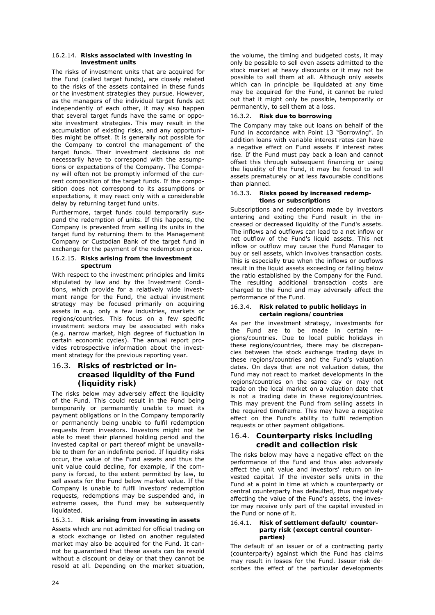#### 16.2.14. **Risks associated with investing in investment units**

The risks of investment units that are acquired for the Fund (called target funds), are closely related to the risks of the assets contained in these funds or the investment strategies they pursue. However, as the managers of the individual target funds act independently of each other, it may also happen that several target funds have the same or opposite investment strategies. This may result in the accumulation of existing risks, and any opportunities might be offset. It is generally not possible for the Company to control the management of the target funds. Their investment decisions do not necessarily have to correspond with the assumptions or expectations of the Company. The Company will often not be promptly informed of the current composition of the target funds. If the composition does not correspond to its assumptions or expectations, it may react only with a considerable delay by returning target fund units.

Furthermore, target funds could temporarily suspend the redemption of units. If this happens, the Company is prevented from selling its units in the target fund by returning them to the Management Company or Custodian Bank of the target fund in exchange for the payment of the redemption price.

#### 16.2.15. **Risks arising from the investment spectrum**

With respect to the investment principles and limits stipulated by law and by the Investment Conditions, which provide for a relatively wide investment range for the Fund, the actual investment strategy may be focused primarily on acquiring assets in e.g. only a few industries, markets or regions/countries. This focus on a few specific investment sectors may be associated with risks (e.g. narrow market, high degree of fluctuation in certain economic cycles). The annual report provides retrospective information about the investment strategy for the previous reporting year.

### 16.3. **Risks of restricted or increased liquidity of the Fund (liquidity risk)**

The risks below may adversely affect the liquidity of the Fund. This could result in the Fund being temporarily or permanently unable to meet its payment obligations or in the Company temporarily or permanently being unable to fulfil redemption requests from investors. Investors might not be able to meet their planned holding period and the invested capital or part thereof might be unavailable to them for an indefinite period. If liquidity risks occur, the value of the Fund assets and thus the unit value could decline, for example, if the company is forced, to the extent permitted by law, to sell assets for the Fund below market value. If the Company is unable to fulfil investors' redemption requests, redemptions may be suspended and, in extreme cases, the Fund may be subsequently liquidated.

### 16.3.1. **Risk arising from investing in assets**

Assets which are not admitted for official trading on a stock exchange or listed on another regulated market may also be acquired for the Fund. It cannot be guaranteed that these assets can be resold without a discount or delay or that they cannot be resold at all. Depending on the market situation,

the volume, the timing and budgeted costs, it may only be possible to sell even assets admitted to the stock market at heavy discounts or it may not be possible to sell them at all. Although only assets which can in principle be liquidated at any time may be acquired for the Fund, it cannot be ruled out that it might only be possible, temporarily or permanently, to sell them at a loss.

### 16.3.2. **Risk due to borrowing**

The Company may take out loans on behalf of the Fund in accordance with Point 13 "Borrowing". In addition loans with variable interest rates can have a negative effect on Fund assets if interest rates rise. If the Fund must pay back a loan and cannot offset this through subsequent financing or using the liquidity of the Fund, it may be forced to sell assets prematurely or at less favourable conditions than planned.

#### 16.3.3. **Risks posed by increased redemptions or subscriptions**

Subscriptions and redemptions made by investors entering and exiting the Fund result in the increased or decreased liquidity of the Fund's assets. The inflows and outflows can lead to a net inflow or net outflow of the Fund's liquid assets. This net inflow or outflow may cause the Fund Manager to buy or sell assets, which involves transaction costs. This is especially true when the inflows or outflows result in the liquid assets exceeding or falling below the ratio established by the Company for the Fund. The resulting additional transaction costs are charged to the Fund and may adversely affect the performance of the Fund.

#### 16.3.4. **Risk related to public holidays in certain regions/countries**

As per the investment strategy, investments for the Fund are to be made in certain regions/countries. Due to local public holidays in these regions/countries, there may be discrepancies between the stock exchange trading days in these regions/countries and the Fund's valuation dates. On days that are not valuation dates, the Fund may not react to market developments in the regions/countries on the same day or may not trade on the local market on a valuation date that is not a trading date in these regions/countries. This may prevent the Fund from selling assets in the required timeframe. This may have a negative effect on the Fund's ability to fulfil redemption requests or other payment obligations.

### 16.4. **Counterparty risks including credit and collection risk**

The risks below may have a negative effect on the performance of the Fund and thus also adversely affect the unit value and investors' return on invested capital. If the investor sells units in the Fund at a point in time at which a counterparty or central counterparty has defaulted, thus negatively affecting the value of the Fund's assets, the investor may receive only part of the capital invested in the Fund or none of it.

#### 16.4.1. **Risk of settlement default/ counterparty risk (except central counterparties)**

The default of an issuer or of a contracting party (counterparty) against which the Fund has claims may result in losses for the Fund. Issuer risk describes the effect of the particular developments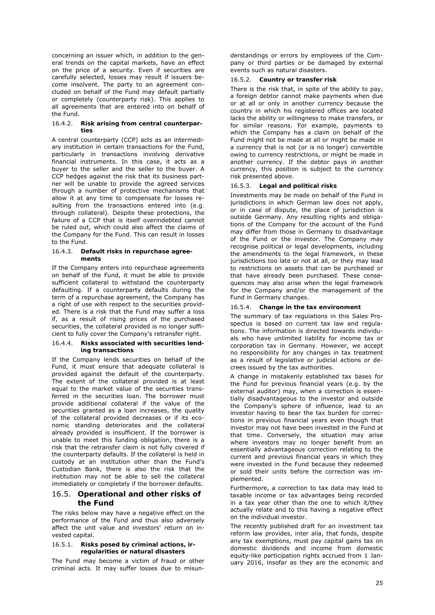concerning an issuer which, in addition to the general trends on the capital markets, have an effect on the price of a security. Even if securities are carefully selected, losses may result if issuers become insolvent. The party to an agreement concluded on behalf of the Fund may default partially or completely (counterparty risk). This applies to all agreements that are entered into on behalf of the Fund.

#### 16.4.2. **Risk arising from central counterparties**

A central counterparty (CCP) acts as an intermediary institution in certain transactions for the Fund, particularly in transactions involving derivative financial instruments. In this case, it acts as a buyer to the seller and the seller to the buyer. A CCP hedges against the risk that its business partner will be unable to provide the agreed services through a number of protective mechanisms that allow it at any time to compensate for losses resulting from the transactions entered into (e.g. through collateral). Despite these protections, the failure of a CCP that is itself overindebted cannot be ruled out, which could also affect the claims of the Company for the Fund. This can result in losses to the Fund.

#### 16.4.3. **Default risks in repurchase agreements**

If the Company enters into repurchase agreements on behalf of the Fund, it must be able to provide sufficient collateral to withstand the counterparty defaulting. If a counterparty defaults during the term of a repurchase agreement, the Company has a right of use with respect to the securities provided. There is a risk that the Fund may suffer a loss if, as a result of rising prices of the purchased securities, the collateral provided is no longer sufficient to fully cover the Company's retransfer right.

#### 16.4.4. **Risks associated with securities lending transactions**

If the Company lends securities on behalf of the Fund, it must ensure that adequate collateral is provided against the default of the counterparty. The extent of the collateral provided is at least equal to the market value of the securities transferred in the securities loan. The borrower must provide additional collateral if the value of the securities granted as a loan increases, the quality of the collateral provided decreases or if its economic standing deteriorates and the collateral already provided is insufficient. If the borrower is unable to meet this funding obligation, there is a risk that the retransfer claim is not fully covered if the counterparty defaults. If the collateral is held in custody at an institution other than the Fund's Custodian Bank, there is also the risk that the institution may not be able to sell the collateral immediately or completely if the borrower defaults.

### 16.5. **Operational and other risks of the Fund**

The risks below may have a negative effect on the performance of the Fund and thus also adversely affect the unit value and investors' return on invested capital.

#### 16.5.1. **Risks posed by criminal actions, irregularities or natural disasters**

The Fund may become a victim of fraud or other criminal acts. It may suffer losses due to misunderstandings or errors by employees of the Company or third parties or be damaged by external events such as natural disasters.

#### 16.5.2. **Country or transfer risk**

There is the risk that, in spite of the ability to pay, a foreign debtor cannot make payments when due or at all or only in another currency because the country in which his registered offices are located lacks the ability or willingness to make transfers, or for similar reasons. For example, payments to which the Company has a claim on behalf of the Fund might not be made at all or might be made in a currency that is not (or is no longer) convertible owing to currency restrictions, or might be made in another currency. If the debtor pays in another currency, this position is subject to the currency risk presented above.

#### 16.5.3. **Legal and political risks**

Investments may be made on behalf of the Fund in jurisdictions in which German law does not apply, or in case of dispute, the place of jurisdiction is outside Germany. Any resulting rights and obligations of the Company for the account of the Fund may differ from those in Germany to disadvantage of the Fund or the investor. The Company may recognise political or legal developments, including the amendments to the legal framework, in these jurisdictions too late or not at all, or they may lead to restrictions on assets that can be purchased or that have already been purchased. These consequences may also arise when the legal framework for the Company and/or the management of the Fund in Germany changes.

#### 16.5.4. **Change in the tax environment**

The summary of tax regulations in this Sales Prospectus is based on current tax law and regulations. The information is directed towards individuals who have unlimited liability for income tax or corporation tax in Germany. However, we accept no responsibility for any changes in tax treatment as a result of legislative or judicial actions or decrees issued by the tax authorities.

A change in mistakenly established tax bases for the Fund for previous financial years (e.g. by the external auditor) may, when a correction is essentially disadvantageous to the investor and outside the Company's sphere of influence, lead to an investor having to bear the tax burden for corrections in previous financial years even though that investor may not have been invested in the Fund at that time. Conversely, the situation may arise where investors may no longer benefit from an essentially advantageous correction relating to the current and previous financial years in which they were invested in the Fund because they redeemed or sold their units before the correction was implemented.

Furthermore, a correction to tax data may lead to taxable income or tax advantages being recorded in a tax year other than the one to which it/they actually relate and to this having a negative effect on the individual investor.

The recently published draft for an investment tax reform law provides, inter alia, that funds, despite any tax exemptions, must pay capital gains tax on domestic dividends and income from domestic equity-like participation rights accrued from 1 January 2016, insofar as they are the economic and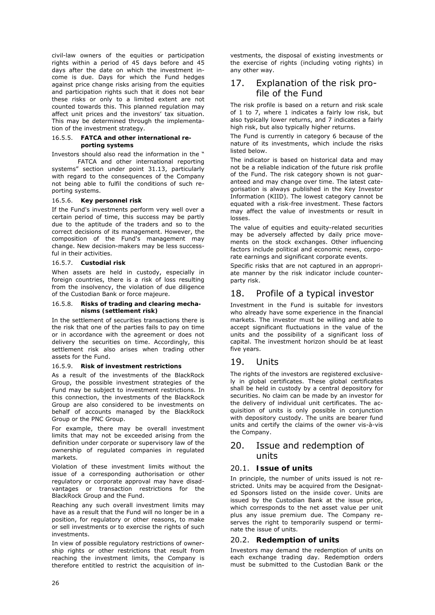civil-law owners of the equities or participation rights within a period of 45 days before and 45 days after the date on which the investment income is due. Days for which the Fund hedges against price change risks arising from the equities and participation rights such that it does not bear these risks or only to a limited extent are not counted towards this. This planned regulation may affect unit prices and the investors' tax situation. This may be determined through the implementation of the investment strategy.

#### 16.5.5. **FATCA and other international reporting systems**

Investors should also read the information in the "

 FATCA and other international reporting systems" section under point 31.13, particularly with regard to the consequences of the Company not being able to fulfil the conditions of such reporting systems.

#### 16.5.6. **Key personnel risk**

If the Fund's investments perform very well over a certain period of time, this success may be partly due to the aptitude of the traders and so to the correct decisions of its management. However, the composition of the Fund's management may change. New decision-makers may be less successful in their activities.

#### 16.5.7. **Custodial risk**

When assets are held in custody, especially in foreign countries, there is a risk of loss resulting from the insolvency, the violation of due diligence of the Custodian Bank or force majeure.

#### 16.5.8. **Risks of trading and clearing mechanisms (settlement risk)**

In the settlement of securities transactions there is the risk that one of the parties fails to pay on time or in accordance with the agreement or does not delivery the securities on time. Accordingly, this settlement risk also arises when trading other assets for the Fund.

#### 16.5.9. **Risk of investment restrictions**

As a result of the investments of the BlackRock Group, the possible investment strategies of the Fund may be subject to investment restrictions. In this connection, the investments of the BlackRock Group are also considered to be investments on behalf of accounts managed by the BlackRock Group or the PNC Group.

For example, there may be overall investment limits that may not be exceeded arising from the definition under corporate or supervisory law of the ownership of regulated companies in regulated markets.

Violation of these investment limits without the issue of a corresponding authorisation or other regulatory or corporate approval may have disadvantages or transaction restrictions for the BlackRock Group and the Fund.

Reaching any such overall investment limits may have as a result that the Fund will no longer be in a position, for regulatory or other reasons, to make or sell investments or to exercise the rights of such investments.

In view of possible regulatory restrictions of ownership rights or other restrictions that result from reaching the investment limits, the Company is therefore entitled to restrict the acquisition of investments, the disposal of existing investments or the exercise of rights (including voting rights) in any other way.

# 17. Explanation of the risk profile of the Fund

The risk profile is based on a return and risk scale of 1 to 7, where 1 indicates a fairly low risk, but also typically lower returns, and 7 indicates a fairly high risk, but also typically higher returns.

The Fund is currently in category 6 because of the nature of its investments, which include the risks listed below.

The indicator is based on historical data and may not be a reliable indication of the future risk profile of the Fund. The risk category shown is not guaranteed and may change over time. The latest categorisation is always published in the Key Investor Information (KIID). The lowest category cannot be equated with a risk-free investment. These factors may affect the value of investments or result in losses.

The value of equities and equity-related securities may be adversely affected by daily price movements on the stock exchanges. Other influencing factors include political and economic news, corporate earnings and significant corporate events.

Specific risks that are not captured in an appropriate manner by the risk indicator include counterparty risk.

# 18. Profile of a typical investor

Investment in the Fund is suitable for investors who already have some experience in the financial markets. The investor must be willing and able to accept significant fluctuations in the value of the units and the possibility of a significant loss of capital. The investment horizon should be at least five years.

# 19. Units

The rights of the investors are registered exclusively in global certificates. These global certificates shall be held in custody by a central depository for securities. No claim can be made by an investor for the delivery of individual unit certificates. The acquisition of units is only possible in conjunction with depository custody. The units are bearer fund units and certify the claims of the owner vis-à-vis the Company.

# 20. Issue and redemption of units

### 20.1. **Issue of units**

In principle, the number of units issued is not restricted. Units may be acquired from the Designated Sponsors listed on the inside cover. Units are issued by the Custodian Bank at the issue price, which corresponds to the net asset value per unit plus any issue premium due. The Company reserves the right to temporarily suspend or terminate the issue of units.

### 20.2. **Redemption of units**

Investors may demand the redemption of units on each exchange trading day. Redemption orders must be submitted to the Custodian Bank or the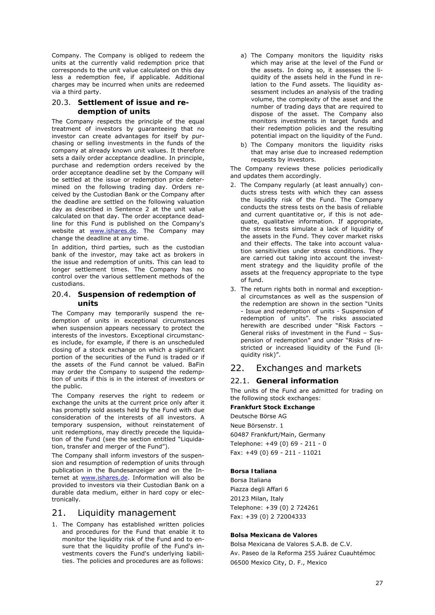Company. The Company is obliged to redeem the units at the currently valid redemption price that corresponds to the unit value calculated on this day less a redemption fee, if applicable. Additional charges may be incurred when units are redeemed via a third party.

### 20.3. **Settlement of issue and redemption of units**

The Company respects the principle of the equal treatment of investors by guaranteeing that no investor can create advantages for itself by purchasing or selling investments in the funds of the company at already known unit values. It therefore sets a daily order acceptance deadline. In principle, purchase and redemption orders received by the order acceptance deadline set by the Company will be settled at the issue or redemption price determined on the following trading day. Orders received by the Custodian Bank or the Company after the deadline are settled on the following valuation day as described in Sentence 2 at the unit value calculated on that day. The order acceptance deadline for this Fund is published on the Company's website at **www.ishares.de**. The Company may change the deadline at any time.

In addition, third parties, such as the custodian bank of the investor, may take act as brokers in the issue and redemption of units. This can lead to longer settlement times. The Company has no control over the various settlement methods of the custodians.

### 20.4. **Suspension of redemption of units**

The Company may temporarily suspend the redemption of units in exceptional circumstances when suspension appears necessary to protect the interests of the investors. Exceptional circumstances include, for example, if there is an unscheduled closing of a stock exchange on which a significant portion of the securities of the Fund is traded or if the assets of the Fund cannot be valued. BaFin may order the Company to suspend the redemption of units if this is in the interest of investors or the public.

The Company reserves the right to redeem or exchange the units at the current price only after it has promptly sold assets held by the Fund with due consideration of the interests of all investors. A temporary suspension, without reinstatement of unit redemptions, may directly precede the liquidation of the Fund (see the section entitled "Liquidation, transfer and merger of the Fund").

The Company shall inform investors of the suspension and resumption of redemption of units through publication in the Bundesanzeiger and on the Internet at www.ishares.de. Information will also be provided to investors via their Custodian Bank on a durable data medium, either in hard copy or electronically.

# 21. Liquidity management

1. The Company has established written policies and procedures for the Fund that enable it to monitor the liquidity risk of the Fund and to ensure that the liquidity profile of the Fund's investments covers the Fund's underlying liabilities. The policies and procedures are as follows:

- a) The Company monitors the liquidity risks which may arise at the level of the Fund or the assets. In doing so, it assesses the liquidity of the assets held in the Fund in relation to the Fund assets. The liquidity assessment includes an analysis of the trading volume, the complexity of the asset and the number of trading days that are required to dispose of the asset. The Company also monitors investments in target funds and their redemption policies and the resulting potential impact on the liquidity of the Fund.
- b) The Company monitors the liquidity risks that may arise due to increased redemption requests by investors.

The Company reviews these policies periodically and updates them accordingly.

- 2. The Company regularly (at least annually) conducts stress tests with which they can assess the liquidity risk of the Fund. The Company conducts the stress tests on the basis of reliable and current quantitative or, if this is not adequate, qualitative information. If appropriate, the stress tests simulate a lack of liquidity of the assets in the Fund. They cover market risks and their effects. The take into account valuation sensitivities under stress conditions. They are carried out taking into account the investment strategy and the liquidity profile of the assets at the frequency appropriate to the type of fund.
- 3. The return rights both in normal and exceptional circumstances as well as the suspension of the redemption are shown in the section "Units - Issue and redemption of units - Suspension of redemption of units". The risks associated herewith are described under "Risk Factors – General risks of investment in the Fund – Suspension of redemption" and under "Risks of restricted or increased liquidity of the Fund (liquidity risk)".

# 22. Exchanges and markets

# 22.1. **General information**

The units of the Fund are admitted for trading on the following stock exchanges:

### **Frankfurt Stock Exchange**

Deutsche Börse AG Neue Börsenstr. 1 60487 Frankfurt/Main, Germany Telephone: +49 (0) 69 - 211 - 0 Fax: +49 (0) 69 - 211 - 11021

### **Borsa Italiana**

Borsa Italiana Piazza degli Affari 6 20123 Milan, Italy Telephone: +39 (0) 2 724261 Fax: +39 (0) 2 72004333

### **Bolsa Mexicana de Valores**

Bolsa Mexicana de Valores S.A.B. de C.V. Av. Paseo de la Reforma 255 Juárez Cuauhtémoc 06500 Mexico City, D. F., Mexico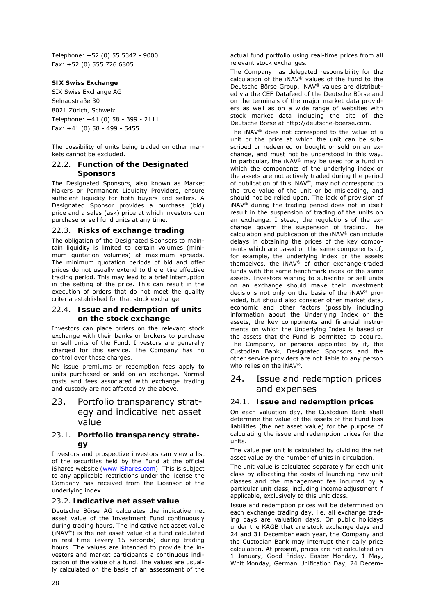Telephone: +52 (0) 55 5342 - 9000 Fax: +52 (0) 555 726 6805

#### **SIX Swiss Exchange**

SIX Swiss Exchange AG Selnaustraße 30 8021 Zürich, Schweiz Telephone: +41 (0) 58 - 399 - 2111 Fax: +41 (0) 58 - 499 - 5455

The possibility of units being traded on other markets cannot be excluded.

### 22.2. **Function of the Designated Sponsors**

The Designated Sponsors, also known as Market Makers or Permanent Liquidity Providers, ensure sufficient liquidity for both buyers and sellers. A Designated Sponsor provides a purchase (bid) price and a sales (ask) price at which investors can purchase or sell fund units at any time.

### 22.3. **Risks of exchange trading**

The obligation of the Designated Sponsors to maintain liquidity is limited to certain volumes (minimum quotation volumes) at maximum spreads. The minimum quotation periods of bid and offer prices do not usually extend to the entire effective trading period. This may lead to a brief interruption in the setting of the price. This can result in the execution of orders that do not meet the quality criteria established for that stock exchange.

### 22.4. **Issue and redemption of units on the stock exchange**

Investors can place orders on the relevant stock exchange with their banks or brokers to purchase or sell units of the Fund. Investors are generally charged for this service. The Company has no control over these charges.

No issue premiums or redemption fees apply to units purchased or sold on an exchange. Normal costs and fees associated with exchange trading and custody are not affected by the above.

# 23. Portfolio transparency strategy and indicative net asset value

### 23.1. **Portfolio transparency strategy**

Investors and prospective investors can view a list of the securities held by the Fund at the official iShares website (www.iShares.com). This is subject to any applicable restrictions under the license the Company has received from the Licensor of the underlying index.

### 23.2. **Indicative net asset value**

Deutsche Börse AG calculates the indicative net asset value of the Investment Fund continuously during trading hours. The indicative net asset value (iNAV®) is the net asset value of a fund calculated in real time (every 15 seconds) during trading hours. The values are intended to provide the investors and market participants a continuous indication of the value of a fund. The values are usually calculated on the basis of an assessment of the

actual fund portfolio using real-time prices from all relevant stock exchanges.

The Company has delegated responsibility for the calculation of the  $i$ NAV® values of the Fund to the Deutsche Börse Group. iNAV® values are distributed via the CEF Datafeed of the Deutsche Börse and on the terminals of the major market data providers as well as on a wide range of websites with stock market data including the site of the Deutsche Börse at http://deutsche-boerse.com.

The iNAV® does not correspond to the value of a unit or the price at which the unit can be subscribed or redeemed or bought or sold on an exchange, and must not be understood in this way. In particular, the  $i$ NAV<sup>®</sup> may be used for a fund in which the components of the underlying index or the assets are not actively traded during the period of publication of this iNAV®, may not correspond to the true value of the unit or be misleading, and should not be relied upon. The lack of provision of iNAV® during the trading period does not in itself result in the suspension of trading of the units on an exchange. Instead, the regulations of the exchange govern the suspension of trading. The calculation and publication of the iNAV® can include delays in obtaining the prices of the key components which are based on the same components of, for example, the underlying index or the assets themselves, the iNAV® of other exchange-traded funds with the same benchmark index or the same assets. Investors wishing to subscribe or sell units on an exchange should make their investment decisions not only on the basis of the iNAV® provided, but should also consider other market data, economic and other factors (possibly including information about the Underlying Index or the assets, the key components and financial instruments on which the Underlying Index is based or the assets that the Fund is permitted to acquire. The Company, or persons appointed by it, the Custodian Bank, Designated Sponsors and the other service providers are not liable to any person who relies on the iNAV®.

# 24. Issue and redemption prices and expenses

### 24.1. **Issue and redemption prices**

On each valuation day, the Custodian Bank shall determine the value of the assets of the Fund less liabilities (the net asset value) for the purpose of calculating the issue and redemption prices for the units.

The value per unit is calculated by dividing the net asset value by the number of units in circulation.

The unit value is calculated separately for each unit class by allocating the costs of launching new unit classes and the management fee incurred by a particular unit class, including income adjustment if applicable, exclusively to this unit class.

Issue and redemption prices will be determined on each exchange trading day, i.e. all exchange trading days are valuation days. On public holidays under the KAGB that are stock exchange days and 24 and 31 December each year, the Company and the Custodian Bank may interrupt their daily price calculation. At present, prices are not calculated on 1 January, Good Friday, Easter Monday, 1 May, Whit Monday, German Unification Day, 24 Decem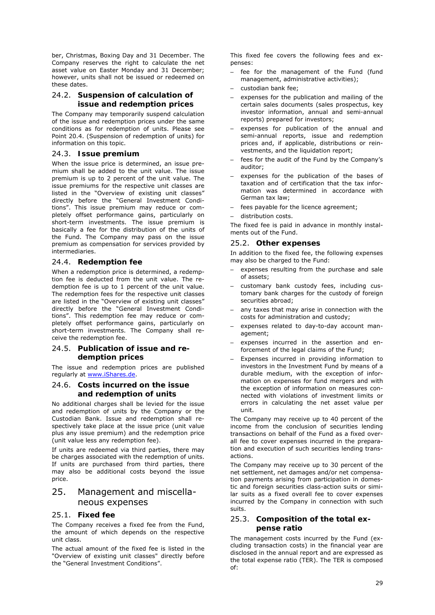ber, Christmas, Boxing Day and 31 December. The Company reserves the right to calculate the net asset value on Easter Monday and 31 December; however, units shall not be issued or redeemed on these dates.

### 24.2. **Suspension of calculation of issue and redemption prices**

The Company may temporarily suspend calculation of the issue and redemption prices under the same conditions as for redemption of units. Please see Point 20.4. (Suspension of redemption of units) for information on this topic.

### 24.3. **Issue premium**

When the issue price is determined, an issue premium shall be added to the unit value. The issue premium is up to 2 percent of the unit value. The issue premiums for the respective unit classes are listed in the "Overview of existing unit classes" directly before the "General Investment Conditions". This issue premium may reduce or completely offset performance gains, particularly on short-term investments. The issue premium is basically a fee for the distribution of the units of the Fund. The Company may pass on the issue premium as compensation for services provided by intermediaries.

### 24.4. **Redemption fee**

When a redemption price is determined, a redemption fee is deducted from the unit value. The redemption fee is up to 1 percent of the unit value. The redemption fees for the respective unit classes are listed in the "Overview of existing unit classes" directly before the "General Investment Conditions". This redemption fee may reduce or completely offset performance gains, particularly on short-term investments. The Company shall receive the redemption fee.

#### 24.5. **Publication of issue and redemption prices**

The issue and redemption prices are published regularly at www.iShares.de.

### 24.6. **Costs incurred on the issue and redemption of units**

No additional charges shall be levied for the issue and redemption of units by the Company or the Custodian Bank. Issue and redemption shall respectively take place at the issue price (unit value plus any issue premium) and the redemption price (unit value less any redemption fee).

If units are redeemed via third parties, there may be charges associated with the redemption of units. If units are purchased from third parties, there may also be additional costs beyond the issue price.

# 25. Management and miscellaneous expenses

### 25.1. **Fixed fee**

The Company receives a fixed fee from the Fund, the amount of which depends on the respective unit class.

The actual amount of the fixed fee is listed in the "Overview of existing unit classes" directly before the "General Investment Conditions".

This fixed fee covers the following fees and expenses:

- fee for the management of the Fund (fund management, administrative activities);
- custodian bank fee;
- expenses for the publication and mailing of the certain sales documents (sales prospectus, key investor information, annual and semi-annual reports) prepared for investors;
- expenses for publication of the annual and semi-annual reports, issue and redemption prices and, if applicable, distributions or reinvestments, and the liquidation report;
- fees for the audit of the Fund by the Company's auditor;
- expenses for the publication of the bases of taxation and of certification that the tax information was determined in accordance with German tax law;
- fees payable for the licence agreement;
- distribution costs.

The fixed fee is paid in advance in monthly instalments out of the Fund.

### 25.2. **Other expenses**

In addition to the fixed fee, the following expenses may also be charged to the Fund:

- expenses resulting from the purchase and sale of assets;
- customary bank custody fees, including customary bank charges for the custody of foreign securities abroad;
- any taxes that may arise in connection with the costs for administration and custody;
- expenses related to day-to-day account management;
- expenses incurred in the assertion and enforcement of the legal claims of the Fund;
- Expenses incurred in providing information to investors in the Investment Fund by means of a durable medium, with the exception of information on expenses for fund mergers and with the exception of information on measures connected with violations of investment limits or errors in calculating the net asset value per unit.

The Company may receive up to 40 percent of the income from the conclusion of securities lending transactions on behalf of the Fund as a fixed overall fee to cover expenses incurred in the preparation and execution of such securities lending transactions.

The Company may receive up to 30 percent of the net settlement, net damages and/or net compensation payments arising from participation in domestic and foreign securities class-action suits or similar suits as a fixed overall fee to cover expenses incurred by the Company in connection with such suits.

### 25.3. **Composition of the total expense ratio**

The management costs incurred by the Fund (excluding transaction costs) in the financial year are disclosed in the annual report and are expressed as the total expense ratio (TER). The TER is composed of: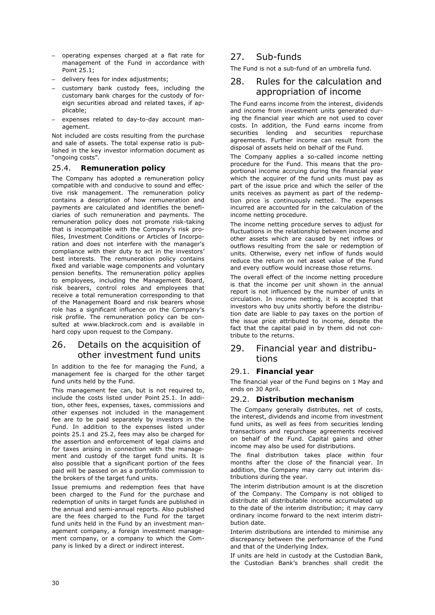- operating expenses charged at a flat rate for management of the Fund in accordance with Point 25.1;
- delivery fees for index adjustments;
- customary bank custody fees, including the customary bank charges for the custody of foreign securities abroad and related taxes, if applicable;
- expenses related to day-to-day account management.

Not included are costs resulting from the purchase and sale of assets. The total expense ratio is published in the key investor information document as "ongoing costs".

### 25.4. **Remuneration policy**

The Company has adopted a remuneration policy compatible with and conducive to sound and effective risk management. The remuneration policy contains a description of how remuneration and payments are calculated and identifies the beneficiaries of such remuneration and payments. The remuneration policy does not promote risk-taking that is incompatible with the Company's risk profiles, Investment Conditions or Articles of Incorporation and does not interfere with the manager's compliance with their duty to act in the investors' best interests. The remuneration policy contains fixed and variable wage components and voluntary pension benefits. The remuneration policy applies to employees, including the Management Board, risk bearers, control roles and employees that receive a total remuneration corresponding to that of the Management Board and risk bearers whose role has a significant influence on the Company's risk profile. The remuneration policy can be consulted at www.blackrock.com and is available in hard copy upon request to the Company.

# 26. Details on the acquisition of other investment fund units

In addition to the fee for managing the Fund, a management fee is charged for the other target fund units held by the Fund.

This management fee can, but is not required to, include the costs listed under Point 25.1. In addition, other fees, expenses, taxes, commissions and other expenses not included in the management fee are to be paid separately by investors in the Fund. In addition to the expenses listed under points 25.1 and 25.2, fees may also be charged for the assertion and enforcement of legal claims and for taxes arising in connection with the management and custody of the target fund units. It is also possible that a significant portion of the fees paid will be passed on as a portfolio commission to the brokers of the target fund units.

Issue premiums and redemption fees that have been charged to the Fund for the purchase and redemption of units in target funds are published in the annual and semi-annual reports. Also published are the fees charged to the Fund for the target fund units held in the Fund by an investment management company, a foreign investment management company, or a company to which the Company is linked by a direct or indirect interest.

# 27. Sub-funds

The Fund is not a sub-fund of an umbrella fund.

# 28. Rules for the calculation and appropriation of income

The Fund earns income from the interest, dividends and income from investment units generated during the financial year which are not used to cover costs. In addition, the Fund earns income from securities lending and securities repurchase agreements. Further income can result from the disposal of assets held on behalf of the Fund.

The Company applies a so-called income netting procedure for the Fund. This means that the proportional income accruing during the financial year which the acquirer of the fund units must pay as part of the issue price and which the seller of the units receives as payment as part of the redemption price is continuously netted. The expenses incurred are accounted for in the calculation of the income netting procedure.

The income netting procedure serves to adjust for fluctuations in the relationship between income and other assets which are caused by net inflows or outflows resulting from the sale or redemption of units. Otherwise, every net inflow of funds would reduce the return on net asset value of the Fund and every outflow would increase those returns.

The overall effect of the income netting procedure is that the income per unit shown in the annual report is not influenced by the number of units in circulation. In income netting, it is accepted that investors who buy units shortly before the distribution date are liable to pay taxes on the portion of the issue price attributed to income, despite the fact that the capital paid in by them did not contribute to the returns.

# 29. Financial year and distributions

### 29.1. **Financial year**

The financial year of the Fund begins on 1 May and ends on 30 April.

### 29.2. **Distribution mechanism**

The Company generally distributes, net of costs, the interest, dividends and income from investment fund units, as well as fees from securities lending transactions and repurchase agreements received on behalf of the Fund. Capital gains and other income may also be used for distributions.

The final distribution takes place within four months after the close of the financial year. In addition, the Company may carry out interim distributions during the year.

The interim distribution amount is at the discretion of the Company. The Company is not obliged to distribute all distributable income accumulated up to the date of the interim distribution; it may carry ordinary income forward to the next interim distribution date.

Interim distributions are intended to minimise any discrepancy between the performance of the Fund and that of the Underlying Index.

If units are held in custody at the Custodian Bank, the Custodian Bank's branches shall credit the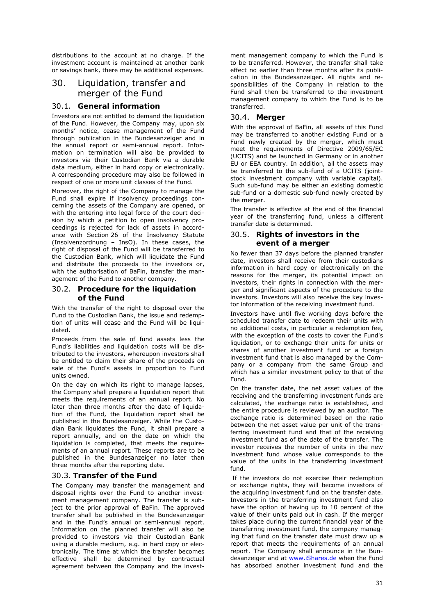distributions to the account at no charge. If the investment account is maintained at another bank or savings bank, there may be additional expenses.

# 30. Liquidation, transfer and merger of the Fund

### 30.1. **General information**

Investors are not entitled to demand the liquidation of the Fund. However, the Company may, upon six months' notice, cease management of the Fund through publication in the Bundesanzeiger and in the annual report or semi-annual report. Information on termination will also be provided to investors via their Custodian Bank via a durable data medium, either in hard copy or electronically. A corresponding procedure may also be followed in respect of one or more unit classes of the Fund.

Moreover, the right of the Company to manage the Fund shall expire if insolvency proceedings concerning the assets of the Company are opened, or with the entering into legal force of the court decision by which a petition to open insolvency proceedings is rejected for lack of assets in accordance with Section 26 of the Insolvency Statute (Insolvenzordnung – InsO). In these cases, the right of disposal of the Fund will be transferred to the Custodian Bank, which will liquidate the Fund and distribute the proceeds to the investors or, with the authorisation of BaFin, transfer the management of the Fund to another company.

### 30.2. **Procedure for the liquidation of the Fund**

With the transfer of the right to disposal over the Fund to the Custodian Bank, the issue and redemption of units will cease and the Fund will be liquidated.

Proceeds from the sale of fund assets less the Fund's liabilities and liquidation costs will be distributed to the investors, whereupon investors shall be entitled to claim their share of the proceeds on sale of the Fund's assets in proportion to Fund units owned.

On the day on which its right to manage lapses, the Company shall prepare a liquidation report that meets the requirements of an annual report. No later than three months after the date of liquidation of the Fund, the liquidation report shall be published in the Bundesanzeiger. While the Custodian Bank liquidates the Fund, it shall prepare a report annually, and on the date on which the liquidation is completed, that meets the requirements of an annual report. These reports are to be published in the Bundesanzeiger no later than three months after the reporting date.

### 30.3. **Transfer of the Fund**

The Company may transfer the management and disposal rights over the Fund to another investment management company. The transfer is subject to the prior approval of BaFin. The approved transfer shall be published in the Bundesanzeiger and in the Fund's annual or semi-annual report. Information on the planned transfer will also be provided to investors via their Custodian Bank using a durable medium, e.g. in hard copy or electronically. The time at which the transfer becomes effective shall be determined by contractual agreement between the Company and the investment management company to which the Fund is to be transferred. However, the transfer shall take effect no earlier than three months after its publication in the Bundesanzeiger. All rights and responsibilities of the Company in relation to the Fund shall then be transferred to the investment management company to which the Fund is to be transferred.

### 30.4. **Merger**

With the approval of BaFin, all assets of this Fund may be transferred to another existing Fund or a Fund newly created by the merger, which must meet the requirements of Directive 2009/65/EC (UCITS) and be launched in Germany or in another EU or EEA country. In addition, all the assets may be transferred to the sub-fund of a UCITS (jointstock investment company with variable capital). Such sub-fund may be either an existing domestic sub-fund or a domestic sub-fund newly created by the merger.

The transfer is effective at the end of the financial year of the transferring fund, unless a different transfer date is determined.

### 30.5. **Rights of investors in the event of a merger**

No fewer than 37 days before the planned transfer date, investors shall receive from their custodians information in hard copy or electronically on the reasons for the merger, its potential impact on investors, their rights in connection with the merger and significant aspects of the procedure to the investors. Investors will also receive the key investor information of the receiving investment fund.

Investors have until five working days before the scheduled transfer date to redeem their units with no additional costs, in particular a redemption fee, with the exception of the costs to cover the Fund's liquidation, or to exchange their units for units or shares of another investment fund or a foreign investment fund that is also managed by the Company or a company from the same Group and which has a similar investment policy to that of the Fund.

On the transfer date, the net asset values of the receiving and the transferring investment funds are calculated, the exchange ratio is established, and the entire procedure is reviewed by an auditor. The exchange ratio is determined based on the ratio between the net asset value per unit of the transferring investment fund and that of the receiving investment fund as of the date of the transfer. The investor receives the number of units in the new investment fund whose value corresponds to the value of the units in the transferring investment fund.

 If the investors do not exercise their redemption or exchange rights, they will become investors of the acquiring investment fund on the transfer date. Investors in the transferring investment fund also have the option of having up to 10 percent of the value of their units paid out in cash. If the merger takes place during the current financial year of the transferring investment fund, the company managing that fund on the transfer date must draw up a report that meets the requirements of an annual report. The Company shall announce in the Bundesanzeiger and at www.iShares.de when the Fund has absorbed another investment fund and the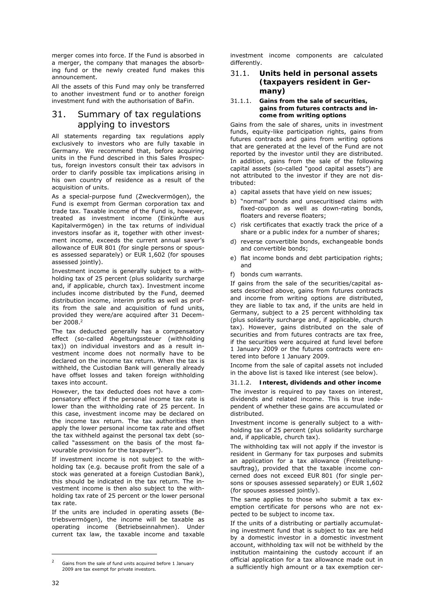merger comes into force. If the Fund is absorbed in a merger, the company that manages the absorbing fund or the newly created fund makes this announcement.

All the assets of this Fund may only be transferred to another investment fund or to another foreign investment fund with the authorisation of BaFin.

# 31. Summary of tax regulations applying to investors

All statements regarding tax regulations apply exclusively to investors who are fully taxable in Germany. We recommend that, before acquiring units in the Fund described in this Sales Prospectus, foreign investors consult their tax advisors in order to clarify possible tax implications arising in his own country of residence as a result of the acquisition of units.

As a special-purpose fund (Zweckvermögen), the Fund is exempt from German corporation tax and trade tax. Taxable income of the Fund is, however, treated as investment income (Einkünfte aus Kapitalvermögen) in the tax returns of individual investors insofar as it, together with other investment income, exceeds the current annual saver's allowance of EUR 801 (for single persons or spouses assessed separately) or EUR 1,602 (for spouses assessed jointly).

Investment income is generally subject to a withholding tax of 25 percent (plus solidarity surcharge and, if applicable, church tax). Investment income includes income distributed by the Fund, deemed distribution income, interim profits as well as profits from the sale and acquisition of fund units, provided they were/are acquired after 31 December 2008.<sup>2</sup>

The tax deducted generally has a compensatory effect (so-called Abgeltungssteuer (withholding tax)) on individual investors and as a result investment income does not normally have to be declared on the income tax return. When the tax is withheld, the Custodian Bank will generally already have offset losses and taken foreign withholding taxes into account.

However, the tax deducted does not have a compensatory effect if the personal income tax rate is lower than the withholding rate of 25 percent. In this case, investment income may be declared on the income tax return. The tax authorities then apply the lower personal income tax rate and offset the tax withheld against the personal tax debt (socalled "assessment on the basis of the most favourable provision for the taxpayer").

If investment income is not subject to the withholding tax (e.g. because profit from the sale of a stock was generated at a foreign Custodian Bank), this should be indicated in the tax return. The investment income is then also subject to the withholding tax rate of 25 percent or the lower personal tax rate.

If the units are included in operating assets (Betriebsvermögen), the income will be taxable as operating income (Betriebseinnahmen). Under current tax law, the taxable income and taxable investment income components are calculated differently.

### 31.1. **Units held in personal assets (taxpayers resident in Germany)**

#### 31.1.1. **Gains from the sale of securities, gains from futures contracts and income from writing options**

Gains from the sale of shares, units in investment funds, equity-like participation rights, gains from futures contracts and gains from writing options that are generated at the level of the Fund are not reported by the investor until they are distributed. In addition, gains from the sale of the following capital assets (so-called "good capital assets") are not attributed to the investor if they are not distributed:

- a) capital assets that have yield on new issues;
- b) "normal" bonds and unsecuritised claims with fixed-coupon as well as down-rating bonds, floaters and reverse floaters;
- c) risk certificates that exactly track the price of a share or a public index for a number of shares;
- d) reverse convertible bonds, exchangeable bonds and convertible bonds;
- e) flat income bonds and debt participation rights; and
- f) bonds cum warrants.

If gains from the sale of the securities/capital assets described above, gains from futures contracts and income from writing options are distributed, they are liable to tax and, if the units are held in Germany, subject to a 25 percent withholding tax (plus solidarity surcharge and, if applicable, church tax). However, gains distributed on the sale of securities and from futures contracts are tax free, if the securities were acquired at fund level before 1 January 2009 or the futures contracts were entered into before 1 January 2009.

Income from the sale of capital assets not included in the above list is taxed like interest (see below).

#### 31.1.2. **Interest, dividends and other income**

The investor is required to pay taxes on interest, dividends and related income. This is true independent of whether these gains are accumulated or distributed.

Investment income is generally subject to a withholding tax of 25 percent (plus solidarity surcharge and, if applicable, church tax).

The withholding tax will not apply if the investor is resident in Germany for tax purposes and submits an application for a tax allowance (Freistellungsauftrag), provided that the taxable income concerned does not exceed EUR 801 (for single persons or spouses assessed separately) or EUR 1,602 (for spouses assessed jointly).

The same applies to those who submit a tax exemption certificate for persons who are not expected to be subject to income tax.

If the units of a distributing or partially accumulating investment fund that is subject to tax are held by a domestic investor in a domestic investment account, withholding tax will not be withheld by the institution maintaining the custody account if an official application for a tax allowance made out in a sufficiently high amount or a tax exemption cer-

-

Gains from the sale of fund units acquired before 1 January 2009 are tax exempt for private investors.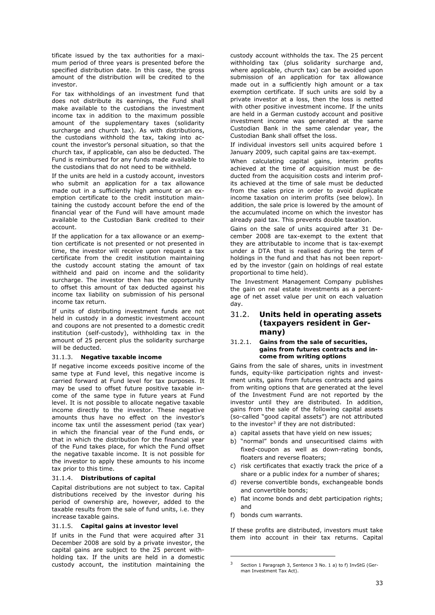tificate issued by the tax authorities for a maximum period of three years is presented before the specified distribution date. In this case, the gross amount of the distribution will be credited to the investor.

For tax withholdings of an investment fund that does not distribute its earnings, the Fund shall make available to the custodians the investment income tax in addition to the maximum possible amount of the supplementary taxes (solidarity surcharge and church tax). As with distributions, the custodians withhold the tax, taking into account the investor's personal situation, so that the church tax, if applicable, can also be deducted. The Fund is reimbursed for any funds made available to the custodians that do not need to be withheld.

If the units are held in a custody account, investors who submit an application for a tax allowance made out in a sufficiently high amount or an exemption certificate to the credit institution maintaining the custody account before the end of the financial year of the Fund will have amount made available to the Custodian Bank credited to their account.

If the application for a tax allowance or an exemption certificate is not presented or not presented in time, the investor will receive upon request a tax certificate from the credit institution maintaining the custody account stating the amount of tax withheld and paid on income and the solidarity surcharge. The investor then has the opportunity to offset this amount of tax deducted against his income tax liability on submission of his personal income tax return.

If units of distributing investment funds are not held in custody in a domestic investment account and coupons are not presented to a domestic credit institution (self-custody), withholding tax in the amount of 25 percent plus the solidarity surcharge will be deducted.

#### 31.1.3. **Negative taxable income**

If negative income exceeds positive income of the same type at Fund level, this negative income is carried forward at Fund level for tax purposes. It may be used to offset future positive taxable income of the same type in future years at Fund level. It is not possible to allocate negative taxable income directly to the investor. These negative amounts thus have no effect on the investor's income tax until the assessment period (tax year) in which the financial year of the Fund ends, or that in which the distribution for the financial year of the Fund takes place, for which the Fund offset the negative taxable income. It is not possible for the investor to apply these amounts to his income tax prior to this time.

#### 31.1.4. **Distributions of capital**

Capital distributions are not subject to tax. Capital distributions received by the investor during his period of ownership are, however, added to the taxable results from the sale of fund units, i.e. they increase taxable gains.

#### 31.1.5. **Capital gains at investor level**

If units in the Fund that were acquired after 31 December 2008 are sold by a private investor, the capital gains are subject to the 25 percent withholding tax. If the units are held in a domestic custody account, the institution maintaining the custody account withholds the tax. The 25 percent withholding tax (plus solidarity surcharge and, where applicable, church tax) can be avoided upon submission of an application for tax allowance made out in a sufficiently high amount or a tax exemption certificate. If such units are sold by a private investor at a loss, then the loss is netted with other positive investment income. If the units are held in a German custody account and positive investment income was generated at the same Custodian Bank in the same calendar year, the Custodian Bank shall offset the loss.

If individual investors sell units acquired before 1 January 2009, such capital gains are tax-exempt.

When calculating capital gains, interim profits achieved at the time of acquisition must be deducted from the acquisition costs and interim profits achieved at the time of sale must be deducted from the sales price in order to avoid duplicate income taxation on interim profits (see below). In addition, the sale price is lowered by the amount of the accumulated income on which the investor has already paid tax. This prevents double taxation.

Gains on the sale of units acquired after 31 December 2008 are tax-exempt to the extent that they are attributable to income that is tax-exempt under a DTA that is realised during the term of holdings in the fund and that has not been reported by the investor (gain on holdings of real estate proportional to time held).

The Investment Management Company publishes the gain on real estate investments as a percentage of net asset value per unit on each valuation day.

### 31.2. **Units held in operating assets (taxpayers resident in Germany)**

#### 31.2.1. **Gains from the sale of securities, gains from futures contracts and income from writing options**

Gains from the sale of shares, units in investment funds, equity-like participation rights and investment units, gains from futures contracts and gains from writing options that are generated at the level of the Investment Fund are not reported by the investor until they are distributed. In addition, gains from the sale of the following capital assets (so-called "good capital assets") are not attributed to the investor<sup>3</sup> if they are not distributed:

- a) capital assets that have yield on new issues;
- b) "normal" bonds and unsecuritised claims with fixed-coupon as well as down-rating bonds, floaters and reverse floaters;
- c) risk certificates that exactly track the price of a share or a public index for a number of shares;
- d) reverse convertible bonds, exchangeable bonds and convertible bonds;
- e) flat income bonds and debt participation rights; and
- f) bonds cum warrants.

-

If these profits are distributed, investors must take them into account in their tax returns. Capital

<sup>3</sup> Section 1 Paragraph 3, Sentence 3 No. 1 a) to f) InvStG (German Investment Tax Act).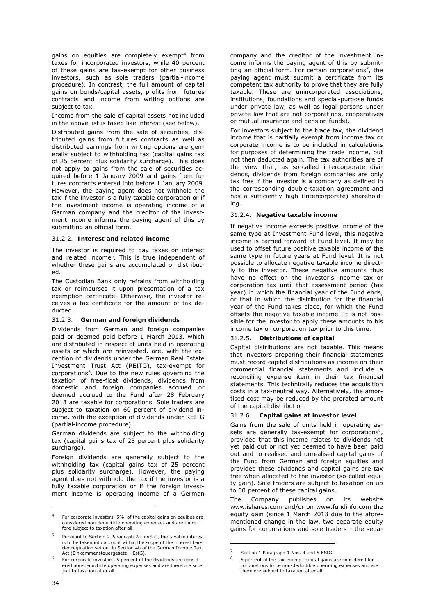gains on equities are completely exempt<sup>4</sup> from taxes for incorporated investors, while 40 percent of these gains are tax-exempt for other business investors, such as sole traders (partial-income procedure). In contrast, the full amount of capital gains on bonds/capital assets, profits from futures contracts and income from writing options are subject to tax.

Income from the sale of capital assets not included in the above list is taxed like interest (see below).

Distributed gains from the sale of securities, distributed gains from futures contracts as well as distributed earnings from writing options are generally subject to withholding tax (capital gains tax of 25 percent plus solidarity surcharge). This does not apply to gains from the sale of securities acquired before 1 January 2009 and gains from futures contracts entered into before 1 January 2009. However, the paying agent does not withhold the tax if the investor is a fully taxable corporation or if the investment income is operating income of a German company and the creditor of the investment income informs the paying agent of this by submitting an official form.

#### 31.2.2. **Interest and related income**

The investor is required to pay taxes on interest and related income<sup>5</sup>. This is true independent of whether these gains are accumulated or distributed.

The Custodian Bank only refrains from withholding tax or reimburses it upon presentation of a tax exemption certificate. Otherwise, the investor receives a tax certificate for the amount of tax deducted.

#### 31.2.3. **German and foreign dividends**

Dividends from German and foreign companies paid or deemed paid before 1 March 2013, which are distributed in respect of units held in operating assets or which are reinvested, are, with the exception of dividends under the German Real Estate Investment Trust Act (REITG), tax-exempt for corporations6. Due to the new rules governing the taxation of free-float dividends, dividends from domestic and foreign companies accrued or deemed accrued to the Fund after 28 February 2013 are taxable for corporations. Sole traders are subject to taxation on 60 percent of dividend income, with the exception of dividends under REITG (partial-income procedure).

German dividends are subject to the withholding tax (capital gains tax of 25 percent plus solidarity surcharge).

Foreign dividends are generally subject to the withholding tax (capital gains tax of 25 percent plus solidarity surcharge). However, the paying agent does not withhold the tax if the investor is a fully taxable corporation or if the foreign investment income is operating income of a German

company and the creditor of the investment income informs the paying agent of this by submitting an official form. For certain corporations<sup>7</sup>, the paying agent must submit a certificate from its competent tax authority to prove that they are fully taxable. These are unincorporated associations, institutions, foundations and special-purpose funds under private law, as well as legal persons under private law that are not corporations, cooperatives or mutual insurance and pension funds).

For investors subject to the trade tax, the dividend income that is partially exempt from income tax or corporate income is to be included in calculations for purposes of determining the trade income, but not then deducted again. The tax authorities are of the view that, as so-called intercorporate dividends, dividends from foreign companies are only tax free if the investor is a company as defined in the corresponding double-taxation agreement and has a sufficiently high (intercorporate) shareholding.

#### 31.2.4. **Negative taxable income**

If negative income exceeds positive income of the same type at Investment Fund level, this negative income is carried forward at Fund level. It may be used to offset future positive taxable income of the same type in future years at Fund level. It is not possible to allocate negative taxable income directly to the investor. These negative amounts thus have no effect on the investor's income tax or corporation tax until that assessment period (tax year) in which the financial year of the Fund ends, or that in which the distribution for the financial year of the Fund takes place, for which the Fund offsets the negative taxable income. It is not possible for the investor to apply these amounts to his income tax or corporation tax prior to this time.

#### 31.2.5. **Distributions of capital**

Capital distributions are not taxable. This means that investors preparing their financial statements must record capital distributions as income on their commercial financial statements and include a reconciling expense item in their tax financial statements. This technically reduces the acquisition costs in a tax-neutral way. Alternatively, the amortised cost may be reduced by the prorated amount of the capital distribution.

#### 31.2.6. **Capital gains at investor level**

Gains from the sale of units held in operating assets are generally tax-exempt for corporations $8$ , provided that this income relates to dividends not yet paid out or not yet deemed to have been paid out and to realised and unrealised capital gains of the Fund from German and foreign equities and provided these dividends and capital gains are tax free when allocated to the investor (so-called equity gain). Sole traders are subject to taxation on up to 60 percent of these capital gains.

The Company publishes on its website www.ishares.com and/or on www.fundinfo.com the equity gain (since 1 March 2013 due to the aforementioned change in the law, two separate equity gains for corporations and sole traders - the sepa-

-

-

<sup>4</sup> For corporate investors, 5% of the capital gains on equities are considered non-deductible operating expenses and are therefore subject to taxation after all.

Pursuant to Section 2 Paragraph 2a InvStG, the taxable interest is to be taken into account within the scope of the interest bar-rier regulation set out in Section 4h of the German Income Tax Act (Einkommensteuergesetz – EstG).

 $6$  For corporate investors, 5 percent of the dividends are considered non-deductible operating expenses and are therefore subject to taxation after all.

<sup>&</sup>lt;sup>7</sup> Section 1 Paragraph 1 Nos. 4 and 5 KStG.

<sup>8 5</sup> percent of the tax-exempt capital gains are considered for corporations to be non-deductible operating expenses and are therefore subject to taxation after all.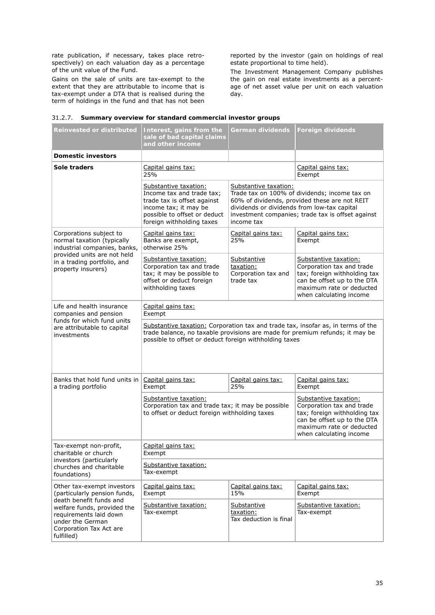rate publication, if necessary, takes place retrospectively) on each valuation day as a percentage of the unit value of the Fund.

Gains on the sale of units are tax-exempt to the extent that they are attributable to income that is tax-exempt under a DTA that is realised during the term of holdings in the fund and that has not been reported by the investor (gain on holdings of real estate proportional to time held).

The Investment Management Company publishes the gain on real estate investments as a percentage of net asset value per unit on each valuation day.

| <b>Reinvested or distributed</b>                                                                                                                                                                            | Interest, gains from the<br>sale of bad capital claims<br>and other income                                                                                                                                                 | German dividends                                                                   | <b>Foreign dividends</b>                                                                                                                                                 |  |
|-------------------------------------------------------------------------------------------------------------------------------------------------------------------------------------------------------------|----------------------------------------------------------------------------------------------------------------------------------------------------------------------------------------------------------------------------|------------------------------------------------------------------------------------|--------------------------------------------------------------------------------------------------------------------------------------------------------------------------|--|
| <b>Domestic investors</b>                                                                                                                                                                                   |                                                                                                                                                                                                                            |                                                                                    |                                                                                                                                                                          |  |
| Sole traders                                                                                                                                                                                                | Capital gains tax:<br>25%                                                                                                                                                                                                  |                                                                                    | Capital gains tax:<br>Exempt                                                                                                                                             |  |
|                                                                                                                                                                                                             | Substantive taxation:<br>Income tax and trade tax;<br>trade tax is offset against<br>income tax; it may be<br>possible to offset or deduct<br>foreign withholding taxes                                                    | Substantive taxation:<br>dividends or dividends from low-tax capital<br>income tax | Trade tax on 100% of dividends; income tax on<br>60% of dividends, provided these are not REIT<br>investment companies; trade tax is offset against                      |  |
| Corporations subject to<br>normal taxation (typically<br>industrial companies, banks,<br>provided units are not held<br>in a trading portfolio, and<br>property insurers)                                   | Capital gains tax:<br>Banks are exempt,<br>otherwise 25%                                                                                                                                                                   | Capital gains tax:<br>25%                                                          | Capital gains tax:<br>Exempt                                                                                                                                             |  |
|                                                                                                                                                                                                             | Substantive taxation:<br>Corporation tax and trade<br>tax; it may be possible to<br>offset or deduct foreign<br>withholding taxes                                                                                          | Substantive<br>taxation:<br>Corporation tax and<br>trade tax                       | Substantive taxation:<br>Corporation tax and trade<br>tax; foreign withholding tax<br>can be offset up to the DTA<br>maximum rate or deducted<br>when calculating income |  |
| Life and health insurance<br>companies and pension                                                                                                                                                          | Capital gains tax:<br>Exempt                                                                                                                                                                                               |                                                                                    |                                                                                                                                                                          |  |
| funds for which fund units<br>are attributable to capital<br>investments                                                                                                                                    | Substantive taxation: Corporation tax and trade tax, insofar as, in terms of the<br>trade balance, no taxable provisions are made for premium refunds; it may be<br>possible to offset or deduct foreign withholding taxes |                                                                                    |                                                                                                                                                                          |  |
| Banks that hold fund units in<br>a trading portfolio                                                                                                                                                        | Capital gains tax:<br>Exempt                                                                                                                                                                                               | Capital gains tax:<br>25%                                                          | Capital gains tax:<br>Exempt                                                                                                                                             |  |
|                                                                                                                                                                                                             | Substantive taxation:<br>Corporation tax and trade tax; it may be possible<br>to offset or deduct foreign withholding taxes                                                                                                |                                                                                    | Substantive taxation:<br>Corporation tax and trade<br>tax; foreign withholding tax<br>can be offset up to the DTA<br>maximum rate or deducted<br>when calculating income |  |
| Tax-exempt non-profit,<br>charitable or church                                                                                                                                                              | Capital gains tax:<br>Exempt                                                                                                                                                                                               |                                                                                    |                                                                                                                                                                          |  |
| investors (particularly<br>churches and charitable<br>foundations)                                                                                                                                          | Substantive taxation:<br>Tax-exempt                                                                                                                                                                                        |                                                                                    |                                                                                                                                                                          |  |
| Other tax-exempt investors<br>(particularly pension funds,<br>death benefit funds and<br>welfare funds, provided the<br>requirements laid down<br>under the German<br>Corporation Tax Act are<br>fulfilled) | Capital gains tax:<br>Exempt                                                                                                                                                                                               | Capital gains tax:<br>15%                                                          | Capital gains tax:<br>Exempt                                                                                                                                             |  |
|                                                                                                                                                                                                             | Substantive taxation:<br>Tax-exempt                                                                                                                                                                                        | Substantive<br>taxation:<br>Tax deduction is final                                 | Substantive taxation:<br>Tax-exempt                                                                                                                                      |  |

#### 31.2.7. **Summary overview for standard commercial investor groups**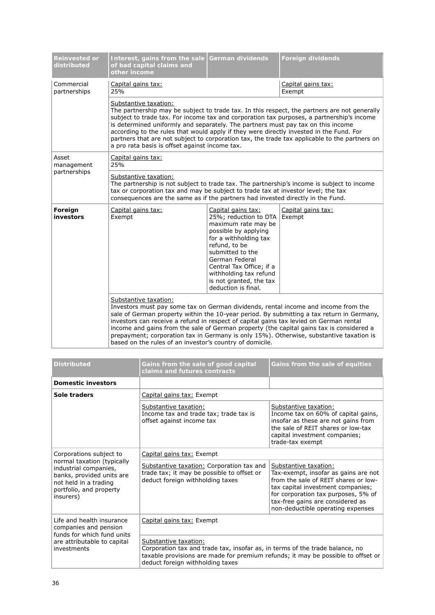| Reinvested or<br>distributed | Interest, gains from the sale<br>of bad capital claims and<br>other income                                                                                                                                                                                                                                                                                                                                                                                                                                                                            | German dividends                                                                                                                                                                                                                                                                   | <b>Foreign dividends</b>     |  |
|------------------------------|-------------------------------------------------------------------------------------------------------------------------------------------------------------------------------------------------------------------------------------------------------------------------------------------------------------------------------------------------------------------------------------------------------------------------------------------------------------------------------------------------------------------------------------------------------|------------------------------------------------------------------------------------------------------------------------------------------------------------------------------------------------------------------------------------------------------------------------------------|------------------------------|--|
| Commercial<br>partnerships   | Capital gains tax:<br>25%                                                                                                                                                                                                                                                                                                                                                                                                                                                                                                                             |                                                                                                                                                                                                                                                                                    | Capital gains tax:<br>Exempt |  |
|                              | Substantive taxation:<br>The partnership may be subject to trade tax. In this respect, the partners are not generally<br>subject to trade tax. For income tax and corporation tax purposes, a partnership's income<br>is determined uniformly and separately. The partners must pay tax on this income<br>according to the rules that would apply if they were directly invested in the Fund. For<br>partners that are not subject to corporation tax, the trade tax applicable to the partners on<br>a pro rata basis is offset against income tax.  |                                                                                                                                                                                                                                                                                    |                              |  |
| Asset<br>management          | Capital gains tax:<br>25%                                                                                                                                                                                                                                                                                                                                                                                                                                                                                                                             |                                                                                                                                                                                                                                                                                    |                              |  |
| partnerships                 | Substantive taxation:<br>The partnership is not subject to trade tax. The partnership's income is subject to income<br>tax or corporation tax and may be subject to trade tax at investor level; the tax<br>consequences are the same as if the partners had invested directly in the Fund.                                                                                                                                                                                                                                                           |                                                                                                                                                                                                                                                                                    |                              |  |
| Foreign<br>investors         | Capital gains tax:<br>Exempt                                                                                                                                                                                                                                                                                                                                                                                                                                                                                                                          | Capital gains tax:<br>25%; reduction to DTA<br>maximum rate may be<br>possible by applying<br>for a withholding tax<br>refund, to be<br>submitted to the<br>German Federal<br>Central Tax Office; if a<br>withholding tax refund<br>is not granted, the tax<br>deduction is final. | Capital gains tax:<br>Exempt |  |
|                              | Substantive taxation:<br>Investors must pay some tax on German dividends, rental income and income from the<br>sale of German property within the 10-year period. By submitting a tax return in Germany,<br>investors can receive a refund in respect of capital gains tax levied on German rental<br>income and gains from the sale of German property (the capital gains tax is considered a<br>prepayment; corporation tax in Germany is only 15%). Otherwise, substantive taxation is<br>based on the rules of an investor's country of domicile. |                                                                                                                                                                                                                                                                                    |                              |  |

| <b>Distributed</b>                                                                                                                                                           | Gains from the sale of good capital<br>claims and futures contracts                                                                                                                                                           | Gains from the sale of equities                                                                                                                                                                                                                            |  |
|------------------------------------------------------------------------------------------------------------------------------------------------------------------------------|-------------------------------------------------------------------------------------------------------------------------------------------------------------------------------------------------------------------------------|------------------------------------------------------------------------------------------------------------------------------------------------------------------------------------------------------------------------------------------------------------|--|
| Domestic investors                                                                                                                                                           |                                                                                                                                                                                                                               |                                                                                                                                                                                                                                                            |  |
| Sole traders                                                                                                                                                                 | Capital gains tax: Exempt                                                                                                                                                                                                     |                                                                                                                                                                                                                                                            |  |
|                                                                                                                                                                              | Substantive taxation:<br>Income tax and trade tax; trade tax is<br>offset against income tax                                                                                                                                  | Substantive taxation:<br>Income tax on 60% of capital gains,<br>insofar as these are not gains from<br>the sale of REIT shares or low-tax<br>capital investment companies;<br>trade-tax exempt                                                             |  |
| Corporations subject to<br>normal taxation (typically<br>industrial companies,<br>banks, provided units are<br>not held in a trading<br>portfolio, and property<br>insurers) | Capital gains tax: Exempt                                                                                                                                                                                                     |                                                                                                                                                                                                                                                            |  |
|                                                                                                                                                                              | Substantive taxation: Corporation tax and<br>trade tax; it may be possible to offset or<br>deduct foreign withholding taxes                                                                                                   | Substantive taxation:<br>Tax-exempt, insofar as gains are not<br>from the sale of REIT shares or low-<br>tax capital investment companies;<br>for corporation tax purposes, 5% of<br>tax-free gains are considered as<br>non-deductible operating expenses |  |
| Life and health insurance<br>companies and pension<br>funds for which fund units<br>are attributable to capital<br>investments                                               | Capital gains tax: Exempt                                                                                                                                                                                                     |                                                                                                                                                                                                                                                            |  |
|                                                                                                                                                                              | Substantive taxation:<br>Corporation tax and trade tax, insofar as, in terms of the trade balance, no<br>taxable provisions are made for premium refunds; it may be possible to offset or<br>deduct foreign withholding taxes |                                                                                                                                                                                                                                                            |  |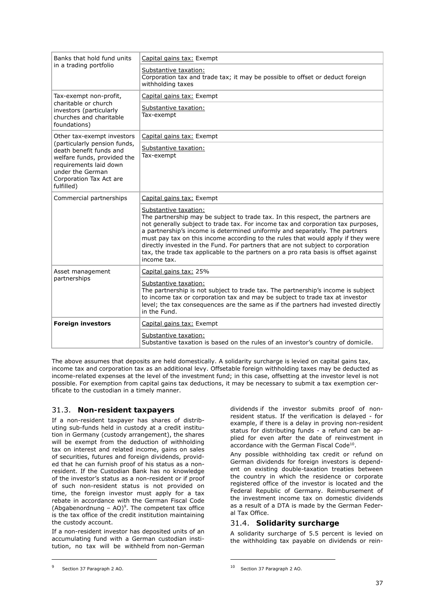| Banks that hold fund units<br>in a trading portfolio                                                                                                                                                        | Capital gains tax: Exempt                                                                                                                                                                                                                                                                                                                                                                                                                                                                                                                               |
|-------------------------------------------------------------------------------------------------------------------------------------------------------------------------------------------------------------|---------------------------------------------------------------------------------------------------------------------------------------------------------------------------------------------------------------------------------------------------------------------------------------------------------------------------------------------------------------------------------------------------------------------------------------------------------------------------------------------------------------------------------------------------------|
|                                                                                                                                                                                                             | Substantive taxation:<br>Corporation tax and trade tax; it may be possible to offset or deduct foreign<br>withholding taxes                                                                                                                                                                                                                                                                                                                                                                                                                             |
| Tax-exempt non-profit,<br>charitable or church<br>investors (particularly<br>churches and charitable<br>foundations)                                                                                        | Capital gains tax: Exempt                                                                                                                                                                                                                                                                                                                                                                                                                                                                                                                               |
|                                                                                                                                                                                                             | Substantive taxation:<br>Tax-exempt                                                                                                                                                                                                                                                                                                                                                                                                                                                                                                                     |
| Other tax-exempt investors<br>(particularly pension funds,<br>death benefit funds and<br>welfare funds, provided the<br>requirements laid down<br>under the German<br>Corporation Tax Act are<br>fulfilled) | Capital gains tax: Exempt                                                                                                                                                                                                                                                                                                                                                                                                                                                                                                                               |
|                                                                                                                                                                                                             | Substantive taxation:<br>Tax-exempt                                                                                                                                                                                                                                                                                                                                                                                                                                                                                                                     |
| Commercial partnerships                                                                                                                                                                                     | Capital gains tax: Exempt                                                                                                                                                                                                                                                                                                                                                                                                                                                                                                                               |
|                                                                                                                                                                                                             | Substantive taxation:<br>The partnership may be subject to trade tax. In this respect, the partners are<br>not generally subject to trade tax. For income tax and corporation tax purposes,<br>a partnership's income is determined uniformly and separately. The partners<br>must pay tax on this income according to the rules that would apply if they were<br>directly invested in the Fund. For partners that are not subject to corporation<br>tax, the trade tax applicable to the partners on a pro rata basis is offset against<br>income tax. |
| Asset management<br>partnerships                                                                                                                                                                            | Capital gains tax: 25%                                                                                                                                                                                                                                                                                                                                                                                                                                                                                                                                  |
|                                                                                                                                                                                                             | Substantive taxation:<br>The partnership is not subject to trade tax. The partnership's income is subject<br>to income tax or corporation tax and may be subject to trade tax at investor<br>level; the tax consequences are the same as if the partners had invested directly<br>in the Fund.                                                                                                                                                                                                                                                          |
| <b>Foreign investors</b>                                                                                                                                                                                    | Capital gains tax: Exempt                                                                                                                                                                                                                                                                                                                                                                                                                                                                                                                               |
|                                                                                                                                                                                                             | Substantive taxation:<br>Substantive taxation is based on the rules of an investor's country of domicile.                                                                                                                                                                                                                                                                                                                                                                                                                                               |

The above assumes that deposits are held domestically. A solidarity surcharge is levied on capital gains tax, income tax and corporation tax as an additional levy. Offsetable foreign withholding taxes may be deducted as income-related expenses at the level of the investment fund; in this case, offsetting at the investor level is not possible. For exemption from capital gains tax deductions, it may be necessary to submit a tax exemption certificate to the custodian in a timely manner.

### 31.3. **Non-resident taxpayers**

If a non-resident taxpayer has shares of distributing sub-funds held in custody at a credit institution in Germany (custody arrangement), the shares will be exempt from the deduction of withholding tax on interest and related income, gains on sales of securities, futures and foreign dividends, provided that he can furnish proof of his status as a nonresident. If the Custodian Bank has no knowledge of the investor's status as a non-resident or if proof of such non-resident status is not provided on time, the foreign investor must apply for a tax rebate in accordance with the German Fiscal Code (Abgabenordnung – AO)<sup>9</sup>. The competent tax office is the tax office of the credit institution maintaining the custody account.

If a non-resident investor has deposited units of an accumulating fund with a German custodian institution, no tax will be withheld from non-German Any possible withholding tax credit or refund on German dividends for foreign investors is dependent on existing double-taxation treaties between the country in which the residence or corporate registered office of the investor is located and the Federal Republic of Germany. Reimbursement of the investment income tax on domestic dividends as a result of a DTA is made by the German Federal Tax Office.

### 31.4. **Solidarity surcharge**

A solidarity surcharge of 5.5 percent is levied on the withholding tax payable on dividends or rein-

-

-

dividends if the investor submits proof of nonresident status. If the verification is delayed - for example, if there is a delay in proving non-resident status for distributing funds - a refund can be applied for even after the date of reinvestment in accordance with the German Fiscal Code<sup>10</sup>.

<sup>&</sup>lt;sup>9</sup> Section 37 Paragraph 2 AO.

<sup>10</sup> Section 37 Paragraph 2 AO.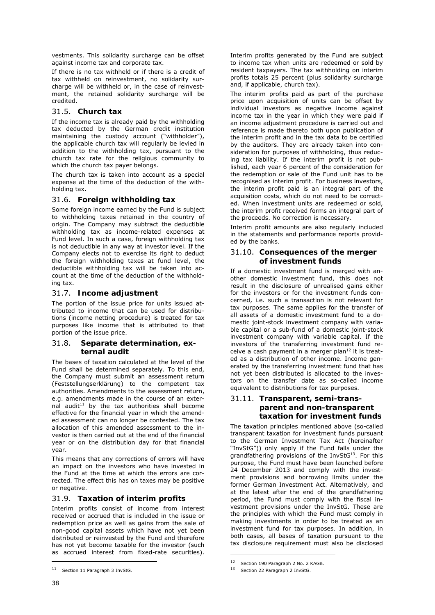vestments. This solidarity surcharge can be offset against income tax and corporate tax.

If there is no tax withheld or if there is a credit of tax withheld on reinvestment, no solidarity surcharge will be withheld or, in the case of reinvestment, the retained solidarity surcharge will be credited.

### 31.5. **Church tax**

If the income tax is already paid by the withholding tax deducted by the German credit institution maintaining the custody account ("withholder"), the applicable church tax will regularly be levied in addition to the withholding tax, pursuant to the church tax rate for the religious community to which the church tax payer belongs.

The church tax is taken into account as a special expense at the time of the deduction of the withholding tax.

### 31.6. **Foreign withholding tax**

Some foreign income earned by the Fund is subject to withholding taxes retained in the country of origin. The Company may subtract the deductible withholding tax as income-related expenses at Fund level. In such a case, foreign withholding tax is not deductible in any way at investor level. If the Company elects not to exercise its right to deduct the foreign withholding taxes at fund level, the deductible withholding tax will be taken into account at the time of the deduction of the withholding tax.

### 31.7. **Income adjustment**

The portion of the issue price for units issued attributed to income that can be used for distributions (income netting procedure) is treated for tax purposes like income that is attributed to that portion of the issue price.

### 31.8. **Separate determination, external audit**

The bases of taxation calculated at the level of the Fund shall be determined separately. To this end, the Company must submit an assessment return (Feststellungserklärung) to the competent tax authorities. Amendments to the assessment return, e.g. amendments made in the course of an external audit<sup>11</sup> by the tax authorities shall become effective for the financial year in which the amended assessment can no longer be contested. The tax allocation of this amended assessment to the investor is then carried out at the end of the financial year or on the distribution day for that financial year.

This means that any corrections of errors will have an impact on the investors who have invested in the Fund at the time at which the errors are corrected. The effect this has on taxes may be positive or negative.

### 31.9. **Taxation of interim profits**

Interim profits consist of income from interest received or accrued that is included in the issue or redemption price as well as gains from the sale of non-good capital assets which have not yet been distributed or reinvested by the Fund and therefore has not yet become taxable for the investor (such as accrued interest from fixed-rate securities).

Interim profits generated by the Fund are subject to income tax when units are redeemed or sold by resident taxpayers. The tax withholding on interim profits totals 25 percent (plus solidarity surcharge and, if applicable, church tax).

The interim profits paid as part of the purchase price upon acquisition of units can be offset by individual investors as negative income against income tax in the year in which they were paid if an income adjustment procedure is carried out and reference is made thereto both upon publication of the interim profit and in the tax data to be certified by the auditors. They are already taken into consideration for purposes of withholding, thus reducing tax liability. If the interim profit is not published, each year 6 percent of the consideration for the redemption or sale of the Fund unit has to be recognised as interim profit. For business investors, the interim profit paid is an integral part of the acquisition costs, which do not need to be corrected. When investment units are redeemed or sold, the interim profit received forms an integral part of the proceeds. No correction is necessary.

Interim profit amounts are also regularly included in the statements and performance reports provided by the banks.

### 31.10. **Consequences of the merger of investment funds**

If a domestic investment fund is merged with another domestic investment fund, this does not result in the disclosure of unrealised gains either for the investors or for the investment funds concerned, i.e. such a transaction is not relevant for tax purposes. The same applies for the transfer of all assets of a domestic investment fund to a domestic joint-stock investment company with variable capital or a sub-fund of a domestic joint-stock investment company with variable capital. If the investors of the transferring investment fund receive a cash payment in a merger plan $12$  it is treated as a distribution of other income. Income generated by the transferring investment fund that has not yet been distributed is allocated to the investors on the transfer date as so-called income equivalent to distributions for tax purposes.

### 31.11. **Transparent, semi-transparent and non-transparent taxation for investment funds**

The taxation principles mentioned above (so-called transparent taxation for investment funds pursuant to the German Investment Tax Act (hereinafter "InvStG")) only apply if the Fund falls under the grandfathering provisions of the InvStG<sup>13</sup>. For this purpose, the Fund must have been launched before 24 December 2013 and comply with the investment provisions and borrowing limits under the former German Investment Act. Alternatively, and at the latest after the end of the grandfathering period, the Fund must comply with the fiscal investment provisions under the InvStG. These are the principles with which the Fund must comply in making investments in order to be treated as an investment fund for tax purposes. In addition, in both cases, all bases of taxation pursuant to the tax disclosure requirement must also be disclosed

-

-

<sup>11</sup> Section 11 Paragraph 3 InvStG.

<sup>12</sup> Section 190 Paragraph 2 No. 2 KAGB.

<sup>13</sup> Section 22 Paragraph 2 InvStG.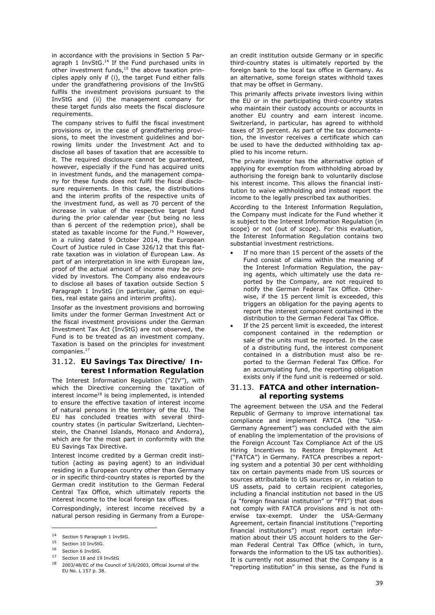in accordance with the provisions in Section 5 Paragraph 1 InvStG.<sup>14</sup> If the Fund purchased units in other investment funds, $15$  the above taxation principles apply only if (i), the target Fund either falls under the grandfathering provisions of the InvStG fulfils the investment provisions pursuant to the InvStG and (ii) the management company for these target funds also meets the fiscal disclosure requirements.

The company strives to fulfil the fiscal investment provisions or, in the case of grandfathering provisions, to meet the investment guidelines and borrowing limits under the Investment Act and to disclose all bases of taxation that are accessible to it. The required disclosure cannot be guaranteed, however, especially if the Fund has acquired units in investment funds, and the management company for these funds does not fulfil the fiscal disclosure requirements. In this case, the distributions and the interim profits of the respective units of the investment fund, as well as 70 percent of the increase in value of the respective target fund during the prior calendar year (but being no less than 6 percent of the redemption price), shall be stated as taxable income for the Fund.<sup>16</sup> However, in a ruling dated 9 October 2014, the European Court of Justice ruled in Case 326/12 that this flatrate taxation was in violation of European Law. As part of an interpretation in line with European law, proof of the actual amount of income may be provided by investors. The Company also endeavours to disclose all bases of taxation outside Section 5 Paragraph 1 InvStG (in particular, gains on equities, real estate gains and interim profits).

Insofar as the investment provisions and borrowing limits under the former German Investment Act or the fiscal investment provisions under the German Investment Tax Act (InvStG) are not observed, the Fund is to be treated as an investment company. Taxation is based on the principles for investment companies.17

### 31.12. **EU Savings Tax Directive/ Interest Information Regulation**

The Interest Information Regulation ("ZIV"), with which the Directive concerning the taxation of interest income<sup>18</sup> is being implemented, is intended to ensure the effective taxation of interest income of natural persons in the territory of the EU. The EU has concluded treaties with several thirdcountry states (in particular Switzerland, Liechtenstein, the Channel Islands, Monaco and Andorra), which are for the most part in conformity with the EU Savings Tax Directive.

Interest income credited by a German credit institution (acting as paying agent) to an individual residing in a European country other than Germany or in specific third-country states is reported by the German credit institution to the German Federal Central Tax Office, which ultimately reports the interest income to the local foreign tax offices.

Correspondingly, interest income received by a natural person residing in Germany from a Europe-

-

an credit institution outside Germany or in specific third-country states is ultimately reported by the foreign bank to the local tax office in Germany. As an alternative, some foreign states withhold taxes that may be offset in Germany.

This primarily affects private investors living within the EU or in the participating third-country states who maintain their custody accounts or accounts in another EU country and earn interest income. Switzerland, in particular, has agreed to withhold taxes of 35 percent. As part of the tax documentation, the investor receives a certificate which can be used to have the deducted withholding tax applied to his income return.

The private investor has the alternative option of applying for exemption from withholding abroad by authorising the foreign bank to voluntarily disclose his interest income. This allows the financial institution to waive withholding and instead report the income to the legally prescribed tax authorities.

According to the Interest Information Regulation, the Company must indicate for the Fund whether it is subject to the Interest Information Regulation (in scope) or not (out of scope). For this evaluation, the Interest Information Regulation contains two substantial investment restrictions.

- If no more than 15 percent of the assets of the Fund consist of claims within the meaning of the Interest Information Regulation, the paying agents, which ultimately use the data reported by the Company, are not required to notify the German Federal Tax Office. Otherwise, if the 15 percent limit is exceeded, this triggers an obligation for the paying agents to report the interest component contained in the distribution to the German Federal Tax Office.
- If the 25 percent limit is exceeded, the interest component contained in the redemption or sale of the units must be reported. In the case of a distributing fund, the interest component contained in a distribution must also be reported to the German Federal Tax Office. For an accumulating fund, the reporting obligation exists only if the fund unit is redeemed or sold.

### 31.13. **FATCA and other international reporting systems**

The agreement between the USA and the Federal Republic of Germany to improve international tax compliance and implement FATCA (the "USA-Germany Agreement") was concluded with the aim of enabling the implementation of the provisions of the Foreign Account Tax Compliance Act of the US Hiring Incentives to Restore Employment Act ("FATCA") in Germany. FATCA prescribes a reporting system and a potential 30 per cent withholding tax on certain payments made from US sources or sources attributable to US sources or, in relation to US assets, paid to certain recipient categories, including a financial institution not based in the US (a "foreign financial institution" or "FFI") that does not comply with FATCA provisions and is not otherwise tax-exempt. Under the USA-Germany Agreement, certain financial institutions ("reporting financial institutions") must report certain information about their US account holders to the German Federal Central Tax Office (which, in turn, forwards the information to the US tax authorities). It is currently not assumed that the Company is a "reporting institution" in this sense, as the Fund is

<sup>14</sup> Section 5 Paragraph 1 InvStG.

<sup>15</sup> Section 10 InvStG.

 $16$  Section 6 InvStG.

<sup>17</sup> Section 18 and 19 InvStG

<sup>18 2003/48/</sup>EC of the Council of 3/6/2003, Official Journal of the EU No. L 157 p. 38.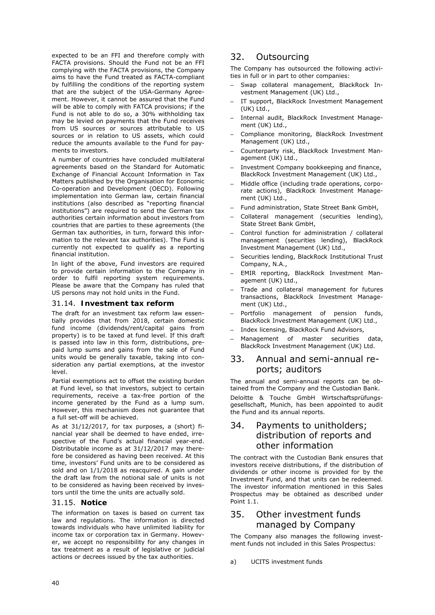expected to be an FFI and therefore comply with FACTA provisions. Should the Fund not be an FFI complying with the FACTA provisions, the Company aims to have the Fund treated as FACTA-compliant by fulfilling the conditions of the reporting system that are the subject of the USA-Germany Agreement. However, it cannot be assured that the Fund will be able to comply with FATCA provisions; if the Fund is not able to do so, a 30% withholding tax may be levied on payments that the Fund receives from US sources or sources attributable to US sources or in relation to US assets, which could reduce the amounts available to the Fund for payments to investors.

A number of countries have concluded multilateral agreements based on the Standard for Automatic Exchange of Financial Account Information in Tax Matters published by the Organisation for Economic Co-operation and Development (OECD). Following implementation into German law, certain financial institutions (also described as "reporting financial institutions") are required to send the German tax authorities certain information about investors from countries that are parties to these agreements (the German tax authorities, in turn, forward this information to the relevant tax authorities). The Fund is currently not expected to qualify as a reporting financial institution.

In light of the above, Fund investors are required to provide certain information to the Company in order to fulfil reporting system requirements. Please be aware that the Company has ruled that US persons may not hold units in the Fund.

#### 31.14. **Investment tax reform**

The draft for an investment tax reform law essentially provides that from 2018, certain domestic fund income (dividends/rent/capital gains from property) is to be taxed at fund level. If this draft is passed into law in this form, distributions, prepaid lump sums and gains from the sale of Fund units would be generally taxable, taking into consideration any partial exemptions, at the investor level.

Partial exemptions act to offset the existing burden at Fund level, so that investors, subject to certain requirements, receive a tax-free portion of the income generated by the Fund as a lump sum. However, this mechanism does not guarantee that a full set-off will be achieved.

As at 31/12/2017, for tax purposes, a (short) financial year shall be deemed to have ended, irrespective of the Fund's actual financial year-end. Distributable income as at 31/12/2017 may therefore be considered as having been received. At this time, investors' Fund units are to be considered as sold and on 1/1/2018 as reacquired. A gain under the draft law from the notional sale of units is not to be considered as having been received by investors until the time the units are actually sold.

#### 31.15. **Notice**

The information on taxes is based on current tax law and regulations. The information is directed towards individuals who have unlimited liability for income tax or corporation tax in Germany. However, we accept no responsibility for any changes in tax treatment as a result of legislative or judicial actions or decrees issued by the tax authorities.

# 32. Outsourcing

The Company has outsourced the following activities in full or in part to other companies:

- Swap collateral management, BlackRock Investment Management (UK) Ltd.,
- IT support, BlackRock Investment Management (UK) Ltd.,
- Internal audit, BlackRock Investment Management (UK) Ltd.,
- Compliance monitoring, BlackRock Investment Management (UK) Ltd.,
- Counterparty risk, BlackRock Investment Management (UK) Ltd.,
- Investment Company bookkeeping and finance, BlackRock Investment Management (UK) Ltd.,
- Middle office (including trade operations, corporate actions), BlackRock Investment Management (UK) Ltd.,
- Fund administration, State Street Bank GmbH,
- Collateral management (securities lending), State Street Bank GmbH,
- Control function for administration / collateral management (securities lending), BlackRock Investment Management (UK) Ltd.,
- Securities lending, BlackRock Institutional Trust Company, N.A.,
- EMIR reporting, BlackRock Investment Management (UK) Ltd.,
- Trade and collateral management for futures transactions, BlackRock Investment Management (UK) Ltd.,
- Portfolio management of pension funds, BlackRock Investment Management (UK) Ltd.,
- Index licensing, BlackRock Fund Advisors,
- Management of master securities data, BlackRock Investment Management (UK) Ltd.

### 33. Annual and semi-annual reports; auditors

The annual and semi-annual reports can be obtained from the Company and the Custodian Bank. Deloitte & Touche GmbH Wirtschaftsprüfungsgesellschaft, Munich, has been appointed to audit the Fund and its annual reports.

# 34. Payments to unitholders; distribution of reports and other information

The contract with the Custodian Bank ensures that investors receive distributions, if the distribution of dividends or other income is provided for by the Investment Fund, and that units can be redeemed. The investor information mentioned in this Sales Prospectus may be obtained as described under Point 1.1

# 35. Other investment funds managed by Company

The Company also manages the following investment funds not included in this Sales Prospectus:

a) UCITS investment funds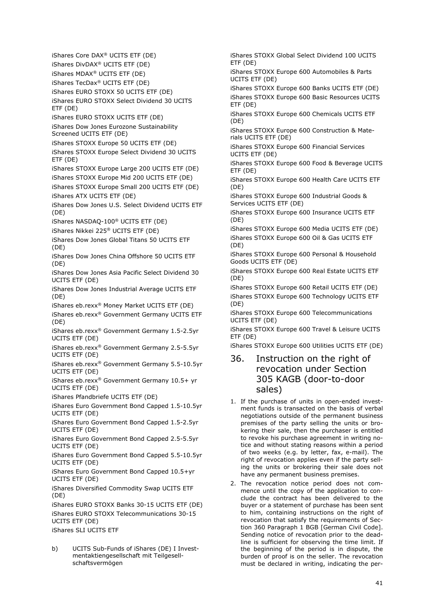iShares Core DAX® UCITS ETF (DE) iShares DivDAX® UCITS ETF (DE) iShares MDAX® UCITS ETF (DE) iShares TecDax® UCITS ETF (DE) iShares EURO STOXX 50 UCITS ETF (DE) iShares EURO STOXX Select Dividend 30 UCITS ETF (DE) iShares EURO STOXX UCITS ETF (DE) iShares Dow Jones Eurozone Sustainability Screened UCITS ETF (DE) iShares STOXX Europe 50 UCITS ETF (DE) iShares STOXX Europe Select Dividend 30 UCITS ETF (DE) iShares STOXX Europe Large 200 UCITS ETF (DE) iShares STOXX Europe Mid 200 UCITS ETF (DE) iShares STOXX Europe Small 200 UCITS ETF (DE) iShares ATX UCITS ETF (DE) iShares Dow Jones U.S. Select Dividend UCITS ETF (DE) iShares NASDAQ-100® UCITS ETF (DE) iShares Nikkei 225® UCITS ETF (DE) iShares Dow Jones Global Titans 50 UCITS ETF (DE) iShares Dow Jones China Offshore 50 UCITS ETF (DE) iShares Dow Jones Asia Pacific Select Dividend 30 UCITS ETF (DE) iShares Dow Jones Industrial Average UCITS ETF (DE) iShares eb.rexx® Money Market UCITS ETF (DE) iShares eb.rexx® Government Germany UCITS ETF (DE) iShares eb.rexx® Government Germany 1.5-2.5yr UCITS ETF (DE) iShares eb.rexx® Government Germany 2.5-5.5yr UCITS ETF (DE) iShares eb.rexx® Government Germany 5.5-10.5yr UCITS ETF (DE) iShares eb.rexx® Government Germany 10.5+ yr UCITS ETF (DE) iShares Pfandbriefe UCITS ETF (DE) iShares Euro Government Bond Capped 1.5-10.5yr UCITS ETF (DE) iShares Euro Government Bond Capped 1.5-2.5yr UCITS ETF (DE) iShares Euro Government Bond Capped 2.5-5.5yr UCITS ETF (DE) iShares Euro Government Bond Capped 5.5-10.5yr UCITS ETF (DE) iShares Euro Government Bond Capped 10.5+yr UCITS ETF (DE) iShares Diversified Commodity Swap UCITS ETF (DE) iShares EURO STOXX Banks 30-15 UCITS ETF (DE) iShares EURO STOXX Telecommunications 30-15 UCITS ETF (DE) iShares SLI UCITS ETF

b) UCITS Sub-Funds of iShares (DE) I Investmentaktiengesellschaft mit Teilgesellschaftsvermögen

iShares STOXX Global Select Dividend 100 UCITS ETF (DE)

iShares STOXX Europe 600 Automobiles & Parts UCITS ETF (DE)

iShares STOXX Europe 600 Banks UCITS ETF (DE) iShares STOXX Europe 600 Basic Resources UCITS ETF (DE)

iShares STOXX Europe 600 Chemicals UCITS ETF (DE)

iShares STOXX Europe 600 Construction & Materials UCITS ETF (DE)

iShares STOXX Europe 600 Financial Services UCITS ETF (DE)

iShares STOXX Europe 600 Food & Beverage UCITS ETF (DE)

iShares STOXX Europe 600 Health Care UCITS ETF (DE)

iShares STOXX Europe 600 Industrial Goods & Services UCITS ETF (DE)

iShares STOXX Europe 600 Insurance UCITS ETF (DE)

iShares STOXX Europe 600 Media UCITS ETF (DE) iShares STOXX Europe 600 Oil & Gas UCITS ETF (DE)

iShares STOXX Europe 600 Personal & Household Goods UCITS ETF (DE)

iShares STOXX Europe 600 Real Estate UCITS ETF (DE)

iShares STOXX Europe 600 Retail UCITS ETF (DE) iShares STOXX Europe 600 Technology UCITS ETF (DE)

iShares STOXX Europe 600 Telecommunications UCITS ETF (DE)

iShares STOXX Europe 600 Travel & Leisure UCITS ETF (DE)

iShares STOXX Europe 600 Utilities UCITS ETF (DE)

# 36. Instruction on the right of revocation under Section 305 KAGB (door-to-door sales)

- 1. If the purchase of units in open-ended investment funds is transacted on the basis of verbal negotiations outside of the permanent business premises of the party selling the units or brokering their sale, then the purchaser is entitled to revoke his purchase agreement in writing notice and without stating reasons within a period of two weeks (e.g. by letter, fax, e-mail). The right of revocation applies even if the party selling the units or brokering their sale does not have any permanent business premises.
- 2. The revocation notice period does not commence until the copy of the application to conclude the contract has been delivered to the buyer or a statement of purchase has been sent to him, containing instructions on the right of revocation that satisfy the requirements of Section 360 Paragraph 1 BGB [German Civil Code]. Sending notice of revocation prior to the deadline is sufficient for observing the time limit. If the beginning of the period is in dispute, the burden of proof is on the seller. The revocation must be declared in writing, indicating the per-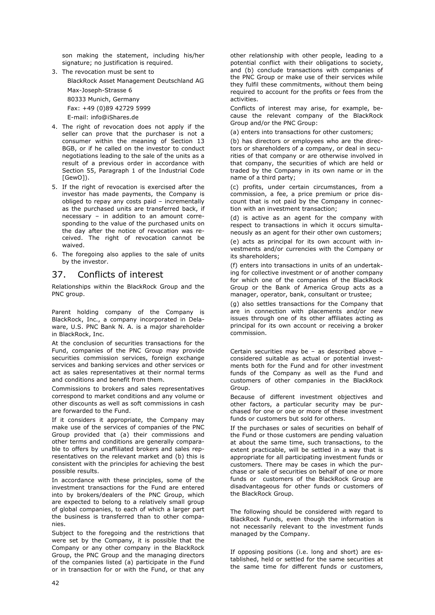son making the statement, including his/her signature; no justification is required.

3. The revocation must be sent to BlackRock Asset Management Deutschland AG

Max-Joseph-Strasse 6

80333 Munich, Germany Fax: +49 (0)89 42729 5999

E-mail: info@iShares.de

- 4. The right of revocation does not apply if the seller can prove that the purchaser is not a consumer within the meaning of Section 13 BGB, or if he called on the investor to conduct negotiations leading to the sale of the units as a result of a previous order in accordance with Section 55, Paragraph 1 of the Industrial Code [GewO]).
- 5. If the right of revocation is exercised after the investor has made payments, the Company is obliged to repay any costs paid – incrementally as the purchased units are transferred back, if necessary – in addition to an amount corresponding to the value of the purchased units on the day after the notice of revocation was received. The right of revocation cannot be waived.
- 6. The foregoing also applies to the sale of units by the investor.

# 37. Conflicts of interest

Relationships within the BlackRock Group and the PNC group.

Parent holding company of the Company is BlackRock, Inc., a company incorporated in Delaware, U.S. PNC Bank N. A. is a major shareholder in BlackRock, Inc.

At the conclusion of securities transactions for the Fund, companies of the PNC Group may provide securities commission services, foreign exchange services and banking services and other services or act as sales representatives at their normal terms and conditions and benefit from them.

Commissions to brokers and sales representatives correspond to market conditions and any volume or other discounts as well as soft commissions in cash are forwarded to the Fund.

If it considers it appropriate, the Company may make use of the services of companies of the PNC Group provided that (a) their commissions and other terms and conditions are generally comparable to offers by unaffiliated brokers and sales representatives on the relevant market and (b) this is consistent with the principles for achieving the best possible results.

In accordance with these principles, some of the investment transactions for the Fund are entered into by brokers/dealers of the PNC Group, which are expected to belong to a relatively small group of global companies, to each of which a larger part the business is transferred than to other companies.

Subject to the foregoing and the restrictions that were set by the Company, it is possible that the Company or any other company in the BlackRock Group, the PNC Group and the managing directors of the companies listed (a) participate in the Fund or in transaction for or with the Fund, or that any

other relationship with other people, leading to a potential conflict with their obligations to society, and (b) conclude transactions with companies of the PNC Group or make use of their services while they fulfil these commitments, without them being required to account for the profits or fees from the activities.

Conflicts of interest may arise, for example, because the relevant company of the BlackRock Group and/or the PNC Group:

(a) enters into transactions for other customers;

(b) has directors or employees who are the directors or shareholders of a company, or deal in securities of that company or are otherwise involved in that company, the securities of which are held or traded by the Company in its own name or in the name of a third party;

(c) profits, under certain circumstances, from a commission, a fee, a price premium or price discount that is not paid by the Company in connection with an investment transaction;

(d) is active as an agent for the company with respect to transactions in which it occurs simultaneously as an agent for their other own customers;

(e) acts as principal for its own account with investments and/or currencies with the Company or its shareholders;

(f) enters into transactions in units of an undertaking for collective investment or of another company for which one of the companies of the BlackRock Group or the Bank of America Group acts as a manager, operator, bank, consultant or trustee;

(g) also settles transactions for the Company that are in connection with placements and/or new issues through one of its other affiliates acting as principal for its own account or receiving a broker commission.

Certain securities may be – as described above – considered suitable as actual or potential investments both for the Fund and for other investment funds of the Company as well as the Fund and customers of other companies in the BlackRock Group.

Because of different investment objectives and other factors, a particular security may be purchased for one or one or more of these investment funds or customers but sold for others.

If the purchases or sales of securities on behalf of the Fund or those customers are pending valuation at about the same time, such transactions, to the extent practicable, will be settled in a way that is appropriate for all participating investment funds or customers. There may be cases in which the purchase or sale of securities on behalf of one or more funds or customers of the BlackRock Group are disadvantageous for other funds or customers of the BlackRock Group.

The following should be considered with regard to BlackRock Funds, even though the information is not necessarily relevant to the investment funds managed by the Company.

If opposing positions (i.e. long and short) are established, held or settled for the same securities at the same time for different funds or customers,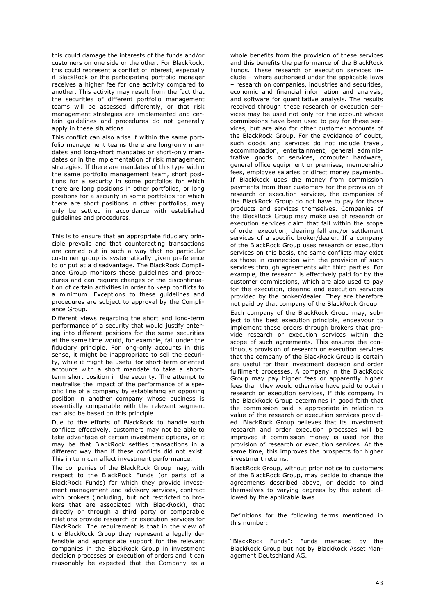this could damage the interests of the funds and/or customers on one side or the other. For BlackRock, this could represent a conflict of interest, especially if BlackRock or the participating portfolio manager receives a higher fee for one activity compared to another. This activity may result from the fact that the securities of different portfolio management teams will be assessed differently, or that risk management strategies are implemented and certain guidelines and procedures do not generally apply in these situations.

This conflict can also arise if within the same portfolio management teams there are long-only mandates and long-short mandates or short-only mandates or in the implementation of risk management strategies. If there are mandates of this type within the same portfolio management team, short positions for a security in some portfolios for which there are long positions in other portfolios, or long positions for a security in some portfolios for which there are short positions in other portfolios, may only be settled in accordance with established guidelines and procedures.

This is to ensure that an appropriate fiduciary principle prevails and that counteracting transactions are carried out in such a way that no particular customer group is systematically given preference to or put at a disadvantage. The BlackRock Compliance Group monitors these guidelines and procedures and can require changes or the discontinuation of certain activities in order to keep conflicts to a minimum. Exceptions to these guidelines and procedures are subject to approval by the Compliance Group.

Different views regarding the short and long-term performance of a security that would justify entering into different positions for the same securities at the same time would, for example, fall under the fiduciary principle. For long-only accounts in this sense, it might be inappropriate to sell the security, while it might be useful for short-term oriented accounts with a short mandate to take a shortterm short position in the security. The attempt to neutralise the impact of the performance of a specific line of a company by establishing an opposing position in another company whose business is essentially comparable with the relevant segment can also be based on this principle.

Due to the efforts of BlackRock to handle such conflicts effectively, customers may not be able to take advantage of certain investment options, or it may be that BlackRock settles transactions in a different way than if these conflicts did not exist. This in turn can affect investment performance.

The companies of the BlackRock Group may, with respect to the BlackRock Funds (or parts of a BlackRock Funds) for which they provide investment management and advisory services, contract with brokers (including, but not restricted to brokers that are associated with BlackRock), that directly or through a third party or comparable relations provide research or execution services for BlackRock. The requirement is that in the view of the BlackRock Group they represent a legally defensible and appropriate support for the relevant companies in the BlackRock Group in investment decision processes or execution of orders and it can reasonably be expected that the Company as a

whole benefits from the provision of these services and this benefits the performance of the BlackRock Funds. These research or execution services include – where authorised under the applicable laws – research on companies, industries and securities, economic and financial information and analysis, and software for quantitative analysis. The results received through these research or execution services may be used not only for the account whose commissions have been used to pay for these services, but are also for other customer accounts of the BlackRock Group. For the avoidance of doubt, such goods and services do not include travel, accommodation, entertainment, general administrative goods or services, computer hardware, general office equipment or premises, membership fees, employee salaries or direct money payments. If BlackRock uses the money from commission payments from their customers for the provision of research or execution services, the companies of the BlackRock Group do not have to pay for those products and services themselves. Companies of the BlackRock Group may make use of research or execution services claim that fall within the scope of order execution, clearing fall and/or settlement services of a specific broker/dealer. If a company of the BlackRock Group uses research or execution services on this basis, the same conflicts may exist as those in connection with the provision of such services through agreements with third parties. For example, the research is effectively paid for by the customer commissions, which are also used to pay for the execution, clearing and execution services provided by the broker/dealer. They are therefore not paid by that company of the BlackRock Group.

Each company of the BlackRock Group may, subject to the best execution principle, endeavour to implement these orders through brokers that provide research or execution services within the scope of such agreements. This ensures the continuous provision of research or execution services that the company of the BlackRock Group is certain are useful for their investment decision and order fulfilment processes. A company in the BlackRock Group may pay higher fees or apparently higher fees than they would otherwise have paid to obtain research or execution services, if this company in the BlackRock Group determines in good faith that the commission paid is appropriate in relation to value of the research or execution services provided. BlackRock Group believes that its investment research and order execution processes will be improved if commission money is used for the provision of research or execution services. At the same time, this improves the prospects for higher investment returns.

BlackRock Group, without prior notice to customers of the BlackRock Group, may decide to change the agreements described above, or decide to bind themselves to varying degrees by the extent allowed by the applicable laws.

Definitions for the following terms mentioned in this number:

"BlackRock Funds": Funds managed by the BlackRock Group but not by BlackRock Asset Management Deutschland AG.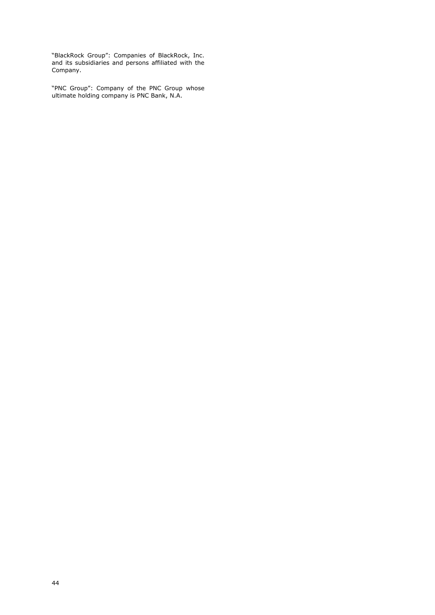"BlackRock Group": Companies of BlackRock, Inc. and its subsidiaries and persons affiliated with the Company.

"PNC Group": Company of the PNC Group whose ultimate holding company is PNC Bank, N.A.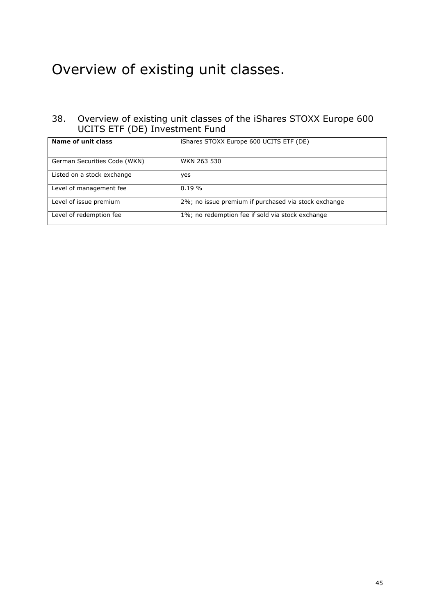# Overview of existing unit classes.

# 38. Overview of existing unit classes of the iShares STOXX Europe 600 UCITS ETF (DE) Investment Fund

| Name of unit class           | iShares STOXX Europe 600 UCITS ETF (DE)              |
|------------------------------|------------------------------------------------------|
| German Securities Code (WKN) | WKN 263 530                                          |
| Listed on a stock exchange   | yes                                                  |
| Level of management fee      | $0.19 \%$                                            |
| Level of issue premium       | 2%; no issue premium if purchased via stock exchange |
| Level of redemption fee      | 1%; no redemption fee if sold via stock exchange     |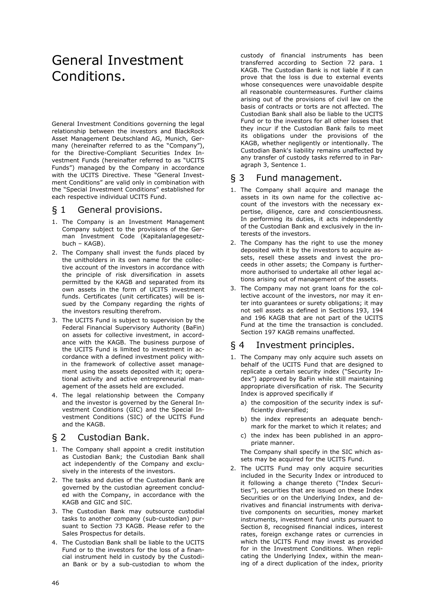# General Investment Conditions.

General Investment Conditions governing the legal relationship between the investors and BlackRock Asset Management Deutschland AG, Munich, Germany (hereinafter referred to as the "Company"), for the Directive-Compliant Securities Index Investment Funds (hereinafter referred to as "UCITS Funds") managed by the Company in accordance with the UCITS Directive. These "General Investment Conditions" are valid only in combination with the "Special Investment Conditions" established for each respective individual UCITS Fund.

### § 1 General provisions.

- 1. The Company is an Investment Management Company subject to the provisions of the German Investment Code (Kapitalanlagegesetzbuch – KAGB).
- 2. The Company shall invest the funds placed by the unitholders in its own name for the collective account of the investors in accordance with the principle of risk diversification in assets permitted by the KAGB and separated from its own assets in the form of UCITS investment funds. Certificates (unit certificates) will be issued by the Company regarding the rights of the investors resulting therefrom.
- 3. The UCITS Fund is subject to supervision by the Federal Financial Supervisory Authority (BaFin) on assets for collective investment, in accordance with the KAGB. The business purpose of the UCITS Fund is limited to investment in accordance with a defined investment policy within the framework of collective asset management using the assets deposited with it; operational activity and active entrepreneurial management of the assets held are excluded.
- 4. The legal relationship between the Company and the investor is governed by the General Investment Conditions (GIC) and the Special Investment Conditions (SIC) of the UCITS Fund and the KAGB.

# § 2 Custodian Bank.

- 1. The Company shall appoint a credit institution as Custodian Bank; the Custodian Bank shall act independently of the Company and exclusively in the interests of the investors.
- 2. The tasks and duties of the Custodian Bank are governed by the custodian agreement concluded with the Company, in accordance with the KAGB and GIC and SIC.
- 3. The Custodian Bank may outsource custodial tasks to another company (sub-custodian) pursuant to Section 73 KAGB. Please refer to the Sales Prospectus for details.
- 4. The Custodian Bank shall be liable to the UCITS Fund or to the investors for the loss of a financial instrument held in custody by the Custodian Bank or by a sub-custodian to whom the

custody of financial instruments has been transferred according to Section 72 para. 1 KAGB. The Custodian Bank is not liable if it can prove that the loss is due to external events whose consequences were unavoidable despite all reasonable countermeasures. Further claims arising out of the provisions of civil law on the basis of contracts or torts are not affected. The Custodian Bank shall also be liable to the UCITS Fund or to the investors for all other losses that they incur if the Custodian Bank fails to meet its obligations under the provisions of the KAGB, whether negligently or intentionally. The Custodian Bank's liability remains unaffected by any transfer of custody tasks referred to in Paragraph 3, Sentence 1.

# § 3 Fund management.

- 1. The Company shall acquire and manage the assets in its own name for the collective account of the investors with the necessary expertise, diligence, care and conscientiousness. In performing its duties, it acts independently of the Custodian Bank and exclusively in the interests of the investors.
- 2. The Company has the right to use the money deposited with it by the investors to acquire assets, resell these assets and invest the proceeds in other assets; the Company is furthermore authorised to undertake all other legal actions arising out of management of the assets.
- 3. The Company may not grant loans for the collective account of the investors, nor may it enter into guarantees or surety obligations; it may not sell assets as defined in Sections 193, 194 and 196 KAGB that are not part of the UCITS Fund at the time the transaction is concluded. Section 197 KAGB remains unaffected.

# § 4 Investment principles.

- 1. The Company may only acquire such assets on behalf of the UCITS Fund that are designed to replicate a certain security index ("Security Index") approved by BaFin while still maintaining appropriate diversification of risk. The Security Index is approved specifically if
	- a) the composition of the security index is sufficiently diversified;
	- b) the index represents an adequate benchmark for the market to which it relates; and
	- c) the index has been published in an appropriate manner.

The Company shall specify in the SIC which assets may be acquired for the UCITS Fund.

2. The UCITS Fund may only acquire securities included in the Security Index or introduced to it following a change thereto ("Index Securities"), securities that are issued on these Index Securities or on the Underlying Index, and derivatives and financial instruments with derivative components on securities, money market instruments, investment fund units pursuant to Section 8, recognised financial indices, interest rates, foreign exchange rates or currencies in which the UCITS Fund may invest as provided for in the Investment Conditions. When replicating the Underlying Index, within the meaning of a direct duplication of the index, priority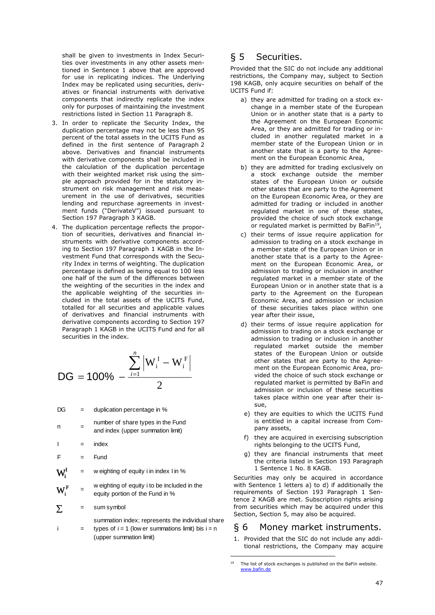shall be given to investments in Index Securities over investments in any other assets mentioned in Sentence 1 above that are approved for use in replicating indices. The Underlying Index may be replicated using securities, derivatives or financial instruments with derivative components that indirectly replicate the index only for purposes of maintaining the investment restrictions listed in Section 11 Paragraph 8.

- 3. In order to replicate the Security Index, the duplication percentage may not be less than 95 percent of the total assets in the UCITS Fund as defined in the first sentence of Paragraph 2 above. Derivatives and financial instruments with derivative components shall be included in the calculation of the duplication percentage with their weighted market risk using the simple approach provided for in the statutory instrument on risk management and risk measurement in the use of derivatives, securities lending and repurchase agreements in investment funds ("DerivateV") issued pursuant to Section 197 Paragraph 3 KAGB.
- 4. The duplication percentage reflects the proportion of securities, derivatives and financial instruments with derivative components according to Section 197 Paragraph 1 KAGB in the Investment Fund that corresponds with the Security Index in terms of weighting. The duplication percentage is defined as being equal to 100 less one half of the sum of the differences between the weighting of the securities in the index and the applicable weighting of the securities included in the total assets of the UCITS Fund, totalled for all securities and applicable values of derivatives and financial instruments with derivative components according to Section 197 Paragraph 1 KAGB in the UCITS Fund and for all securities in the index.

$$
DG = 100\% - \frac{\sum_{i=1}^{n} \left| W_{i}^{I} - W_{i}^{F} \right|}{2}
$$

 $DG =$  duplication percentage in %

- $n =$  number of share types in the Fund and index (upper summation limit)
- $I = \text{index}$
- $F = Fund$

w eighting of equity i in index I in %  $W_i^I$ 

w eighting of equity i to be included in the equity portion of the Fund in %  $\mathbf{W_{i}^{F}}$ 

 = sum symbol  $\Sigma$ 

i =

summation index; represents the individual share types of  $i = 1$  (low er summations limit) bis  $i = n$ (upper summation limit)

# § 5 Securities.

Provided that the SIC do not include any additional restrictions, the Company may, subject to Section 198 KAGB, only acquire securities on behalf of the UCITS Fund if:

- a) they are admitted for trading on a stock exchange in a member state of the European Union or in another state that is a party to the Agreement on the European Economic Area, or they are admitted for trading or included in another regulated market in a member state of the European Union or in another state that is a party to the Agreement on the European Economic Area,
- b) they are admitted for trading exclusively on a stock exchange outside the member states of the European Union or outside other states that are party to the Agreement on the European Economic Area, or they are admitted for trading or included in another regulated market in one of these states, provided the choice of such stock exchange or regulated market is permitted by BaFin<sup>19</sup>,
- c) their terms of issue require application for admission to trading on a stock exchange in a member state of the European Union or in another state that is a party to the Agreement on the European Economic Area, or admission to trading or inclusion in another regulated market in a member state of the European Union or in another state that is a party to the Agreement on the European Economic Area, and admission or inclusion of these securities takes place within one year after their issue,
- d) their terms of issue require application for admission to trading on a stock exchange or admission to trading or inclusion in another regulated market outside the member states of the European Union or outside other states that are party to the Agreement on the European Economic Area, provided the choice of such stock exchange or regulated market is permitted by BaFin and admission or inclusion of these securities takes place within one year after their issue,
- e) they are equities to which the UCITS Fund is entitled in a capital increase from Company assets,
- f) they are acquired in exercising subscription rights belonging to the UCITS Fund,
- g) they are financial instruments that meet the criteria listed in Section 193 Paragraph 1 Sentence 1 No. 8 KAGB.

Securities may only be acquired in accordance with Sentence 1 letters a) to d) if additionally the requirements of Section 193 Paragraph 1 Sentence 2 KAGB are met. Subscription rights arising from securities which may be acquired under this Section, Section 5, may also be acquired.

# § 6 Money market instruments.

1. Provided that the SIC do not include any additional restrictions, the Company may acquire

-

<sup>19</sup> The list of stock exchanges is published on the BaFin website. www.bafin.de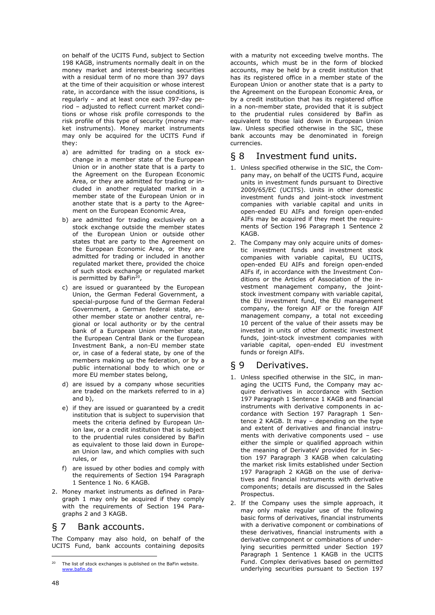on behalf of the UCITS Fund, subject to Section 198 KAGB, instruments normally dealt in on the money market and interest-bearing securities with a residual term of no more than 397 days at the time of their acquisition or whose interest rate, in accordance with the issue conditions, is regularly – and at least once each 397-day period – adjusted to reflect current market conditions or whose risk profile corresponds to the risk profile of this type of security (money market instruments). Money market instruments may only be acquired for the UCITS Fund if they:

- a) are admitted for trading on a stock exchange in a member state of the European Union or in another state that is a party to the Agreement on the European Economic Area, or they are admitted for trading or included in another regulated market in a member state of the European Union or in another state that is a party to the Agreement on the European Economic Area,
- b) are admitted for trading exclusively on a stock exchange outside the member states of the European Union or outside other states that are party to the Agreement on the European Economic Area, or they are admitted for trading or included in another regulated market there, provided the choice of such stock exchange or regulated market is permitted by BaFin<sup>20</sup>,
- c) are issued or guaranteed by the European Union, the German Federal Government, a special-purpose fund of the German Federal Government, a German federal state, another member state or another central, regional or local authority or by the central bank of a European Union member state, the European Central Bank or the European Investment Bank, a non-EU member state or, in case of a federal state, by one of the members making up the federation, or by a public international body to which one or more EU member states belong,
- d) are issued by a company whose securities are traded on the markets referred to in a) and b),
- e) if they are issued or guaranteed by a credit institution that is subject to supervision that meets the criteria defined by European Union law, or a credit institution that is subject to the prudential rules considered by BaFin as equivalent to those laid down in European Union law, and which complies with such rules, or
- f) are issued by other bodies and comply with the requirements of Section 194 Paragraph 1 Sentence 1 No. 6 KAGB.
- 2. Money market instruments as defined in Paragraph 1 may only be acquired if they comply with the requirements of Section 194 Paragraphs 2 and 3 KAGB.

### § 7 Bank accounts.

The Company may also hold, on behalf of the UCITS Fund, bank accounts containing deposits

with a maturity not exceeding twelve months. The accounts, which must be in the form of blocked accounts, may be held by a credit institution that has its registered office in a member state of the European Union or another state that is a party to the Agreement on the European Economic Area, or by a credit institution that has its registered office in a non-member state, provided that it is subject to the prudential rules considered by BaFin as equivalent to those laid down in European Union law. Unless specified otherwise in the SIC, these bank accounts may be denominated in foreign currencies.

# § 8 Investment fund units.

- 1. Unless specified otherwise in the SIC, the Company may, on behalf of the UCITS Fund, acquire units in investment funds pursuant to Directive 2009/65/EC (UCITS). Units in other domestic investment funds and joint-stock investment companies with variable capital and units in open-ended EU AIFs and foreign open-ended AIFs may be acquired if they meet the requirements of Section 196 Paragraph 1 Sentence 2 KAGB.
- 2. The Company may only acquire units of domestic investment funds and investment stock companies with variable capital, EU UCITS, open-ended EU AIFs and foreign open-ended AIFs if, in accordance with the Investment Conditions or the Articles of Association of the investment management company, the jointstock investment company with variable capital, the EU investment fund, the EU management company, the foreign AIF or the foreign AIF management company, a total not exceeding 10 percent of the value of their assets may be invested in units of other domestic investment funds, joint-stock investment companies with variable capital, open-ended EU investment funds or foreign AIFs.

# § 9 Derivatives.

- 1. Unless specified otherwise in the SIC, in managing the UCITS Fund, the Company may acquire derivatives in accordance with Section 197 Paragraph 1 Sentence 1 KAGB and financial instruments with derivative components in accordance with Section 197 Paragraph 1 Sentence 2 KAGB. It may – depending on the type and extent of derivatives and financial instruments with derivative components used – use either the simple or qualified approach within the meaning of DerivateV provided for in Section 197 Paragraph 3 KAGB when calculating the market risk limits established under Section 197 Paragraph 2 KAGB on the use of derivatives and financial instruments with derivative components; details are discussed in the Sales Prospectus.
- 2. If the Company uses the simple approach, it may only make regular use of the following basic forms of derivatives, financial instruments with a derivative component or combinations of these derivatives, financial instruments with a derivative component or combinations of underlying securities permitted under Section 197 Paragraph 1 Sentence 1 KAGB in the UCITS Fund. Complex derivatives based on permitted underlying securities pursuant to Section 197

-

 $20$  The list of stock exchanges is published on the BaFin website. www.bafin.de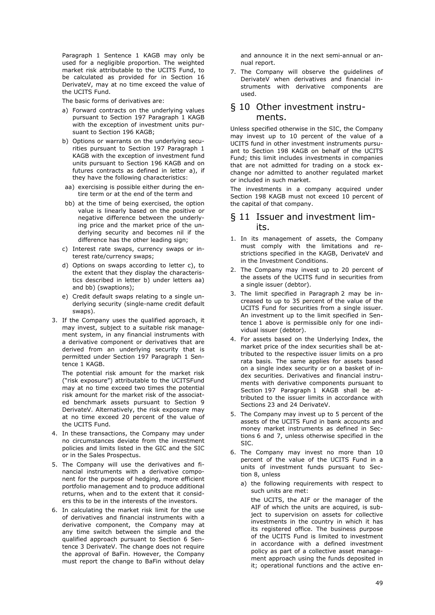Paragraph 1 Sentence 1 KAGB may only be used for a negligible proportion. The weighted market risk attributable to the UCITS Fund, to be calculated as provided for in Section 16 DerivateV, may at no time exceed the value of the UCITS Fund.

The basic forms of derivatives are:

- a) Forward contracts on the underlying values pursuant to Section 197 Paragraph 1 KAGB with the exception of investment units pursuant to Section 196 KAGB;
- b) Options or warrants on the underlying securities pursuant to Section 197 Paragraph 1 KAGB with the exception of investment fund units pursuant to Section 196 KAGB and on futures contracts as defined in letter a), if they have the following characteristics:
- aa) exercising is possible either during the entire term or at the end of the term and
- bb) at the time of being exercised, the option value is linearly based on the positive or negative difference between the underlying price and the market price of the underlying security and becomes nil if the difference has the other leading sign;
- c) Interest rate swaps, currency swaps or interest rate/currency swaps;
- d) Options on swaps according to letter c), to the extent that they display the characteristics described in letter b) under letters aa) and bb) (swaptions);
- e) Credit default swaps relating to a single underlying security (single-name credit default swaps).
- 3. If the Company uses the qualified approach, it may invest, subject to a suitable risk management system, in any financial instruments with a derivative component or derivatives that are derived from an underlying security that is permitted under Section 197 Paragraph 1 Sentence 1 KAGB.

The potential risk amount for the market risk ("risk exposure") attributable to the UCITSFund may at no time exceed two times the potential risk amount for the market risk of the associated benchmark assets pursuant to Section 9 DerivateV. Alternatively, the risk exposure may at no time exceed 20 percent of the value of the UCITS Fund.

- 4. In these transactions, the Company may under no circumstances deviate from the investment policies and limits listed in the GIC and the SIC or in the Sales Prospectus.
- 5. The Company will use the derivatives and financial instruments with a derivative component for the purpose of hedging, more efficient portfolio management and to produce additional returns, when and to the extent that it considers this to be in the interests of the investors.
- 6. In calculating the market risk limit for the use of derivatives and financial instruments with a derivative component, the Company may at any time switch between the simple and the qualified approach pursuant to Section 6 Sentence 3 DerivateV. The change does not require the approval of BaFin. However, the Company must report the change to BaFin without delay

and announce it in the next semi-annual or annual report.

7. The Company will observe the guidelines of DerivateV when derivatives and financial instruments with derivative components are used.

# § 10 Other investment instruments.

Unless specified otherwise in the SIC, the Company may invest up to 10 percent of the value of a UCITS fund in other investment instruments pursuant to Section 198 KAGB on behalf of the UCITS Fund; this limit includes investments in companies that are not admitted for trading on a stock exchange nor admitted to another regulated market or included in such market.

The investments in a company acquired under Section 198 KAGB must not exceed 10 percent of the capital of that company.

### § 11 Issuer and investment limits.

- 1. In its management of assets, the Company must comply with the limitations and restrictions specified in the KAGB, DerivateV and in the Investment Conditions.
- 2. The Company may invest up to 20 percent of the assets of the UCITS fund in securities from a single issuer (debtor).
- 3. The limit specified in Paragraph 2 may be increased to up to 35 percent of the value of the UCITS Fund for securities from a single issuer. An investment up to the limit specified in Sentence 1 above is permissible only for one individual issuer (debtor).
- 4. For assets based on the Underlying Index, the market price of the index securities shall be attributed to the respective issuer limits on a pro rata basis. The same applies for assets based on a single index security or on a basket of index securities. Derivatives and financial instruments with derivative components pursuant to Section 197 Paragraph 1 KAGB shall be attributed to the issuer limits in accordance with Sections 23 and 24 DerivateV.
- 5. The Company may invest up to 5 percent of the assets of the UCITS Fund in bank accounts and money market instruments as defined in Sections 6 and 7, unless otherwise specified in the SIC.
- 6. The Company may invest no more than 10 percent of the value of the UCITS Fund in a units of investment funds pursuant to Section 8, unless
	- a) the following requirements with respect to such units are met:

the UCITS, the AIF or the manager of the AIF of which the units are acquired, is subject to supervision on assets for collective investments in the country in which it has its registered office. The business purpose of the UCITS Fund is limited to investment in accordance with a defined investment policy as part of a collective asset management approach using the funds deposited in it; operational functions and the active en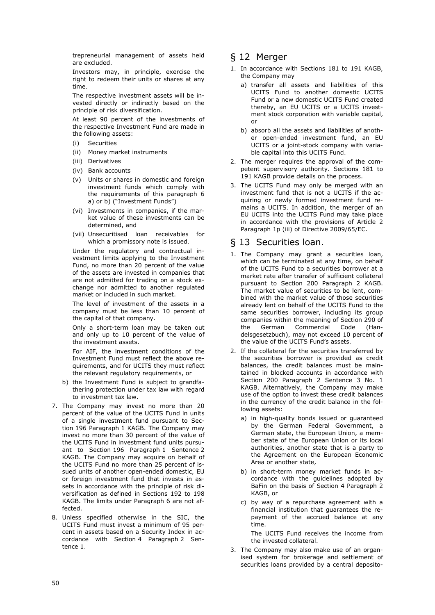trepreneurial management of assets held are excluded.

Investors may, in principle, exercise the right to redeem their units or shares at any time.

The respective investment assets will be invested directly or indirectly based on the principle of risk diversification.

At least 90 percent of the investments of the respective Investment Fund are made in the following assets:

- (i) Securities
- (ii) Money market instruments
- (iii) Derivatives
- (iv) Bank accounts
- (v) Units or shares in domestic and foreign investment funds which comply with the requirements of this paragraph 6 a) or b) ("Investment Funds")
- (vi) Investments in companies, if the market value of these investments can be determined, and
- (vii) Unsecuritised loan receivables for which a promissory note is issued.

Under the regulatory and contractual investment limits applying to the Investment Fund, no more than 20 percent of the value of the assets are invested in companies that are not admitted for trading on a stock exchange nor admitted to another regulated market or included in such market.

The level of investment of the assets in a company must be less than 10 percent of the capital of that company.

Only a short-term loan may be taken out and only up to 10 percent of the value of the investment assets.

For AIF, the investment conditions of the Investment Fund must reflect the above requirements, and for UCITS they must reflect the relevant regulatory requirements, or

- b) the Investment Fund is subject to grandfathering protection under tax law with regard to investment tax law.
- 7. The Company may invest no more than 20 percent of the value of the UCITS Fund in units of a single investment fund pursuant to Section 196 Paragraph 1 KAGB. The Company may invest no more than 30 percent of the value of the UCITS Fund in investment fund units pursuant to Section 196 Paragraph 1 Sentence 2 KAGB. The Company may acquire on behalf of the UCITS Fund no more than 25 percent of issued units of another open-ended domestic, EU or foreign investment fund that invests in assets in accordance with the principle of risk diversification as defined in Sections 192 to 198 KAGB. The limits under Paragraph 6 are not affected.
- 8. Unless specified otherwise in the SIC, the UCITS Fund must invest a minimum of 95 percent in assets based on a Security Index in accordance with Section 4 Paragraph 2 Sentence 1.

# § 12 Merger

- 1. In accordance with Sections 181 to 191 KAGB, the Company may
	- a) transfer all assets and liabilities of this UCITS Fund to another domestic UCITS Fund or a new domestic UCITS Fund created thereby, an EU UCITS or a UCITS investment stock corporation with variable capital, or
	- b) absorb all the assets and liabilities of another open-ended investment fund, an EU UCITS or a joint-stock company with variable capital into this UCITS Fund.
- 2. The merger requires the approval of the competent supervisory authority. Sections 181 to 191 KAGB provide details on the process.
- 3. The UCITS Fund may only be merged with an investment fund that is not a UCITS if the acquiring or newly formed investment fund remains a UCITS. In addition, the merger of an EU UCITS into the UCITS Fund may take place in accordance with the provisions of Article 2 Paragraph 1p (iii) of Directive 2009/65/EC.

### § 13 Securities loan.

- 1. The Company may grant a securities loan, which can be terminated at any time, on behalf of the UCITS Fund to a securities borrower at a market rate after transfer of sufficient collateral pursuant to Section 200 Paragraph 2 KAGB. The market value of securities to be lent, combined with the market value of those securities already lent on behalf of the UCITS Fund to the same securities borrower, including its group companies within the meaning of Section 290 of the German Commercial Code (Handelsgesetzbuch), may not exceed 10 percent of the value of the UCITS Fund's assets.
- 2. If the collateral for the securities transferred by the securities borrower is provided as credit balances, the credit balances must be maintained in blocked accounts in accordance with Section 200 Paragraph 2 Sentence 3 No. 1 KAGB. Alternatively, the Company may make use of the option to invest these credit balances in the currency of the credit balance in the following assets:
	- a) in high-quality bonds issued or guaranteed by the German Federal Government, a German state, the European Union, a member state of the European Union or its local authorities, another state that is a party to the Agreement on the European Economic Area or another state,
	- b) in short-term money market funds in accordance with the guidelines adopted by BaFin on the basis of Section 4 Paragraph 2 KAGB, or
	- c) by way of a repurchase agreement with a financial institution that guarantees the repayment of the accrued balance at any time.

The UCITS Fund receives the income from the invested collateral.

3. The Company may also make use of an organised system for brokerage and settlement of securities loans provided by a central deposito-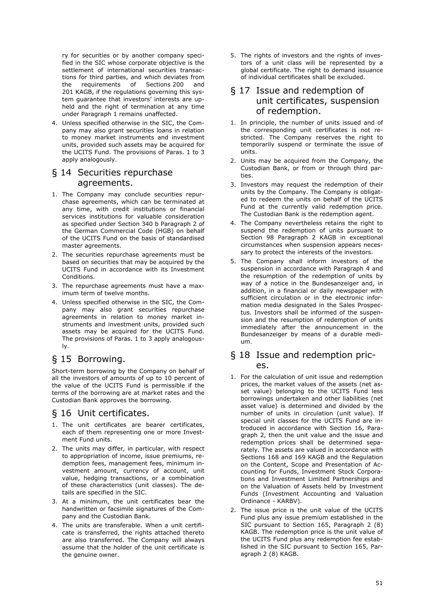ry for securities or by another company specified in the SIC whose corporate objective is the settlement of international securities transactions for third parties, and which deviates from the requirements of Sections 200 and 201 KAGB, if the regulations governing this system guarantee that investors' interests are upheld and the right of termination at any time under Paragraph 1 remains unaffected.

4. Unless specified otherwise in the SIC, the Company may also grant securities loans in relation to money market instruments and investment units, provided such assets may be acquired for the UCITS Fund. The provisions of Paras. 1 to 3 apply analogously.

# § 14 Securities repurchase agreements.

- 1. The Company may conclude securities repurchase agreements, which can be terminated at any time, with credit institutions or financial services institutions for valuable consideration as specified under Section 340 b Paragraph 2 of the German Commercial Code (HGB) on behalf of the UCITS Fund on the basis of standardised master agreements.
- 2. The securities repurchase agreements must be based on securities that may be acquired by the UCITS Fund in accordance with its Investment Conditions.
- 3. The repurchase agreements must have a maximum term of twelve months.
- 4. Unless specified otherwise in the SIC, the Company may also grant securities repurchase agreements in relation to money market instruments and investment units, provided such assets may be acquired for the UCITS Fund. The provisions of Paras. 1 to 3 apply analogously.

# § 15 Borrowing.

Short-term borrowing by the Company on behalf of all the investors of amounts of up to 10 percent of the value of the UCITS Fund is permissible if the terms of the borrowing are at market rates and the Custodian Bank approves the borrowing.

# § 16 Unit certificates.

- 1. The unit certificates are bearer certificates, each of them representing one or more Investment Fund units.
- 2. The units may differ, in particular, with respect to appropriation of income, issue premiums, redemption fees, management fees, minimum investment amount, currency of account, unit value, hedging transactions, or a combination of these characteristics (unit classes). The details are specified in the SIC.
- 3. At a minimum, the unit certificates bear the handwritten or facsimile signatures of the Company and the Custodian Bank.
- 4. The units are transferable. When a unit certificate is transferred, the rights attached thereto are also transferred. The Company will always assume that the holder of the unit certificate is the genuine owner.

5. The rights of investors and the rights of investors of a unit class will be represented by a global certificate. The right to demand issuance of individual certificates shall be excluded.

# § 17 Issue and redemption of unit certificates, suspension of redemption.

- 1. In principle, the number of units issued and of the corresponding unit certificates is not restricted. The Company reserves the right to temporarily suspend or terminate the issue of units.
- 2. Units may be acquired from the Company, the Custodian Bank, or from or through third parties.
- 3. Investors may request the redemption of their units by the Company. The Company is obligated to redeem the units on behalf of the UCITS Fund at the currently valid redemption price. The Custodian Bank is the redemption agent.
- 4. The Company nevertheless retains the right to suspend the redemption of units pursuant to Section 98 Paragraph 2 KAGB in exceptional circumstances when suspension appears necessary to protect the interests of the investors.
- 5. The Company shall inform investors of the suspension in accordance with Paragraph 4 and the resumption of the redemption of units by way of a notice in the Bundesanzeiger and, in addition, in a financial or daily newspaper with sufficient circulation or in the electronic information media designated in the Sales Prospectus. Investors shall be informed of the suspension and the resumption of redemption of units immediately after the announcement in the Bundesanzeiger by means of a durable medium.

# § 18 Issue and redemption prices.

- 1. For the calculation of unit issue and redemption prices, the market values of the assets (net asset value) belonging to the UCITS Fund less borrowings undertaken and other liabilities (net asset value) is determined and divided by the number of units in circulation (unit value). If special unit classes for the UCITS Fund are introduced in accordance with Section 16, Paragraph 2, then the unit value and the issue and redemption prices shall be determined separately. The assets are valued in accordance with Sections 168 and 169 KAGB and the Regulation on the Content, Scope and Presentation of Accounting for Funds, Investment Stock Corporations and Investment Limited Partnerships and on the Valuation of Assets held by Investment Funds (Investment Accounting and Valuation Ordinance - KARBV).
- 2. The issue price is the unit value of the UCITS Fund plus any issue premium established in the SIC pursuant to Section 165, Paragraph 2 (8) KAGB. The redemption price is the unit value of the UCITS Fund plus any redemption fee established in the SIC pursuant to Section 165, Paragraph 2 (8) KAGB.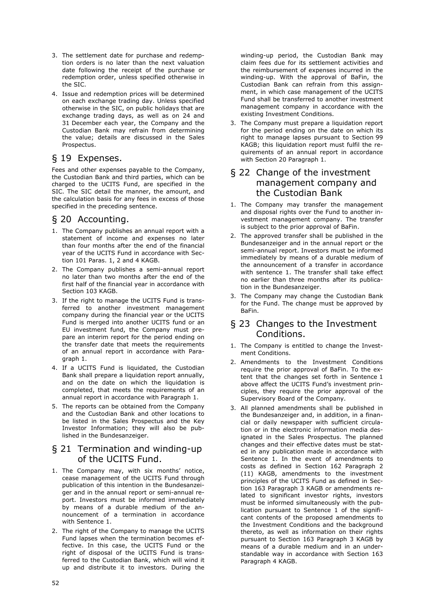- 3. The settlement date for purchase and redemption orders is no later than the next valuation date following the receipt of the purchase or redemption order, unless specified otherwise in the SIC.
- 4. Issue and redemption prices will be determined on each exchange trading day. Unless specified otherwise in the SIC, on public holidays that are exchange trading days, as well as on 24 and 31 December each year, the Company and the Custodian Bank may refrain from determining the value; details are discussed in the Sales Prospectus.

# § 19 Expenses.

Fees and other expenses payable to the Company, the Custodian Bank and third parties, which can be charged to the UCITS Fund, are specified in the SIC. The SIC detail the manner, the amount, and the calculation basis for any fees in excess of those specified in the preceding sentence.

# § 20 Accounting.

- 1. The Company publishes an annual report with a statement of income and expenses no later than four months after the end of the financial year of the UCITS Fund in accordance with Section 101 Paras. 1, 2 and 4 KAGB.
- 2. The Company publishes a semi-annual report no later than two months after the end of the first half of the financial year in accordance with Section 103 KAGB.
- 3. If the right to manage the UCITS Fund is transferred to another investment management company during the financial year or the UCITS Fund is merged into another UCITS fund or an EU investment fund, the Company must prepare an interim report for the period ending on the transfer date that meets the requirements of an annual report in accordance with Paragraph 1.
- 4. If a UCITS Fund is liquidated, the Custodian Bank shall prepare a liquidation report annually, and on the date on which the liquidation is completed, that meets the requirements of an annual report in accordance with Paragraph 1.
- 5. The reports can be obtained from the Company and the Custodian Bank and other locations to be listed in the Sales Prospectus and the Key Investor Information; they will also be published in the Bundesanzeiger.

### § 21 Termination and winding-up of the UCITS Fund.

- 1. The Company may, with six months' notice, cease management of the UCITS Fund through publication of this intention in the Bundesanzeiger and in the annual report or semi-annual report. Investors must be informed immediately by means of a durable medium of the announcement of a termination in accordance with Sentence 1.
- 2. The right of the Company to manage the UCITS Fund lapses when the termination becomes effective. In this case, the UCITS Fund or the right of disposal of the UCITS Fund is transferred to the Custodian Bank, which will wind it up and distribute it to investors. During the

winding-up period, the Custodian Bank may claim fees due for its settlement activities and the reimbursement of expenses incurred in the winding-up. With the approval of BaFin, the Custodian Bank can refrain from this assignment, in which case management of the UCITS Fund shall be transferred to another investment management company in accordance with the existing Investment Conditions.

3. The Company must prepare a liquidation report for the period ending on the date on which its right to manage lapses pursuant to Section 99 KAGB; this liquidation report must fulfil the requirements of an annual report in accordance with Section 20 Paragraph 1.

# § 22 Change of the investment management company and the Custodian Bank

- 1. The Company may transfer the management and disposal rights over the Fund to another investment management company. The transfer is subject to the prior approval of BaFin.
- 2. The approved transfer shall be published in the Bundesanzeiger and in the annual report or the semi-annual report. Investors must be informed immediately by means of a durable medium of the announcement of a transfer in accordance with sentence 1. The transfer shall take effect no earlier than three months after its publication in the Bundesanzeiger.
- 3. The Company may change the Custodian Bank for the Fund. The change must be approved by BaFin.

# § 23 Changes to the Investment Conditions.

- 1. The Company is entitled to change the Investment Conditions.
- 2. Amendments to the Investment Conditions require the prior approval of BaFin. To the extent that the changes set forth in Sentence 1 above affect the UCITS Fund's investment principles, they require the prior approval of the Supervisory Board of the Company.
- 3. All planned amendments shall be published in the Bundesanzeiger and, in addition, in a financial or daily newspaper with sufficient circulation or in the electronic information media designated in the Sales Prospectus. The planned changes and their effective dates must be stated in any publication made in accordance with Sentence 1. In the event of amendments to costs as defined in Section 162 Paragraph 2 (11) KAGB, amendments to the investment principles of the UCITS Fund as defined in Section 163 Paragraph 3 KAGB or amendments related to significant investor rights, investors must be informed simultaneously with the publication pursuant to Sentence 1 of the significant contents of the proposed amendments to the Investment Conditions and the background thereto, as well as information on their rights pursuant to Section 163 Paragraph 3 KAGB by means of a durable medium and in an understandable way in accordance with Section 163 Paragraph 4 KAGB.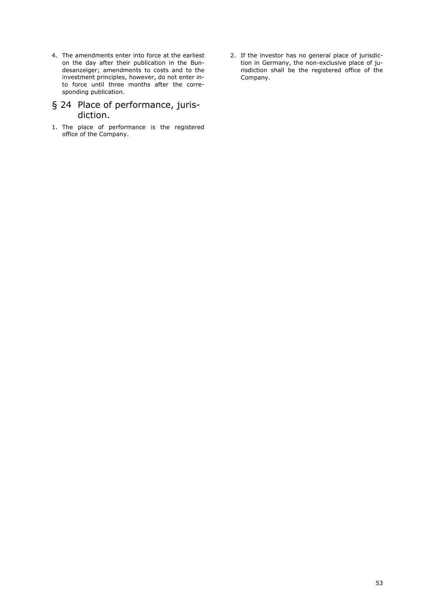4. The amendments enter into force at the earliest on the day after their publication in the Bundesanzeiger; amendments to costs and to the investment principles, however, do not enter into force until three months after the corresponding publication.

# § 24 Place of performance, jurisdiction.

- 1. The place of performance is the registered office of the Company.
- 2. If the investor has no general place of jurisdiction in Germany, the non-exclusive place of jurisdiction shall be the registered office of the Company.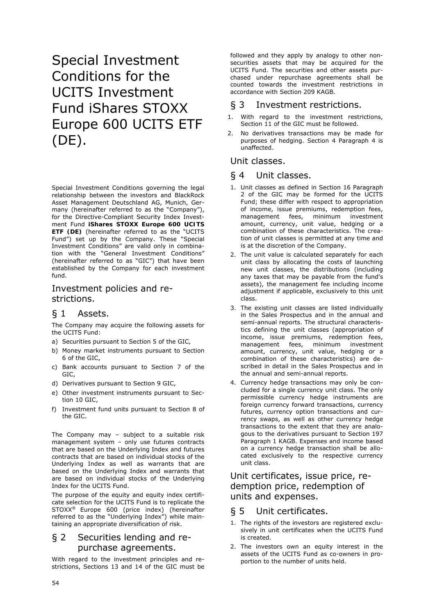# Special Investment Conditions for the UCITS Investment Fund iShares STOXX Europe 600 UCITS ETF (DE).

Special Investment Conditions governing the legal relationship between the investors and BlackRock Asset Management Deutschland AG, Munich, Germany (hereinafter referred to as the "Company"), for the Directive-Compliant Security Index Investment Fund **iShares STOXX Europe 600 UCITS ETF (DE)** (hereinafter referred to as the "UCITS Fund") set up by the Company. These "Special Investment Conditions" are valid only in combination with the "General Investment Conditions" (hereinafter referred to as "GIC") that have been established by the Company for each investment fund.

# Investment policies and restrictions.

# § 1 Assets.

The Company may acquire the following assets for the UCITS Fund:

- a) Securities pursuant to Section 5 of the GIC,
- b) Money market instruments pursuant to Section 6 of the GIC,
- c) Bank accounts pursuant to Section 7 of the GIC,
- d) Derivatives pursuant to Section 9 GIC,
- e) Other investment instruments pursuant to Section 10 GIC,
- f) Investment fund units pursuant to Section 8 of the GIC.

The Company may – subject to a suitable risk management system - only use futures contracts that are based on the Underlying Index and futures contracts that are based on individual stocks of the Underlying Index as well as warrants that are based on the Underlying Index and warrants that are based on individual stocks of the Underlying Index for the UCITS Fund.

The purpose of the equity and equity index certificate selection for the UCITS Fund is to replicate the STOXX® Europe 600 (price index) (hereinafter referred to as the "Underlying Index") while maintaining an appropriate diversification of risk.

# § 2 Securities lending and repurchase agreements.

With regard to the investment principles and restrictions, Sections 13 and 14 of the GIC must be

followed and they apply by analogy to other nonsecurities assets that may be acquired for the UCITS Fund. The securities and other assets purchased under repurchase agreements shall be counted towards the investment restrictions in accordance with Section 209 KAGB.

# § 3 Investment restrictions.

- 1. With regard to the investment restrictions, Section 11 of the GIC must be followed.
- 2. No derivatives transactions may be made for purposes of hedging. Section 4 Paragraph 4 is unaffected.

# Unit classes.

# § 4 Unit classes.

- 1. Unit classes as defined in Section 16 Paragraph 2 of the GIC may be formed for the UCITS Fund; these differ with respect to appropriation of income, issue premiums, redemption fees, management fees, minimum investment amount, currency, unit value, hedging or a combination of these characteristics. The creation of unit classes is permitted at any time and is at the discretion of the Company.
- 2. The unit value is calculated separately for each unit class by allocating the costs of launching new unit classes, the distributions (including any taxes that may be payable from the fund's assets), the management fee including income adjustment if applicable, exclusively to this unit class.
- 3. The existing unit classes are listed individually in the Sales Prospectus and in the annual and semi-annual reports. The structural characteristics defining the unit classes (appropriation of income, issue premiums, redemption fees, management fees, minimum investment amount, currency, unit value, hedging or a combination of these characteristics) are described in detail in the Sales Prospectus and in the annual and semi-annual reports.
- 4. Currency hedge transactions may only be concluded for a single currency unit class. The only permissible currency hedge instruments are foreign currency forward transactions, currency futures, currency option transactions and currency swaps, as well as other currency hedge transactions to the extent that they are analogous to the derivatives pursuant to Section 197 Paragraph 1 KAGB. Expenses and income based on a currency hedge transaction shall be allocated exclusively to the respective currency unit class.

# Unit certificates, issue price, redemption price, redemption of units and expenses.

# § 5 Unit certificates.

- 1. The rights of the investors are registered exclusively in unit certificates when the UCITS Fund is created.
- 2. The investors own an equity interest in the assets of the UCITS Fund as co-owners in proportion to the number of units held.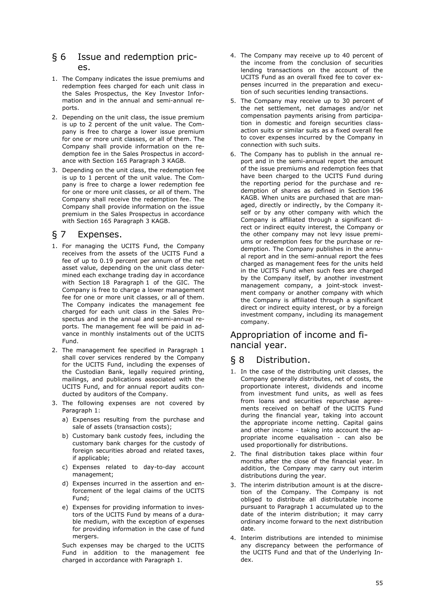# § 6 Issue and redemption prices.

- 1. The Company indicates the issue premiums and redemption fees charged for each unit class in the Sales Prospectus, the Key Investor Information and in the annual and semi-annual reports.
- 2. Depending on the unit class, the issue premium is up to 2 percent of the unit value. The Company is free to charge a lower issue premium for one or more unit classes, or all of them. The Company shall provide information on the redemption fee in the Sales Prospectus in accordance with Section 165 Paragraph 3 KAGB.
- 3. Depending on the unit class, the redemption fee is up to 1 percent of the unit value. The Company is free to charge a lower redemption fee for one or more unit classes, or all of them. The Company shall receive the redemption fee. The Company shall provide information on the issue premium in the Sales Prospectus in accordance with Section 165 Paragraph 3 KAGB.

# § 7 Expenses.

- 1. For managing the UCITS Fund, the Company receives from the assets of the UCITS Fund a fee of up to 0.19 percent per annum of the net asset value, depending on the unit class determined each exchange trading day in accordance with Section 18 Paragraph 1 of the GIC. The Company is free to charge a lower management fee for one or more unit classes, or all of them. The Company indicates the management fee charged for each unit class in the Sales Prospectus and in the annual and semi-annual reports. The management fee will be paid in advance in monthly instalments out of the UCITS Fund.
- 2. The management fee specified in Paragraph 1 shall cover services rendered by the Company for the UCITS Fund, including the expenses of the Custodian Bank, legally required printing, mailings, and publications associated with the UCITS Fund, and for annual report audits conducted by auditors of the Company.
- 3. The following expenses are not covered by Paragraph 1:
	- a) Expenses resulting from the purchase and sale of assets (transaction costs);
	- b) Customary bank custody fees, including the customary bank charges for the custody of foreign securities abroad and related taxes, if applicable;
	- c) Expenses related to day-to-day account management;
	- d) Expenses incurred in the assertion and enforcement of the legal claims of the UCITS Fund;
	- e) Expenses for providing information to investors of the UCITS Fund by means of a durable medium, with the exception of expenses for providing information in the case of fund mergers.

Such expenses may be charged to the UCITS Fund in addition to the management fee charged in accordance with Paragraph 1.

- 4. The Company may receive up to 40 percent of the income from the conclusion of securities lending transactions on the account of the UCITS Fund as an overall fixed fee to cover expenses incurred in the preparation and execution of such securities lending transactions.
- 5. The Company may receive up to 30 percent of the net settlement, net damages and/or net compensation payments arising from participation in domestic and foreign securities classaction suits or similar suits as a fixed overall fee to cover expenses incurred by the Company in connection with such suits.
- 6. The Company has to publish in the annual report and in the semi-annual report the amount of the issue premiums and redemption fees that have been charged to the UCITS Fund during the reporting period for the purchase and redemption of shares as defined in Section 196 KAGB. When units are purchased that are managed, directly or indirectly, by the Company itself or by any other company with which the Company is affiliated through a significant direct or indirect equity interest, the Company or the other company may not levy issue premiums or redemption fees for the purchase or redemption. The Company publishes in the annual report and in the semi-annual report the fees charged as management fees for the units held in the UCITS Fund when such fees are charged by the Company itself, by another investment management company, a joint-stock investment company or another company with which the Company is affiliated through a significant direct or indirect equity interest, or by a foreign investment company, including its management company.

# Appropriation of income and financial year.

# § 8 Distribution.

- 1. In the case of the distributing unit classes, the Company generally distributes, net of costs, the proportionate interest, dividends and income from investment fund units, as well as fees from loans and securities repurchase agreements received on behalf of the UCITS Fund during the financial year, taking into account the appropriate income netting. Capital gains and other income - taking into account the appropriate income equalisation - can also be used proportionally for distributions.
- 2. The final distribution takes place within four months after the close of the financial year. In addition, the Company may carry out interim distributions during the year.
- 3. The interim distribution amount is at the discretion of the Company. The Company is not obliged to distribute all distributable income pursuant to Paragraph 1 accumulated up to the date of the interim distribution; it may carry ordinary income forward to the next distribution date.
- 4. Interim distributions are intended to minimise any discrepancy between the performance of the UCITS Fund and that of the Underlying Index.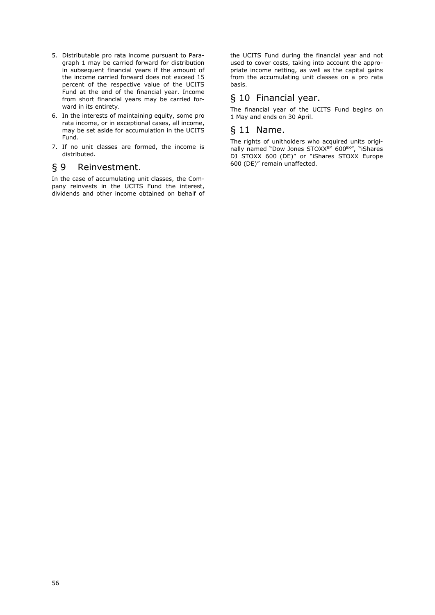- 5. Distributable pro rata income pursuant to Paragraph 1 may be carried forward for distribution in subsequent financial years if the amount of the income carried forward does not exceed 15 percent of the respective value of the UCITS Fund at the end of the financial year. Income from short financial years may be carried forward in its entirety.
- 6. In the interests of maintaining equity, some pro rata income, or in exceptional cases, all income, may be set aside for accumulation in the UCITS Fund.
- 7. If no unit classes are formed, the income is distributed.

# § 9 Reinvestment.

In the case of accumulating unit classes, the Company reinvests in the UCITS Fund the interest, dividends and other income obtained on behalf of the UCITS Fund during the financial year and not used to cover costs, taking into account the appropriate income netting, as well as the capital gains from the accumulating unit classes on a pro rata basis.

# § 10 Financial year.

The financial year of the UCITS Fund begins on 1 May and ends on 30 April.

### § 11 Name.

The rights of unitholders who acquired units originally named "Dow Jones STOXX<sup>SM</sup> 600<sup>EX"</sup>, "iShares DJ STOXX 600 (DE)" or "iShares STOXX Europe 600 (DE)" remain unaffected.